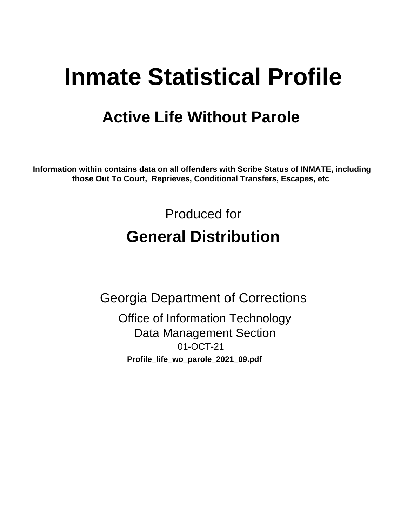# **Inmate Statistical Profile**

# **Active Life Without Parole**

Information within contains data on all offenders with Scribe Status of INMATE, including those Out To Court, Reprieves, Conditional Transfers, Escapes, etc

> Produced for **General Distribution**

**Georgia Department of Corrections Office of Information Technology Data Management Section** 01-OCT-21 Profile\_life\_wo\_parole\_2021\_09.pdf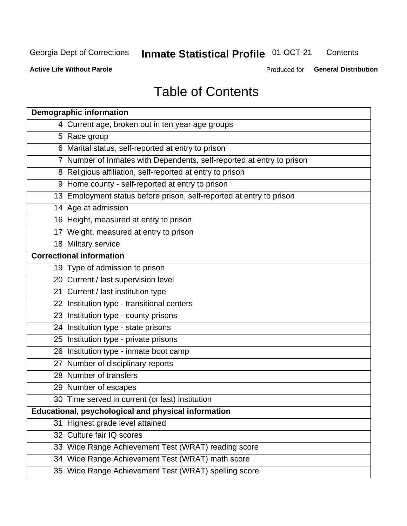#### **Inmate Statistical Profile 01-OCT-21** Contents

**Active Life Without Parole** 

Produced for General Distribution

# **Table of Contents**

|    | <b>Demographic information</b>                                        |
|----|-----------------------------------------------------------------------|
|    | 4 Current age, broken out in ten year age groups                      |
|    | 5 Race group                                                          |
|    | 6 Marital status, self-reported at entry to prison                    |
|    | 7 Number of Inmates with Dependents, self-reported at entry to prison |
|    | 8 Religious affiliation, self-reported at entry to prison             |
|    | 9 Home county - self-reported at entry to prison                      |
|    | 13 Employment status before prison, self-reported at entry to prison  |
|    | 14 Age at admission                                                   |
|    | 16 Height, measured at entry to prison                                |
|    | 17 Weight, measured at entry to prison                                |
|    | 18 Military service                                                   |
|    | <b>Correctional information</b>                                       |
|    | 19 Type of admission to prison                                        |
|    | 20 Current / last supervision level                                   |
|    | 21 Current / last institution type                                    |
|    | 22 Institution type - transitional centers                            |
|    | 23 Institution type - county prisons                                  |
|    | 24 Institution type - state prisons                                   |
|    | 25 Institution type - private prisons                                 |
|    | 26 Institution type - inmate boot camp                                |
|    | 27 Number of disciplinary reports                                     |
|    | 28 Number of transfers                                                |
|    | 29 Number of escapes                                                  |
|    | 30 Time served in current (or last) institution                       |
|    | Educational, psychological and physical information                   |
| 31 | Highest grade level attained                                          |
|    | 32 Culture fair IQ scores                                             |
|    | 33 Wide Range Achievement Test (WRAT) reading score                   |
|    | 34 Wide Range Achievement Test (WRAT) math score                      |
|    | 35 Wide Range Achievement Test (WRAT) spelling score                  |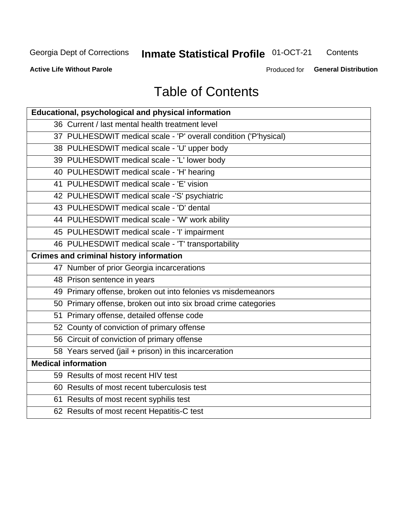# **Inmate Statistical Profile 01-OCT-21**

Contents

**Active Life Without Parole** 

Produced for General Distribution

# **Table of Contents**

| Educational, psychological and physical information              |
|------------------------------------------------------------------|
| 36 Current / last mental health treatment level                  |
| 37 PULHESDWIT medical scale - 'P' overall condition ('P'hysical) |
| 38 PULHESDWIT medical scale - 'U' upper body                     |
| 39 PULHESDWIT medical scale - 'L' lower body                     |
| 40 PULHESDWIT medical scale - 'H' hearing                        |
| 41 PULHESDWIT medical scale - 'E' vision                         |
| 42 PULHESDWIT medical scale -'S' psychiatric                     |
| 43 PULHESDWIT medical scale - 'D' dental                         |
| 44 PULHESDWIT medical scale - 'W' work ability                   |
| 45 PULHESDWIT medical scale - 'I' impairment                     |
| 46 PULHESDWIT medical scale - 'T' transportability               |
| <b>Crimes and criminal history information</b>                   |
| 47 Number of prior Georgia incarcerations                        |
| 48 Prison sentence in years                                      |
| 49 Primary offense, broken out into felonies vs misdemeanors     |
| 50 Primary offense, broken out into six broad crime categories   |
| 51 Primary offense, detailed offense code                        |
| 52 County of conviction of primary offense                       |
| 56 Circuit of conviction of primary offense                      |
| 58 Years served (jail + prison) in this incarceration            |
| <b>Medical information</b>                                       |
| 59 Results of most recent HIV test                               |
| 60 Results of most recent tuberculosis test                      |
| 61 Results of most recent syphilis test                          |
| 62 Results of most recent Hepatitis-C test                       |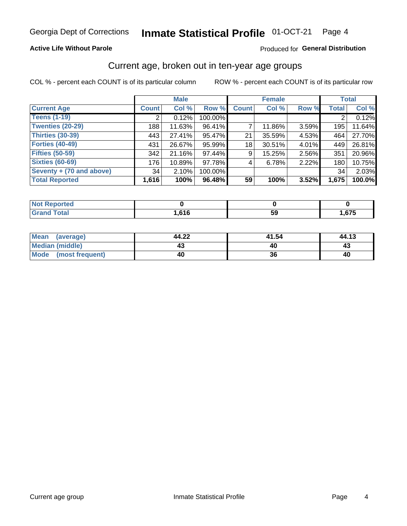### **Active Life Without Parole**

### Produced for General Distribution

# Current age, broken out in ten-year age groups

COL % - percent each COUNT is of its particular column

|                          | <b>Male</b>  |        |         | <b>Female</b> |        |       | <b>Total</b> |        |
|--------------------------|--------------|--------|---------|---------------|--------|-------|--------------|--------|
| <b>Current Age</b>       | <b>Count</b> | Col %  | Row %   | <b>Count</b>  | Col %  | Row % | <b>Total</b> | Col %  |
| <b>Teens (1-19)</b>      | ◠            | 0.12%  | 100.00% |               |        |       | 2            | 0.12%  |
| <b>Twenties (20-29)</b>  | 188          | 11.63% | 96.41%  |               | 11.86% | 3.59% | 195          | 11.64% |
| Thirties (30-39)         | 443          | 27.41% | 95.47%  | 21            | 35.59% | 4.53% | 464          | 27.70% |
| <b>Forties (40-49)</b>   | 431          | 26.67% | 95.99%  | 18            | 30.51% | 4.01% | 449          | 26.81% |
| <b>Fifties (50-59)</b>   | 342          | 21.16% | 97.44%  | 9             | 15.25% | 2.56% | 351          | 20.96% |
| <b>Sixties (60-69)</b>   | 176          | 10.89% | 97.78%  | 4             | 6.78%  | 2.22% | 180          | 10.75% |
| Seventy + (70 and above) | 34           | 2.10%  | 100.00% |               |        |       | 34           | 2.03%  |
| <b>Total Reported</b>    | 1,616        | 100%   | 96.48%  | 59            | 100%   | 3.52% | 1,675        | 100.0% |

| orted<br>NOT<br>. <b>.</b> |                     |    |      |
|----------------------------|---------------------|----|------|
| <b>Total</b>               | <b>CAC</b><br>טו טו | JJ | ,675 |

| Mean (average)         | 44.22 | 41.54 | 44.13 |
|------------------------|-------|-------|-------|
| <b>Median (middle)</b> |       |       | 43    |
| Mode (most frequent)   | 40    | 36    | 40    |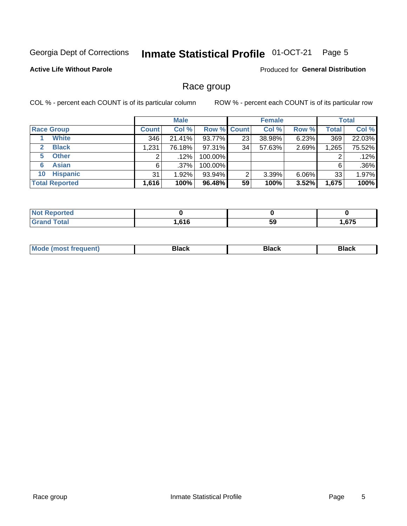#### Inmate Statistical Profile 01-OCT-21 Page 5

## **Active Life Without Parole**

Produced for General Distribution

# Race group

COL % - percent each COUNT is of its particular column

|                              | <b>Male</b>  |         |         | <b>Female</b>      |        |          | <b>Total</b> |        |
|------------------------------|--------------|---------|---------|--------------------|--------|----------|--------------|--------|
| <b>Race Group</b>            | <b>Count</b> | Col %   |         | <b>Row % Count</b> | Col %  | Row %    | Total        | Col %  |
| <b>White</b>                 | 346          | 21.41%  | 93.77%  | 23                 | 38.98% | 6.23%    | 369          | 22.03% |
| <b>Black</b><br>$\mathbf{2}$ | 1,231        | 76.18%  | 97.31%  | 34                 | 57.63% | 2.69%    | 1,265        | 75.52% |
| <b>Other</b><br>5.           |              | $.12\%$ | 100.00% |                    |        |          | 2            | .12%   |
| <b>Asian</b><br>6            | 6            | $.37\%$ | 100.00% |                    |        |          | 6            | .36%   |
| <b>Hispanic</b><br>10        | 31           | 1.92%   | 93.94%  | ົ                  | 3.39%  | $6.06\%$ | 33           | 1.97%  |
| <b>Total Reported</b>        | 1,616        | 100%    | 96.48%  | 59                 | 100%   | 3.52%    | 1,675        | 100%   |

| <b>rted</b>  |                   |     |               |
|--------------|-------------------|-----|---------------|
| <b>Total</b> | <b>CAC</b><br>טונ | -59 | $C^{\bullet}$ |

| –•••• |  | M |  |  |  |
|-------|--|---|--|--|--|
|-------|--|---|--|--|--|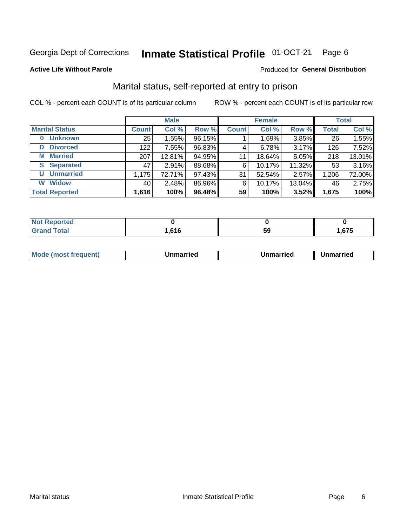#### Inmate Statistical Profile 01-OCT-21 Page 6

### **Active Life Without Parole**

### Produced for General Distribution

# Marital status, self-reported at entry to prison

COL % - percent each COUNT is of its particular column

|                            |              | <b>Male</b> |        |              | <b>Female</b> |        |              | <b>Total</b> |
|----------------------------|--------------|-------------|--------|--------------|---------------|--------|--------------|--------------|
| <b>Marital Status</b>      | <b>Count</b> | Col %       | Row %  | <b>Count</b> | Col %         | Row %  | <b>Total</b> | Col %        |
| <b>Unknown</b><br>$\bf{0}$ | 25           | 1.55%       | 96.15% |              | 1.69%         | 3.85%  | 26           | 1.55%        |
| <b>Divorced</b><br>D       | 122          | 7.55%       | 96.83% | 4            | 6.78%         | 3.17%  | 126          | 7.52%        |
| <b>Married</b><br>М        | 207          | 12.81%      | 94.95% | 11           | 18.64%        | 5.05%  | 218          | 13.01%       |
| <b>Separated</b><br>S.     | 47           | 2.91%       | 88.68% | 6            | 10.17%        | 11.32% | 53           | 3.16%        |
| <b>Unmarried</b><br>U      | 1,175        | 72.71%      | 97.43% | 31           | 52.54%        | 2.57%  | 1,206        | 72.00%       |
| <b>Widow</b><br>W          | 40           | 2.48%       | 86.96% | 6            | 10.17%        | 13.04% | 46           | 2.75%        |
| <b>Total Reported</b>      | 1,616        | 100%        | 96.48% | 59           | 100%          | 3.52%  | 1,675        | 100%         |

| prted<br>NOT |                  |    |      |
|--------------|------------------|----|------|
| <b>⊺otal</b> | cac<br>. . U I U | ວະ | .675 |

| <b>Mode</b><br><b>nost frequent)</b><br>Unmarried<br>a most | Unmarried | Unmarried |
|-------------------------------------------------------------|-----------|-----------|
|-------------------------------------------------------------|-----------|-----------|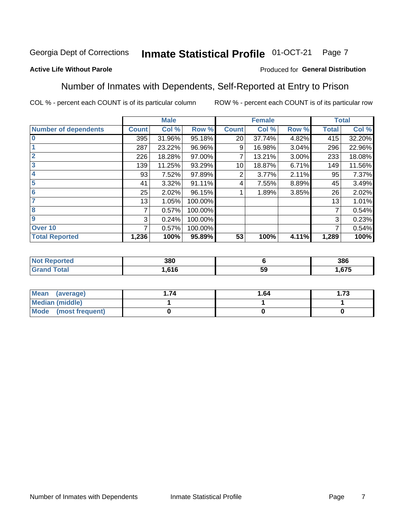#### Inmate Statistical Profile 01-OCT-21 Page 7

## **Active Life Without Parole**

### Produced for General Distribution

# Number of Inmates with Dependents, Self-Reported at Entry to Prison

COL % - percent each COUNT is of its particular column

|                             |              | <b>Male</b> |         |              | <b>Female</b> |       |              | <b>Total</b> |
|-----------------------------|--------------|-------------|---------|--------------|---------------|-------|--------------|--------------|
| <b>Number of dependents</b> | <b>Count</b> | Col %       | Row %   | <b>Count</b> | Col %         | Row % | <b>Total</b> | Col %        |
| $\bf{0}$                    | 395          | 31.96%      | 95.18%  | 20           | 37.74%        | 4.82% | 415          | 32.20%       |
|                             | 287          | 23.22%      | 96.96%  | 9            | 16.98%        | 3.04% | 296          | 22.96%       |
| $\overline{2}$              | 226          | 18.28%      | 97.00%  |              | 13.21%        | 3.00% | 233          | 18.08%       |
| 3                           | 139          | 11.25%      | 93.29%  | 10           | 18.87%        | 6.71% | 149          | 11.56%       |
| 4                           | 93           | 7.52%       | 97.89%  | 2            | 3.77%         | 2.11% | 95           | 7.37%        |
| 5                           | 41           | 3.32%       | 91.11%  | 4            | 7.55%         | 8.89% | 45           | 3.49%        |
| $6\phantom{1}6$             | 25           | 2.02%       | 96.15%  |              | 1.89%         | 3.85% | 26           | 2.02%        |
| 7                           | 13           | 1.05%       | 100.00% |              |               |       | 13           | 1.01%        |
| 8                           | 7            | 0.57%       | 100.00% |              |               |       | 7            | 0.54%        |
| $\boldsymbol{9}$            | 3            | 0.24%       | 100.00% |              |               |       | 3            | 0.23%        |
| Over 10                     | 7            | 0.57%       | 100.00% |              |               |       | 7            | 0.54%        |
| <b>Total Reported</b>       | 1,236        | 100%        | 95.89%  | 53           | 100%          | 4.11% | 1,289        | 100%         |

| 380        |    | 386  |
|------------|----|------|
| 616<br>. . | 59 | .675 |

| Mean<br>(average)      | 1.64 | l.73 |
|------------------------|------|------|
| <b>Median (middle)</b> |      |      |
| Mode (most frequent)   |      |      |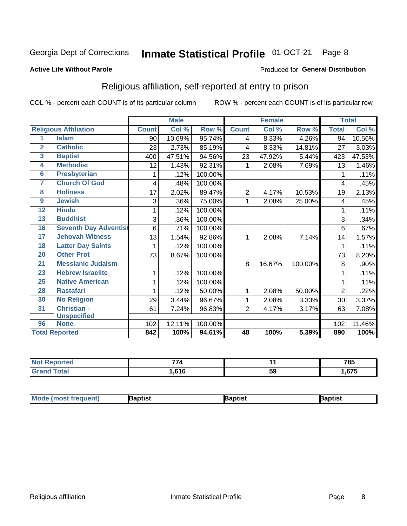#### Inmate Statistical Profile 01-OCT-21 Page 8

### **Active Life Without Parole**

### Produced for General Distribution

# Religious affiliation, self-reported at entry to prison

COL % - percent each COUNT is of its particular column

|                |                              |              | <b>Male</b> |         |              | <b>Female</b>             | <b>Total</b> |              |        |
|----------------|------------------------------|--------------|-------------|---------|--------------|---------------------------|--------------|--------------|--------|
|                | <b>Religious Affiliation</b> | <b>Count</b> | Col %       | Row %   | <b>Count</b> | $\overline{\text{Col}}$ % | Row %        | <b>Total</b> | Col %  |
| 1              | <b>Islam</b>                 | 90           | 10.69%      | 95.74%  | 4            | 8.33%                     | 4.26%        | 94           | 10.56% |
| $\overline{2}$ | <b>Catholic</b>              | 23           | 2.73%       | 85.19%  | 4            | 8.33%                     | 14.81%       | 27           | 3.03%  |
| 3              | <b>Baptist</b>               | 400          | 47.51%      | 94.56%  | 23           | 47.92%                    | 5.44%        | 423          | 47.53% |
| 4              | <b>Methodist</b>             | 12           | 1.43%       | 92.31%  | 1            | 2.08%                     | 7.69%        | 13           | 1.46%  |
| 6              | <b>Presbyterian</b>          | 1            | .12%        | 100.00% |              |                           |              | 1            | .11%   |
| 7              | <b>Church Of God</b>         | 4            | .48%        | 100.00% |              |                           |              | 4            | .45%   |
| 8              | <b>Holiness</b>              | 17           | 2.02%       | 89.47%  | $\sqrt{2}$   | 4.17%                     | 10.53%       | 19           | 2.13%  |
| 9              | <b>Jewish</b>                | 3            | .36%        | 75.00%  | 1            | 2.08%                     | 25.00%       | 4            | .45%   |
| 12             | <b>Hindu</b>                 | 1            | .12%        | 100.00% |              |                           |              |              | .11%   |
| 13             | <b>Buddhist</b>              | 3            | .36%        | 100.00% |              |                           |              | 3            | .34%   |
| 16             | <b>Seventh Day Adventist</b> | 6            | .71%        | 100.00% |              |                           |              | 6            | .67%   |
| 17             | <b>Jehovah Witness</b>       | 13           | 1.54%       | 92.86%  | 1            | 2.08%                     | 7.14%        | 14           | 1.57%  |
| 18             | <b>Latter Day Saints</b>     | 1            | .12%        | 100.00% |              |                           |              |              | .11%   |
| 20             | <b>Other Prot</b>            | 73           | 8.67%       | 100.00% |              |                           |              | 73           | 8.20%  |
| 21             | <b>Messianic Judaism</b>     |              |             |         | 8            | 16.67%                    | 100.00%      | 8            | .90%   |
| 23             | <b>Hebrew Israelite</b>      | 1            | .12%        | 100.00% |              |                           |              |              | .11%   |
| 25             | <b>Native American</b>       | 1            | .12%        | 100.00% |              |                           |              |              | .11%   |
| 28             | <b>Rastafari</b>             |              | .12%        | 50.00%  | 1            | 2.08%                     | 50.00%       | 2            | .22%   |
| 30             | <b>No Religion</b>           | 29           | 3.44%       | 96.67%  | 1            | 2.08%                     | 3.33%        | 30           | 3.37%  |
| 31             | <b>Christian -</b>           | 61           | 7.24%       | 96.83%  | 2            | 4.17%                     | 3.17%        | 63           | 7.08%  |
|                | <b>Unspecified</b>           |              |             |         |              |                           |              |              |        |
| 96             | <b>None</b>                  | 102          | 12.11%      | 100.00% |              |                           |              | 102          | 11.46% |
|                | <b>Total Reported</b>        | 842          | 100%        | 94.61%  | 48           | 100%                      | 5.39%        | 890          | 100%   |

| <b>Not Reported</b> | --    |    | 785  |
|---------------------|-------|----|------|
| Total               | 1,616 | 5î | .675 |

| <b>Mode (most frequent)</b><br>}aptist<br>Baptist<br>Baptist |
|--------------------------------------------------------------|
|--------------------------------------------------------------|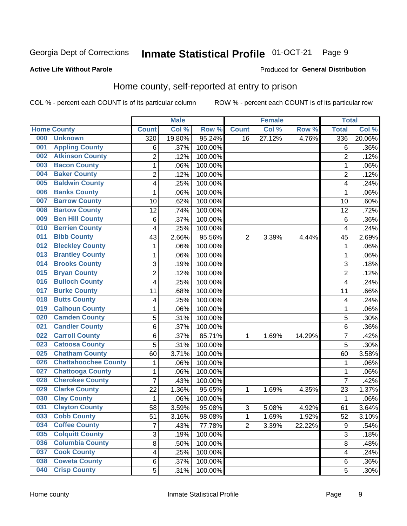#### Inmate Statistical Profile 01-OCT-21 Page 9

### **Active Life Without Parole**

# Produced for General Distribution

# Home county, self-reported at entry to prison

COL % - percent each COUNT is of its particular column

|     |                             |                         | <b>Male</b> |         |                | <b>Female</b> |        | <b>Total</b>            |         |
|-----|-----------------------------|-------------------------|-------------|---------|----------------|---------------|--------|-------------------------|---------|
|     | <b>Home County</b>          | <b>Count</b>            | Col %       | Row %   | <b>Count</b>   | Col %         | Row %  | <b>Total</b>            | Col %   |
| 000 | <b>Unknown</b>              | 320                     | 19.80%      | 95.24%  | 16             | 27.12%        | 4.76%  | 336                     | 20.06%  |
| 001 | <b>Appling County</b>       | 6                       | .37%        | 100.00% |                |               |        | 6                       | .36%    |
| 002 | <b>Atkinson County</b>      | $\overline{c}$          | .12%        | 100.00% |                |               |        | $\overline{2}$          | .12%    |
| 003 | <b>Bacon County</b>         | $\mathbf{1}$            | .06%        | 100.00% |                |               |        | 1                       | .06%    |
| 004 | <b>Baker County</b>         | $\overline{c}$          | .12%        | 100.00% |                |               |        | $\overline{2}$          | .12%    |
| 005 | <b>Baldwin County</b>       | 4                       | .25%        | 100.00% |                |               |        | $\overline{\mathbf{4}}$ | .24%    |
| 006 | <b>Banks County</b>         | $\mathbf 1$             | .06%        | 100.00% |                |               |        | 1                       | .06%    |
| 007 | <b>Barrow County</b>        | 10                      | .62%        | 100.00% |                |               |        | 10                      | .60%    |
| 008 | <b>Bartow County</b>        | 12                      | .74%        | 100.00% |                |               |        | 12                      | .72%    |
| 009 | <b>Ben Hill County</b>      | 6                       | .37%        | 100.00% |                |               |        | 6                       | .36%    |
| 010 | <b>Berrien County</b>       | 4                       | .25%        | 100.00% |                |               |        | 4                       | .24%    |
| 011 | <b>Bibb County</b>          | 43                      | 2.66%       | 95.56%  | 2              | 3.39%         | 4.44%  | 45                      | 2.69%   |
| 012 | <b>Bleckley County</b>      | $\mathbf 1$             | .06%        | 100.00% |                |               |        | $\mathbf 1$             | .06%    |
| 013 | <b>Brantley County</b>      | $\mathbf 1$             | .06%        | 100.00% |                |               |        | 1                       | .06%    |
| 014 | <b>Brooks County</b>        | 3                       | .19%        | 100.00% |                |               |        | 3                       | .18%    |
| 015 | <b>Bryan County</b>         | $\overline{c}$          | .12%        | 100.00% |                |               |        | $\overline{2}$          | .12%    |
| 016 | <b>Bulloch County</b>       | 4                       | .25%        | 100.00% |                |               |        | 4                       | .24%    |
| 017 | <b>Burke County</b>         | 11                      | .68%        | 100.00% |                |               |        | 11                      | .66%    |
| 018 | <b>Butts County</b>         | 4                       | .25%        | 100.00% |                |               |        | 4                       | .24%    |
| 019 | <b>Calhoun County</b>       | $\mathbf 1$             | .06%        | 100.00% |                |               |        | 1                       | .06%    |
| 020 | <b>Camden County</b>        | 5                       | .31%        | 100.00% |                |               |        | 5                       | .30%    |
| 021 | <b>Candler County</b>       | 6                       | .37%        | 100.00% |                |               |        | 6                       | .36%    |
| 022 | <b>Carroll County</b>       | 6                       | .37%        | 85.71%  | 1              | 1.69%         | 14.29% | 7                       | .42%    |
| 023 | <b>Catoosa County</b>       | 5                       | .31%        | 100.00% |                |               |        | 5                       | .30%    |
| 025 | <b>Chatham County</b>       | 60                      | 3.71%       | 100.00% |                |               |        | 60                      | 3.58%   |
| 026 | <b>Chattahoochee County</b> | $\mathbf 1$             | .06%        | 100.00% |                |               |        | 1                       | .06%    |
| 027 | <b>Chattooga County</b>     | $\mathbf 1$             | .06%        | 100.00% |                |               |        | 1                       | .06%    |
| 028 | <b>Cherokee County</b>      | $\overline{7}$          | .43%        | 100.00% |                |               |        | 7                       | .42%    |
| 029 | <b>Clarke County</b>        | 22                      | 1.36%       | 95.65%  | 1              | 1.69%         | 4.35%  | 23                      | 1.37%   |
| 030 | <b>Clay County</b>          | 1                       | .06%        | 100.00% |                |               |        | 1                       | .06%    |
| 031 | <b>Clayton County</b>       | 58                      | 3.59%       | 95.08%  | 3              | 5.08%         | 4.92%  | 61                      | 3.64%   |
| 033 | <b>Cobb County</b>          | 51                      | 3.16%       | 98.08%  | 1              | 1.69%         | 1.92%  | 52                      | 3.10%   |
| 034 | <b>Coffee County</b>        | $\overline{7}$          | .43%        | 77.78%  | $\overline{2}$ | 3.39%         | 22.22% | $\boldsymbol{9}$        | .54%    |
| 035 | <b>Colquitt County</b>      | 3                       | .19%        | 100.00% |                |               |        | $\mathsf 3$             | .18%    |
| 036 | <b>Columbia County</b>      | $\overline{8}$          | .50%        | 100.00% |                |               |        | 8                       | .48%    |
| 037 | <b>Cook County</b>          | $\overline{\mathbf{4}}$ | .25%        | 100.00% |                |               |        | 4                       | .24%    |
| 038 | <b>Coweta County</b>        | 6                       | .37%        | 100.00% |                |               |        | 6                       | .36%    |
| 040 | <b>Crisp County</b>         | 5                       | .31%        | 100.00% |                |               |        | 5                       | $.30\%$ |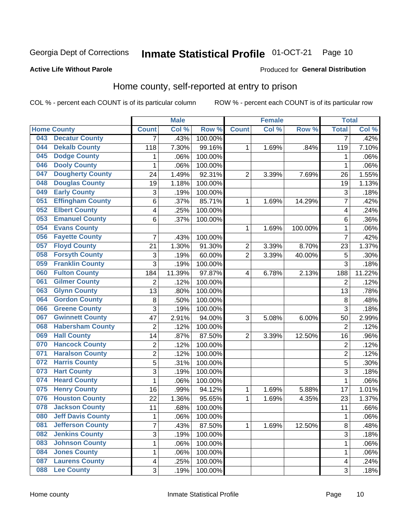#### Inmate Statistical Profile 01-OCT-21 Page 10

### **Active Life Without Parole**

# Produced for General Distribution

# Home county, self-reported at entry to prison

COL % - percent each COUNT is of its particular column

|                    |                          |                         | <b>Male</b> |         |                | <b>Female</b> |         | <b>Total</b>   |         |
|--------------------|--------------------------|-------------------------|-------------|---------|----------------|---------------|---------|----------------|---------|
| <b>Home County</b> |                          | <b>Count</b>            | Col %       | Row %   | <b>Count</b>   | Col %         | Row %   | <b>Total</b>   | Col %   |
| 043                | <b>Decatur County</b>    | 7                       | .43%        | 100.00% |                |               |         | 7              | .42%    |
| 044                | <b>Dekalb County</b>     | 118                     | 7.30%       | 99.16%  | 1              | 1.69%         | .84%    | 119            | 7.10%   |
| 045                | <b>Dodge County</b>      | 1                       | .06%        | 100.00% |                |               |         | 1              | .06%    |
| 046                | <b>Dooly County</b>      | 1                       | .06%        | 100.00% |                |               |         | 1              | .06%    |
| 047                | <b>Dougherty County</b>  | 24                      | 1.49%       | 92.31%  | $\overline{2}$ | 3.39%         | 7.69%   | 26             | 1.55%   |
| 048                | <b>Douglas County</b>    | 19                      | 1.18%       | 100.00% |                |               |         | 19             | 1.13%   |
| 049                | <b>Early County</b>      | 3                       | .19%        | 100.00% |                |               |         | 3              | .18%    |
| 051                | <b>Effingham County</b>  | 6                       | .37%        | 85.71%  | $\mathbf 1$    | 1.69%         | 14.29%  | 7              | .42%    |
| 052                | <b>Elbert County</b>     | 4                       | .25%        | 100.00% |                |               |         | 4              | .24%    |
| 053                | <b>Emanuel County</b>    | 6                       | .37%        | 100.00% |                |               |         | 6              | .36%    |
| 054                | <b>Evans County</b>      |                         |             |         | $\mathbf 1$    | 1.69%         | 100.00% | 1              | .06%    |
| 056                | <b>Fayette County</b>    | 7                       | .43%        | 100.00% |                |               |         | 7              | .42%    |
| 057                | <b>Floyd County</b>      | 21                      | 1.30%       | 91.30%  | $\overline{c}$ | 3.39%         | 8.70%   | 23             | 1.37%   |
| 058                | <b>Forsyth County</b>    | 3                       | .19%        | 60.00%  | $\overline{2}$ | 3.39%         | 40.00%  | 5              | .30%    |
| 059                | <b>Franklin County</b>   | 3                       | .19%        | 100.00% |                |               |         | 3              | .18%    |
| 060                | <b>Fulton County</b>     | 184                     | 11.39%      | 97.87%  | 4              | 6.78%         | 2.13%   | 188            | 11.22%  |
| 061                | <b>Gilmer County</b>     | $\overline{2}$          | .12%        | 100.00% |                |               |         | $\overline{2}$ | .12%    |
| 063                | <b>Glynn County</b>      | 13                      | .80%        | 100.00% |                |               |         | 13             | .78%    |
| 064                | <b>Gordon County</b>     | 8                       | .50%        | 100.00% |                |               |         | 8              | .48%    |
| 066                | <b>Greene County</b>     | 3                       | .19%        | 100.00% |                |               |         | 3              | .18%    |
| 067                | <b>Gwinnett County</b>   | 47                      | 2.91%       | 94.00%  | 3              | 5.08%         | 6.00%   | 50             | 2.99%   |
| 068                | <b>Habersham County</b>  | $\overline{2}$          | .12%        | 100.00% |                |               |         | $\overline{2}$ | .12%    |
| 069                | <b>Hall County</b>       | 14                      | .87%        | 87.50%  | $\overline{2}$ | 3.39%         | 12.50%  | 16             | .96%    |
| 070                | <b>Hancock County</b>    | 2                       | .12%        | 100.00% |                |               |         | $\overline{2}$ | .12%    |
| 071                | <b>Haralson County</b>   | $\overline{2}$          | .12%        | 100.00% |                |               |         | $\overline{2}$ | .12%    |
| 072                | <b>Harris County</b>     | 5                       | .31%        | 100.00% |                |               |         | 5              | .30%    |
| 073                | <b>Hart County</b>       | 3                       | .19%        | 100.00% |                |               |         | 3              | .18%    |
| 074                | <b>Heard County</b>      | 1                       | .06%        | 100.00% |                |               |         | 1              | .06%    |
| 075                | <b>Henry County</b>      | 16                      | .99%        | 94.12%  | $\mathbf 1$    | 1.69%         | 5.88%   | 17             | 1.01%   |
| 076                | <b>Houston County</b>    | 22                      | 1.36%       | 95.65%  | $\mathbf 1$    | 1.69%         | 4.35%   | 23             | 1.37%   |
| 078                | <b>Jackson County</b>    | 11                      | .68%        | 100.00% |                |               |         | 11             | .66%    |
| 080                | <b>Jeff Davis County</b> | 1                       | .06%        | 100.00% |                |               |         | 1              | $.06\%$ |
| 081                | <b>Jefferson County</b>  | $\overline{7}$          | .43%        | 87.50%  | $\mathbf{1}$   | 1.69%         | 12.50%  | 8              | .48%    |
| 082                | <b>Jenkins County</b>    | 3                       | .19%        | 100.00% |                |               |         | 3              | .18%    |
| 083                | <b>Johnson County</b>    | $\mathbf{1}$            | .06%        | 100.00% |                |               |         | 1              | .06%    |
| 084                | <b>Jones County</b>      | 1                       | .06%        | 100.00% |                |               |         | 1              | .06%    |
| 087                | <b>Laurens County</b>    | $\overline{\mathbf{4}}$ | .25%        | 100.00% |                |               |         | 4              | .24%    |
| 088                | <b>Lee County</b>        | 3                       | .19%        | 100.00% |                |               |         | 3              | .18%    |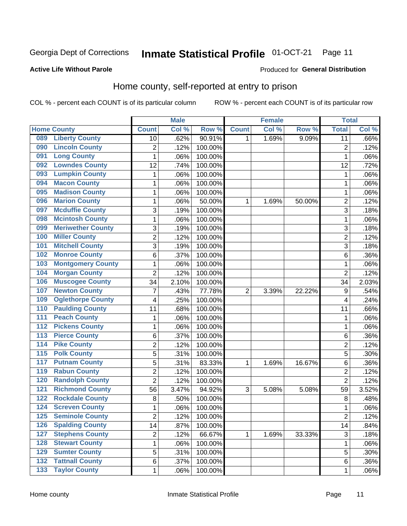#### Inmate Statistical Profile 01-OCT-21 Page 11

### **Active Life Without Parole**

## Produced for General Distribution

# Home county, self-reported at entry to prison

COL % - percent each COUNT is of its particular column

|                  |                          |                | <b>Male</b> |                  |                | <b>Female</b> |        | <b>Total</b>    |       |
|------------------|--------------------------|----------------|-------------|------------------|----------------|---------------|--------|-----------------|-------|
|                  | <b>Home County</b>       | <b>Count</b>   | Col %       | Row <sup>%</sup> | <b>Count</b>   | Col %         | Row %  | <b>Total</b>    | Col % |
| 089              | <b>Liberty County</b>    | 10             | .62%        | 90.91%           | 1              | 1.69%         | 9.09%  | $\overline{11}$ | .66%  |
| 090              | <b>Lincoln County</b>    | $\overline{2}$ | .12%        | 100.00%          |                |               |        | $\overline{2}$  | .12%  |
| 091              | <b>Long County</b>       | $\mathbf 1$    | .06%        | 100.00%          |                |               |        | 1               | .06%  |
| 092              | <b>Lowndes County</b>    | 12             | .74%        | 100.00%          |                |               |        | 12              | .72%  |
| 093              | <b>Lumpkin County</b>    | 1              | .06%        | 100.00%          |                |               |        | 1               | .06%  |
| 094              | <b>Macon County</b>      | $\mathbf 1$    | .06%        | 100.00%          |                |               |        | 1               | .06%  |
| 095              | <b>Madison County</b>    | $\mathbf 1$    | .06%        | 100.00%          |                |               |        | 1               | .06%  |
| 096              | <b>Marion County</b>     | 1              | .06%        | 50.00%           | 1              | 1.69%         | 50.00% | $\overline{c}$  | .12%  |
| 097              | <b>Mcduffie County</b>   | 3              | .19%        | 100.00%          |                |               |        | 3               | .18%  |
| 098              | <b>Mcintosh County</b>   | $\mathbf 1$    | .06%        | 100.00%          |                |               |        | 1               | .06%  |
| 099              | <b>Meriwether County</b> | 3              | .19%        | 100.00%          |                |               |        | 3               | .18%  |
| 100              | <b>Miller County</b>     | $\overline{c}$ | .12%        | 100.00%          |                |               |        | $\overline{2}$  | .12%  |
| 101              | <b>Mitchell County</b>   | 3              | .19%        | 100.00%          |                |               |        | 3               | .18%  |
| 102              | <b>Monroe County</b>     | 6              | .37%        | 100.00%          |                |               |        | 6               | .36%  |
| 103              | <b>Montgomery County</b> | $\mathbf 1$    | .06%        | 100.00%          |                |               |        | 1               | .06%  |
| 104              | <b>Morgan County</b>     | $\overline{2}$ | .12%        | 100.00%          |                |               |        | $\overline{2}$  | .12%  |
| 106              | <b>Muscogee County</b>   | 34             | 2.10%       | 100.00%          |                |               |        | 34              | 2.03% |
| 107              | <b>Newton County</b>     | 7              | .43%        | 77.78%           | $\overline{2}$ | 3.39%         | 22.22% | 9               | .54%  |
| 109              | <b>Oglethorpe County</b> | 4              | .25%        | 100.00%          |                |               |        | 4               | .24%  |
| 110              | <b>Paulding County</b>   | 11             | .68%        | 100.00%          |                |               |        | 11              | .66%  |
| 111              | <b>Peach County</b>      | $\mathbf 1$    | .06%        | 100.00%          |                |               |        | 1               | .06%  |
| $\overline{112}$ | <b>Pickens County</b>    | $\mathbf 1$    | .06%        | 100.00%          |                |               |        | 1               | .06%  |
| 113              | <b>Pierce County</b>     | 6              | .37%        | 100.00%          |                |               |        | 6               | .36%  |
| 114              | <b>Pike County</b>       | $\overline{2}$ | .12%        | 100.00%          |                |               |        | $\overline{2}$  | .12%  |
| $\overline{115}$ | <b>Polk County</b>       | 5              | .31%        | 100.00%          |                |               |        | 5               | .30%  |
| 117              | <b>Putnam County</b>     | 5              | .31%        | 83.33%           | 1              | 1.69%         | 16.67% | 6               | .36%  |
| 119              | <b>Rabun County</b>      | $\overline{2}$ | .12%        | 100.00%          |                |               |        | $\overline{c}$  | .12%  |
| 120              | <b>Randolph County</b>   | $\overline{2}$ | .12%        | 100.00%          |                |               |        | $\overline{2}$  | .12%  |
| 121              | <b>Richmond County</b>   | 56             | 3.47%       | 94.92%           | 3              | 5.08%         | 5.08%  | 59              | 3.52% |
| 122              | <b>Rockdale County</b>   | 8              | .50%        | 100.00%          |                |               |        | $\,8\,$         | .48%  |
| 124              | <b>Screven County</b>    | 1              | .06%        | 100.00%          |                |               |        | 1               | .06%  |
| 125              | <b>Seminole County</b>   | 2              | .12%        | 100.00%          |                |               |        | $\overline{2}$  | .12%  |
| 126              | <b>Spalding County</b>   | 14             | .87%        | 100.00%          |                |               |        | 14              | .84%  |
| 127              | <b>Stephens County</b>   | $\overline{2}$ | .12%        | 66.67%           | 1              | 1.69%         | 33.33% | 3               | .18%  |
| 128              | <b>Stewart County</b>    | $\mathbf 1$    | .06%        | 100.00%          |                |               |        | 1               | .06%  |
| 129              | <b>Sumter County</b>     | 5              | .31%        | 100.00%          |                |               |        | 5               | .30%  |
| 132              | <b>Tattnall County</b>   | 6              | .37%        | 100.00%          |                |               |        | 6               | .36%  |
| 133              | <b>Taylor County</b>     | 1              | .06%        | 100.00%          |                |               |        | 1               | .06%  |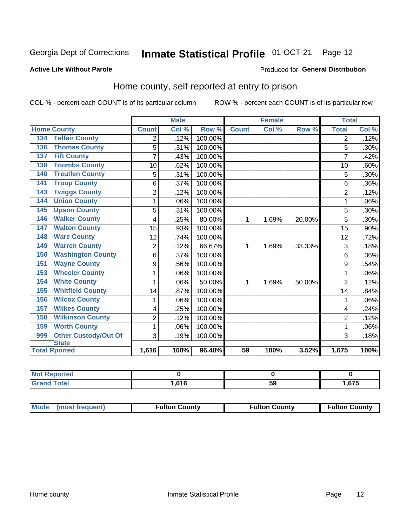#### Inmate Statistical Profile 01-OCT-21 Page 12

### **Active Life Without Parole**

### Produced for General Distribution

# Home county, self-reported at entry to prison

COL % - percent each COUNT is of its particular column

|                                    |                | <b>Male</b> |         |              | <b>Female</b> |        | <b>Total</b>   |       |
|------------------------------------|----------------|-------------|---------|--------------|---------------|--------|----------------|-------|
| <b>Home County</b>                 | <b>Count</b>   | Col %       | Row %   | <b>Count</b> | Col %         | Row %  | <b>Total</b>   | Col % |
| <b>Telfair County</b><br>134       | 2              | .12%        | 100.00% |              |               |        | 2              | .12%  |
| <b>Thomas County</b><br>136        | 5              | .31%        | 100.00% |              |               |        | 5              | .30%  |
| <b>Tift County</b><br>137          | 7              | .43%        | 100.00% |              |               |        | 7              | .42%  |
| <b>Toombs County</b><br>138        | 10             | .62%        | 100.00% |              |               |        | 10             | .60%  |
| <b>Treutlen County</b><br>140      | 5              | .31%        | 100.00% |              |               |        | 5              | .30%  |
| <b>Troup County</b><br>141         | 6              | .37%        | 100.00% |              |               |        | 6              | .36%  |
| <b>Twiggs County</b><br>143        | $\overline{c}$ | .12%        | 100.00% |              |               |        | $\overline{2}$ | .12%  |
| <b>Union County</b><br>144         | 1              | .06%        | 100.00% |              |               |        | 1              | .06%  |
| <b>Upson County</b><br>145         | 5              | .31%        | 100.00% |              |               |        | 5              | .30%  |
| <b>Walker County</b><br>146        | 4              | .25%        | 80.00%  | 1            | 1.69%         | 20.00% | 5              | .30%  |
| <b>Walton County</b><br>147        | 15             | .93%        | 100.00% |              |               |        | 15             | .90%  |
| <b>Ware County</b><br>148          | 12             | .74%        | 100.00% |              |               |        | 12             | .72%  |
| <b>Warren County</b><br>149        | $\overline{2}$ | .12%        | 66.67%  | 1            | 1.69%         | 33.33% | 3              | .18%  |
| <b>Washington County</b><br>150    | 6              | .37%        | 100.00% |              |               |        | 6              | .36%  |
| <b>Wayne County</b><br>151         | 9              | .56%        | 100.00% |              |               |        | 9              | .54%  |
| <b>Wheeler County</b><br>153       | 1              | .06%        | 100.00% |              |               |        | 1              | .06%  |
| <b>White County</b><br>154         | 1              | .06%        | 50.00%  | 1            | 1.69%         | 50.00% | $\overline{2}$ | .12%  |
| <b>Whitfield County</b><br>155     | 14             | .87%        | 100.00% |              |               |        | 14             | .84%  |
| <b>Wilcox County</b><br>156        | 1              | .06%        | 100.00% |              |               |        |                | .06%  |
| <b>Wilkes County</b><br>157        | 4              | .25%        | 100.00% |              |               |        | 4              | .24%  |
| <b>Wilkinson County</b><br>158     | $\overline{2}$ | .12%        | 100.00% |              |               |        | $\overline{2}$ | .12%  |
| <b>Worth County</b><br>159         | 1              | .06%        | 100.00% |              |               |        | 1              | .06%  |
| <b>Other Custody/Out Of</b><br>999 | 3              | .19%        | 100.00% |              |               |        | 3              | .18%  |
| <b>State</b>                       |                |             |         |              |               |        |                |       |
| <b>Total Rported</b>               | 1,616          | 100%        | 96.48%  | 59           | 100%          | 3.52%  | 1,675          | 100%  |

| <b>Not Reported</b> |       |    |     |
|---------------------|-------|----|-----|
| `otal               | .616، | va | 675 |

| Mode (most frequent) | <b>Fulton County</b> | <b>Fulton County</b> | <b>Fulton County</b> |
|----------------------|----------------------|----------------------|----------------------|
|----------------------|----------------------|----------------------|----------------------|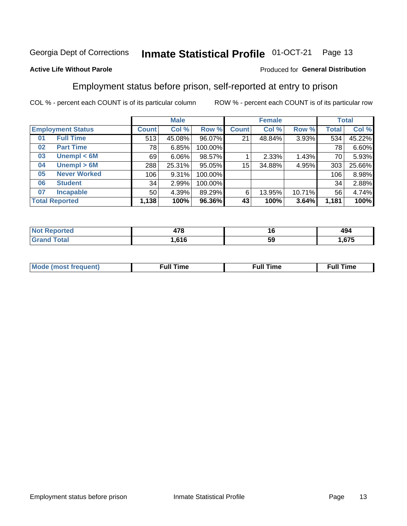#### Inmate Statistical Profile 01-OCT-21 Page 13

### **Active Life Without Parole**

### Produced for General Distribution

# Employment status before prison, self-reported at entry to prison

COL % - percent each COUNT is of its particular column

|                           |                 | <b>Male</b> |         |              | <b>Female</b> |        |              | <b>Total</b> |
|---------------------------|-----------------|-------------|---------|--------------|---------------|--------|--------------|--------------|
| <b>Employment Status</b>  | <b>Count</b>    | Col %       | Row %   | <b>Count</b> | Col %         | Row %  | <b>Total</b> | Col %        |
| <b>Full Time</b><br>01    | 513             | 45.08%      | 96.07%  | 21           | 48.84%        | 3.93%  | 534          | 45.22%       |
| <b>Part Time</b><br>02    | 78              | 6.85%       | 100.00% |              |               |        | 78           | 6.60%        |
| Unempl $<$ 6M<br>03       | 69              | $6.06\%$    | 98.57%  |              | 2.33%         | 1.43%  | 70           | 5.93%        |
| Unempl > 6M<br>04         | 288             | 25.31%      | 95.05%  | $15\,$       | 34.88%        | 4.95%  | 303          | 25.66%       |
| <b>Never Worked</b><br>05 | 106             | 9.31%       | 100.00% |              |               |        | 106          | 8.98%        |
| <b>Student</b><br>06      | 34              | 2.99%       | 100.00% |              |               |        | 34           | 2.88%        |
| <b>Incapable</b><br>07    | 50 <sub>1</sub> | 4.39%       | 89.29%  | 6            | 13.95%        | 10.71% | 56           | 4.74%        |
| <b>Total Reported</b>     | 1,138           | 100%        | 96.36%  | 43           | 100%          | 3.64%  | 1,181        | 100%         |

| הדי<br>41 O<br>$\sim$ | __ | <b>AQ</b> 4<br>494 |
|-----------------------|----|--------------------|
| CAC                   | ວະ | $\sim$<br>.        |

| Mc | ∴ull | ----<br>ıme<br>w |
|----|------|------------------|
|    |      |                  |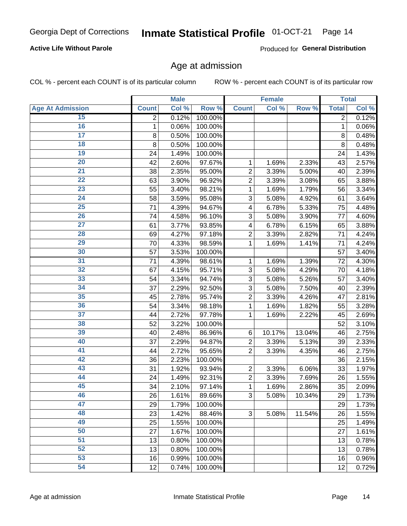# **Active Life Without Parole**

Produced for General Distribution

# Age at admission

COL % - percent each COUNT is of its particular column

|                         |                | <b>Male</b> |         |                           | <b>Female</b> |        |                | <b>Total</b> |
|-------------------------|----------------|-------------|---------|---------------------------|---------------|--------|----------------|--------------|
| <b>Age At Admission</b> | <b>Count</b>   | Col %       | Row %   | <b>Count</b>              | Col %         | Row %  | <b>Total</b>   | Col %        |
| 15                      | $\overline{2}$ | 0.12%       | 100.00% |                           |               |        | $\overline{2}$ | 0.12%        |
| 16                      | 1              | 0.06%       | 100.00% |                           |               |        | 1              | 0.06%        |
| $\overline{17}$         | 8              | 0.50%       | 100.00% |                           |               |        | 8              | 0.48%        |
| 18                      | 8              | 0.50%       | 100.00% |                           |               |        | 8              | 0.48%        |
| 19                      | 24             | 1.49%       | 100.00% |                           |               |        | 24             | 1.43%        |
| $\overline{20}$         | 42             | 2.60%       | 97.67%  | $\mathbf 1$               | 1.69%         | 2.33%  | 43             | 2.57%        |
| 21                      | 38             | 2.35%       | 95.00%  | $\overline{c}$            | 3.39%         | 5.00%  | 40             | 2.39%        |
| $\overline{22}$         | 63             | 3.90%       | 96.92%  | $\overline{2}$            | 3.39%         | 3.08%  | 65             | 3.88%        |
| $\overline{23}$         | 55             | 3.40%       | 98.21%  | 1                         | 1.69%         | 1.79%  | 56             | 3.34%        |
| $\overline{24}$         | 58             | 3.59%       | 95.08%  | 3                         | 5.08%         | 4.92%  | 61             | 3.64%        |
| $\overline{25}$         | 71             | 4.39%       | 94.67%  | 4                         | 6.78%         | 5.33%  | 75             | 4.48%        |
| 26                      | 74             | 4.58%       | 96.10%  | 3                         | 5.08%         | 3.90%  | 77             | 4.60%        |
| $\overline{27}$         | 61             | 3.77%       | 93.85%  | $\overline{\mathbf{4}}$   | 6.78%         | 6.15%  | 65             | 3.88%        |
| 28                      | 69             | 4.27%       | 97.18%  | $\overline{2}$            | 3.39%         | 2.82%  | 71             | 4.24%        |
| 29                      | 70             | 4.33%       | 98.59%  | 1                         | 1.69%         | 1.41%  | 71             | 4.24%        |
| 30                      | 57             | 3.53%       | 100.00% |                           |               |        | 57             | 3.40%        |
| 31                      | 71             | 4.39%       | 98.61%  | 1                         | 1.69%         | 1.39%  | 72             | 4.30%        |
| $\overline{32}$         | 67             | 4.15%       | 95.71%  | 3                         | 5.08%         | 4.29%  | 70             | 4.18%        |
| 33                      | 54             | 3.34%       | 94.74%  | $\overline{3}$            | 5.08%         | 5.26%  | 57             | 3.40%        |
| $\overline{34}$         | 37             | 2.29%       | 92.50%  | 3                         | 5.08%         | 7.50%  | 40             | 2.39%        |
| 35                      | 45             | 2.78%       | 95.74%  | $\overline{2}$            | 3.39%         | 4.26%  | 47             | 2.81%        |
| 36                      | 54             | 3.34%       | 98.18%  | 1                         | 1.69%         | 1.82%  | 55             | 3.28%        |
| $\overline{37}$         | 44             | 2.72%       | 97.78%  | 1                         | 1.69%         | 2.22%  | 45             | 2.69%        |
| 38                      | 52             | 3.22%       | 100.00% |                           |               |        | 52             | 3.10%        |
| 39                      | 40             | 2.48%       | 86.96%  | 6                         | 10.17%        | 13.04% | 46             | 2.75%        |
| 40                      | 37             | 2.29%       | 94.87%  | $\overline{c}$            | 3.39%         | 5.13%  | 39             | 2.33%        |
| 41                      | 44             | 2.72%       | 95.65%  | $\overline{2}$            | 3.39%         | 4.35%  | 46             | 2.75%        |
| 42                      | 36             | 2.23%       | 100.00% |                           |               |        | 36             | 2.15%        |
| 43                      | 31             | 1.92%       | 93.94%  | $\overline{2}$            | 3.39%         | 6.06%  | 33             | 1.97%        |
| 44                      | 24             | 1.49%       | 92.31%  | $\overline{c}$            | 3.39%         | 7.69%  | 26             | 1.55%        |
| 45                      | 34             | 2.10%       | 97.14%  | $\mathbf{1}$              | 1.69%         | 2.86%  | 35             | 2.09%        |
| 46                      | 26             | 1.61%       | 89.66%  | $\ensuremath{\mathsf{3}}$ | 5.08%         | 10.34% | 29             | 1.73%        |
| 47                      | 29             | 1.79%       | 100.00% |                           |               |        | 29             | 1.73%        |
| 48                      | 23             | 1.42%       | 88.46%  | 3                         | 5.08%         | 11.54% | 26             | 1.55%        |
| 49                      | 25             | 1.55%       | 100.00% |                           |               |        | 25             | 1.49%        |
| 50                      | 27             | 1.67%       | 100.00% |                           |               |        | 27             | 1.61%        |
| $\overline{51}$         | 13             | 0.80%       | 100.00% |                           |               |        | 13             | 0.78%        |
| 52                      | 13             | 0.80%       | 100.00% |                           |               |        | 13             | 0.78%        |
| 53                      | 16             | 0.99%       | 100.00% |                           |               |        | 16             | 0.96%        |
| 54                      | 12             | 0.74%       | 100.00% |                           |               |        | 12             | 0.72%        |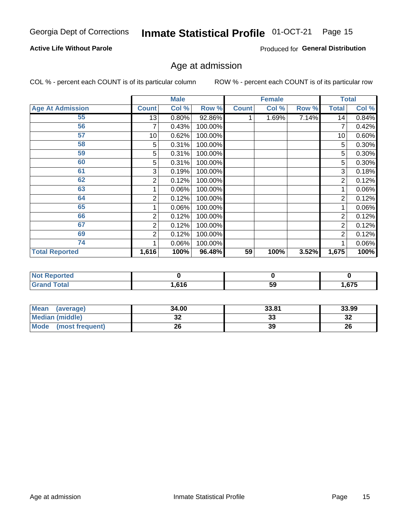# **Active Life Without Parole**

Produced for General Distribution

# Age at admission

COL % - percent each COUNT is of its particular column

|                         |              | <b>Male</b> |           |              | <b>Female</b> |       |                | <b>Total</b> |
|-------------------------|--------------|-------------|-----------|--------------|---------------|-------|----------------|--------------|
| <b>Age At Admission</b> | <b>Count</b> | Col %       | Row %     | <b>Count</b> | Col %         | Row % | <b>Total</b>   | Col %        |
| 55                      | 13           | 0.80%       | $92.86\%$ |              | 1.69%         | 7.14% | 14             | 0.84%        |
| 56                      |              | 0.43%       | 100.00%   |              |               |       |                | 0.42%        |
| 57                      | 10           | 0.62%       | 100.00%   |              |               |       | 10             | 0.60%        |
| 58                      | 5            | 0.31%       | 100.00%   |              |               |       | 5              | 0.30%        |
| 59                      | 5            | 0.31%       | 100.00%   |              |               |       | 5              | 0.30%        |
| 60                      | 5            | 0.31%       | 100.00%   |              |               |       | 5              | 0.30%        |
| 61                      | 3            | 0.19%       | 100.00%   |              |               |       | 3              | 0.18%        |
| 62                      | 2            | 0.12%       | 100.00%   |              |               |       | 2              | 0.12%        |
| 63                      |              | 0.06%       | 100.00%   |              |               |       |                | 0.06%        |
| 64                      | 2            | 0.12%       | 100.00%   |              |               |       | $\overline{2}$ | 0.12%        |
| 65                      |              | 0.06%       | 100.00%   |              |               |       |                | $0.06\%$     |
| 66                      | 2            | 0.12%       | 100.00%   |              |               |       | $\overline{2}$ | 0.12%        |
| 67                      | 2            | 0.12%       | 100.00%   |              |               |       | 2              | 0.12%        |
| 69                      | 2            | 0.12%       | 100.00%   |              |               |       | $\overline{2}$ | 0.12%        |
| 74                      |              | 0.06%       | 100.00%   |              |               |       |                | 0.06%        |
| <b>Total Reported</b>   | 1,616        | 100%        | 96.48%    | 59           | 100%          | 3.52% | 1,675          | 100%         |

| <b>Not Reported</b> |       |    |       |
|---------------------|-------|----|-------|
| <b>Total</b>        | .616. | 59 | 1,675 |

| <b>Mean</b><br>(average)       | 34.00    | 33.81 | 33.99    |
|--------------------------------|----------|-------|----------|
| <b>Median (middle)</b>         | ^^<br>JZ | 33    | ົ<br>-52 |
| <b>Mode</b><br>(most frequent) | 26       | 39    | 26       |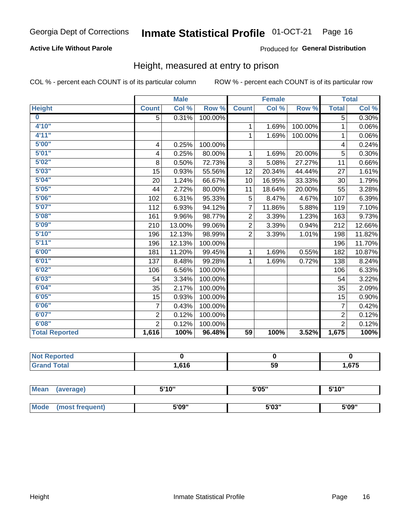# **Active Life Without Parole**

### Produced for General Distribution

# Height, measured at entry to prison

COL % - percent each COUNT is of its particular column

|                       |                         | <b>Male</b> |         |                 | <b>Female</b>              |         |                | <b>Total</b>               |
|-----------------------|-------------------------|-------------|---------|-----------------|----------------------------|---------|----------------|----------------------------|
| <b>Height</b>         | <b>Count</b>            | Col %       | Row %   | <b>Count</b>    | $\overline{\text{Col }^9}$ | Row %   | <b>Total</b>   | $\overline{\text{Col }\%}$ |
| $\bf{0}$              | 5                       | 0.31%       | 100.00% |                 |                            |         | 5              | 0.30%                      |
| 4'10"                 |                         |             |         | 1               | 1.69%                      | 100.00% | 1              | 0.06%                      |
| 4'11''                |                         |             |         | $\mathbf{1}$    | 1.69%                      | 100.00% | 1              | 0.06%                      |
| 5'00''                | $\overline{\mathbf{4}}$ | 0.25%       | 100.00% |                 |                            |         | 4              | 0.24%                      |
| 5'01"                 | 4                       | 0.25%       | 80.00%  | 1.              | 1.69%                      | 20.00%  | 5              | 0.30%                      |
| 5'02"                 | 8                       | 0.50%       | 72.73%  | 3               | 5.08%                      | 27.27%  | 11             | 0.66%                      |
| 5'03''                | 15                      | 0.93%       | 55.56%  | 12              | 20.34%                     | 44.44%  | 27             | 1.61%                      |
| 5'04"                 | 20                      | 1.24%       | 66.67%  | 10              | 16.95%                     | 33.33%  | 30             | 1.79%                      |
| 5'05"                 | 44                      | 2.72%       | 80.00%  | 11              | 18.64%                     | 20.00%  | 55             | 3.28%                      |
| 5'06''                | 102                     | 6.31%       | 95.33%  | 5               | 8.47%                      | 4.67%   | 107            | 6.39%                      |
| 5'07''                | 112                     | 6.93%       | 94.12%  | $\overline{7}$  | 11.86%                     | 5.88%   | 119            | 7.10%                      |
| 5'08''                | 161                     | 9.96%       | 98.77%  | $\overline{2}$  | 3.39%                      | 1.23%   | 163            | 9.73%                      |
| 5'09''                | 210                     | 13.00%      | 99.06%  | $\overline{2}$  | 3.39%                      | 0.94%   | 212            | 12.66%                     |
| 5'10''                | 196                     | 12.13%      | 98.99%  | $\overline{2}$  | 3.39%                      | 1.01%   | 198            | 11.82%                     |
| 5'11"                 | 196                     | 12.13%      | 100.00% |                 |                            |         | 196            | 11.70%                     |
| 6'00''                | 181                     | 11.20%      | 99.45%  | $\mathbf{1}$    | 1.69%                      | 0.55%   | 182            | 10.87%                     |
| 6'01''                | 137                     | 8.48%       | 99.28%  | 1               | 1.69%                      | 0.72%   | 138            | 8.24%                      |
| 6'02"                 | 106                     | 6.56%       | 100.00% |                 |                            |         | 106            | 6.33%                      |
| 6'03''                | 54                      | 3.34%       | 100.00% |                 |                            |         | 54             | 3.22%                      |
| 6'04"                 | 35                      | 2.17%       | 100.00% |                 |                            |         | 35             | 2.09%                      |
| 6'05"                 | 15                      | 0.93%       | 100.00% |                 |                            |         | 15             | 0.90%                      |
| 6'06''                | $\overline{7}$          | 0.43%       | 100.00% |                 |                            |         | $\overline{7}$ | 0.42%                      |
| 6'07''                | $\overline{2}$          | 0.12%       | 100.00% |                 |                            |         | $\overline{2}$ | 0.12%                      |
| 6'08''                | $\overline{2}$          | 0.12%       | 100.00% |                 |                            |         | $\overline{2}$ | 0.12%                      |
| <b>Total Reported</b> | 1,616                   | 100%        | 96.48%  | $\overline{59}$ | 100%                       | 3.52%   | 1,675          | 100%                       |

| NOT<br>rtea<br>.<br>$\sim$ |      |    |            |
|----------------------------|------|----|------------|
| $int^{\bullet}$            | .616 | 59 | 675<br>ט ו |

| <b>Mean</b> | (average)       | 5'10" | 5'05"                | 5'10"<br>ັ |  |
|-------------|-----------------|-------|----------------------|------------|--|
|             |                 |       |                      |            |  |
| <b>Mode</b> | (most frequent) | 5'09" | <b>E'OO"</b><br>ว บง | 5'09"      |  |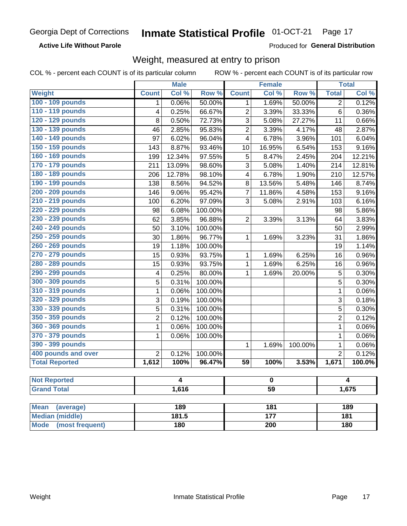### **Active Life Without Parole**

Produced for General Distribution

# Weight, measured at entry to prison

COL % - percent each COUNT is of its particular column

|                                |                         | <b>Male</b> |         |                         | <b>Female</b>   |                  |                | <b>Total</b>     |  |
|--------------------------------|-------------------------|-------------|---------|-------------------------|-----------------|------------------|----------------|------------------|--|
| <b>Weight</b>                  | <b>Count</b>            | Col %       | Row %   | <b>Count</b>            | Col %           | Row <sup>%</sup> | <b>Total</b>   | Col %            |  |
| 100 - 109 pounds               | 1                       | 0.06%       | 50.00%  | 1                       | 1.69%           | 50.00%           | $\overline{2}$ | 0.12%            |  |
| 110 - 119 pounds               | $\overline{\mathbf{4}}$ | 0.25%       | 66.67%  | $\overline{2}$          | 3.39%           | 33.33%           | 6              | 0.36%            |  |
| 120 - 129 pounds               | 8                       | 0.50%       | 72.73%  | 3                       | 5.08%           | 27.27%           | 11             | 0.66%            |  |
| 130 - 139 pounds               | 46                      | 2.85%       | 95.83%  | $\overline{2}$          | 3.39%           | 4.17%            | 48             | 2.87%            |  |
| 140 - 149 pounds               | 97                      | 6.02%       | 96.04%  | $\overline{\mathbf{4}}$ | 6.78%           | 3.96%            | 101            | 6.04%            |  |
| 150 - 159 pounds               | 143                     | 8.87%       | 93.46%  | 10                      | 16.95%          | 6.54%            | 153            | 9.16%            |  |
| 160 - 169 pounds               | 199                     | 12.34%      | 97.55%  | 5                       | 8.47%           | 2.45%            | 204            | 12.21%           |  |
| 170 - 179 pounds               | 211                     | 13.09%      | 98.60%  | 3                       | 5.08%           | 1.40%            | 214            | 12.81%           |  |
| 180 - 189 pounds               | 206                     | 12.78%      | 98.10%  | $\overline{\mathbf{4}}$ | 6.78%           | 1.90%            | 210            | 12.57%           |  |
| 190 - 199 pounds               | 138                     | 8.56%       | 94.52%  | 8                       | 13.56%          | 5.48%            | 146            | 8.74%            |  |
| 200 - 209 pounds               | 146                     | 9.06%       | 95.42%  | $\overline{7}$          | 11.86%          | 4.58%            | 153            | 9.16%            |  |
| 210 - 219 pounds               | 100                     | 6.20%       | 97.09%  | 3                       | 5.08%           | 2.91%            | 103            | 6.16%            |  |
| 220 - 229 pounds               | 98                      | 6.08%       | 100.00% |                         |                 |                  | 98             | 5.86%            |  |
| 230 - 239 pounds               | 62                      | 3.85%       | 96.88%  | $\overline{2}$          | 3.39%           | 3.13%            | 64             | 3.83%            |  |
| 240 - 249 pounds               | 50                      | 3.10%       | 100.00% |                         |                 |                  | 50             | 2.99%            |  |
| 250 - 259 pounds               | 30                      | 1.86%       | 96.77%  | $\mathbf{1}$            | 1.69%           | 3.23%            | 31             | 1.86%            |  |
| 260 - 269 pounds               | 19                      | 1.18%       | 100.00% |                         |                 |                  | 19             | 1.14%            |  |
| 270 - 279 pounds               | 15                      | 0.93%       | 93.75%  | $\mathbf{1}$            | 1.69%           | 6.25%            | 16             | 0.96%            |  |
| 280 - 289 pounds               | 15                      | 0.93%       | 93.75%  | $\mathbf 1$             | 1.69%           | 6.25%            | 16             | 0.96%            |  |
| 290 - 299 pounds               | 4                       | 0.25%       | 80.00%  | 1                       | 1.69%           | 20.00%           | 5              | 0.30%            |  |
| 300 - 309 pounds               | 5                       | 0.31%       | 100.00% |                         |                 |                  | $\overline{5}$ | 0.30%            |  |
| 310 - 319 pounds               | $\mathbf 1$             | 0.06%       | 100.00% |                         |                 |                  | $\mathbf 1$    | 0.06%            |  |
| 320 - 329 pounds               | 3                       | 0.19%       | 100.00% |                         |                 |                  | 3              | 0.18%            |  |
| 330 - 339 pounds               | $\overline{5}$          | 0.31%       | 100.00% |                         |                 |                  | $\overline{5}$ | 0.30%            |  |
| 350 - 359 pounds               | $\overline{2}$          | 0.12%       | 100.00% |                         |                 |                  | $\overline{c}$ | 0.12%            |  |
| 360 - 369 pounds               | 1                       | 0.06%       | 100.00% |                         |                 |                  | $\mathbf{1}$   | 0.06%            |  |
| 370 - 379 pounds               | 1                       | 0.06%       | 100.00% |                         |                 |                  | $\mathbf 1$    | 0.06%            |  |
| 390 - 399 pounds               |                         |             |         | 1                       | 1.69%           | 100.00%          | $\mathbf 1$    | 0.06%            |  |
| 400 pounds and over            | $\overline{2}$          | 0.12%       | 100.00% |                         |                 |                  | $\overline{2}$ | 0.12%            |  |
| <b>Total Reported</b>          | 1,612                   | 100%        | 96.47%  | $\overline{59}$         | 100%            | 3.53%            | 1,671          | 100.0%           |  |
|                                |                         |             |         |                         |                 |                  |                |                  |  |
| <b>Not Reported</b>            | 4<br>0                  |             |         |                         | 4               |                  |                |                  |  |
| <b>Grand Total</b>             |                         | 1,616       |         |                         | $\overline{59}$ |                  |                | 1,675            |  |
| <b>Mean</b><br>(average)       |                         | 189         |         |                         | 181             |                  |                | 189              |  |
| <b>Median (middle)</b>         |                         | 181.5       |         |                         | 177             |                  |                | $\overline{181}$ |  |
| <b>Mode</b><br>(most frequent) |                         | 180         |         | $\overline{200}$        |                 |                  | 180            |                  |  |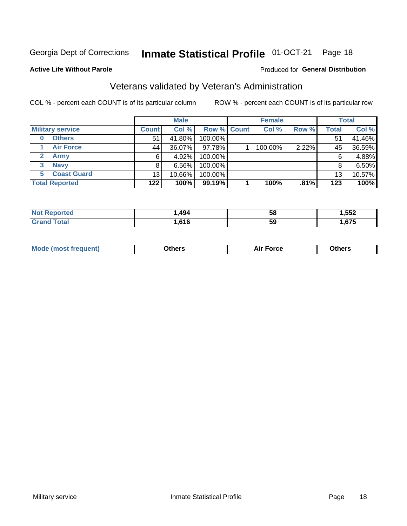#### Inmate Statistical Profile 01-OCT-21 Page 18

### **Active Life Without Parole**

# Produced for General Distribution

# Veterans validated by Veteran's Administration

COL % - percent each COUNT is of its particular column

|                          |              | <b>Male</b> |                    | <b>Female</b> |       |              | <b>Total</b> |
|--------------------------|--------------|-------------|--------------------|---------------|-------|--------------|--------------|
| <b>Military service</b>  | <b>Count</b> | Col %       | <b>Row % Count</b> | Col %         | Row % | <b>Total</b> | Col %        |
| <b>Others</b><br>0       | 51           | 41.80%      | 100.00%            |               |       | 51           | 41.46%       |
| <b>Air Force</b>         | 44           | 36.07%      | 97.78%             | 100.00%       | 2.22% | 45           | 36.59%       |
| <b>Army</b>              | 6            | 4.92%       | 100.00%            |               |       | 6            | 4.88%        |
| <b>Navy</b><br>3         | 8            | $6.56\%$    | 100.00%            |               |       | 8            | 6.50%        |
| <b>Coast Guard</b><br>5. | 13           | 10.66%      | 100.00%            |               |       | 13           | 10.57%       |
| <b>Total Reported</b>    | 122          | 100%        | $99.19\%$          | 100%          | .81%  | 123          | 100%         |

| тес | .494 | 5٤  | <b>FFA</b><br><br>JJZ –<br>__ |
|-----|------|-----|-------------------------------|
| int | .616 | -59 | $\sim$<br>h,                  |

| <b>Moo.</b> |
|-------------|
|-------------|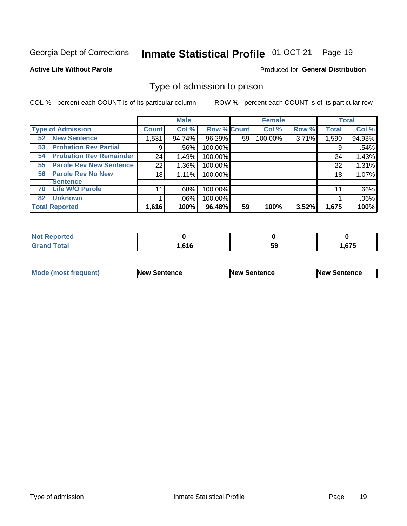#### Inmate Statistical Profile 01-OCT-21 Page 19

### **Active Life Without Parole**

### Produced for General Distribution

# Type of admission to prison

COL % - percent each COUNT is of its particular column

|                                      |              | <b>Male</b> |                    |    | <b>Female</b> |       |              | <b>Total</b> |
|--------------------------------------|--------------|-------------|--------------------|----|---------------|-------|--------------|--------------|
| <b>Type of Admission</b>             | <b>Count</b> | Col %       | <b>Row % Count</b> |    | Col %         | Row % | <b>Total</b> | Col %        |
| <b>New Sentence</b><br>52            | 1,531        | 94.74%      | 96.29%             | 59 | 100.00%       | 3.71% | 1,590        | 94.93%       |
| <b>Probation Rev Partial</b><br>53   | 9            | .56%        | 100.00%            |    |               |       | 9            | .54%         |
| <b>Probation Rev Remainder</b><br>54 | 24           | 1.49%       | 100.00%            |    |               |       | 24           | 1.43%        |
| <b>Parole Rev New Sentence</b><br>55 | 22           | 1.36%       | 100.00%            |    |               |       | 22           | 1.31%        |
| <b>Parole Rev No New</b><br>56       | 18           | 1.11%       | 100.00%            |    |               |       | 18           | 1.07%        |
| <b>Sentence</b>                      |              |             |                    |    |               |       |              |              |
| <b>Life W/O Parole</b><br>70         | 11           | .68%        | 100.00%            |    |               |       | 11           | .66%         |
| <b>Unknown</b><br>82                 |              | .06%        | 100.00%            |    |               |       |              | .06%         |
| <b>Total Reported</b>                | 1,616        | 100%        | 96.48%             | 59 | 100%          | 3.52% | 1,675        | 100%         |

| <b>Not Reported</b> |     |           |      |
|---------------------|-----|-----------|------|
| <b>Total</b>        | 64C | E C<br>ວະ | .675 |

| Mode (most frequent) | <b>New Sentence</b> | <b>New Sentence</b> | <b>New Sentence</b> |
|----------------------|---------------------|---------------------|---------------------|
|                      |                     |                     |                     |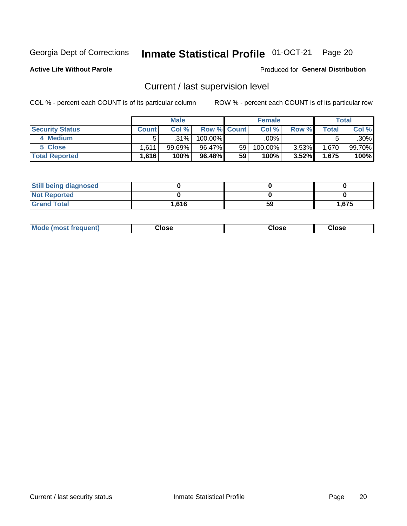# Inmate Statistical Profile 01-OCT-21 Page 20

**Active Life Without Parole** 

### Produced for General Distribution

# Current / last supervision level

COL % - percent each COUNT is of its particular column

|                        |              | <b>Male</b> |                    |    | <b>Female</b> |          |              | <b>Total</b> |
|------------------------|--------------|-------------|--------------------|----|---------------|----------|--------------|--------------|
| <b>Security Status</b> | <b>Count</b> | Col%        | <b>Row % Count</b> |    | Col %         | Row %    | <b>Total</b> | Col %        |
| 4 Medium               |              | .31%        | 100.00%            |    | .00%          |          |              | .30%         |
| 5 Close                | 1.611        | $99.69\%$   | 96.47%             | 59 | 100.00%       | $3.53\%$ | 1,670        | 99.70%       |
| <b>Total Reported</b>  | 1.616        | 100%        | 96.48%             | 59 | 100%          | $3.52\%$ | 1,675        | 100%         |

| <b>Still being diagnosed</b> |       |    |       |
|------------------------------|-------|----|-------|
| <b>Not Reported</b>          |       |    |       |
| <b>Grand Total</b>           | 1,616 | 59 | 1,675 |

| <b>Mode (most frequent)</b> | Close | ∵lose | Close |
|-----------------------------|-------|-------|-------|
|                             |       |       |       |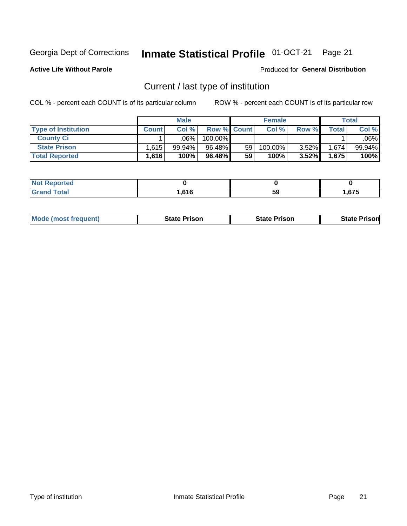#### Inmate Statistical Profile 01-OCT-21 Page 21

**Active Life Without Parole** 

Produced for General Distribution

# Current / last type of institution

COL % - percent each COUNT is of its particular column

|                            |              | <b>Male</b> |                    |    | <b>Female</b> |          |       | Total  |
|----------------------------|--------------|-------------|--------------------|----|---------------|----------|-------|--------|
| <b>Type of Institution</b> | <b>Count</b> | Col %       | <b>Row % Count</b> |    | Col%          | Row %    | Total | Col %  |
| <b>County Ci</b>           |              | .06%        | 100.00%            |    |               |          |       | .06% l |
| <b>State Prison</b>        | 1.615        | $99.94\%$   | 96.48%             | 59 | 100.00%       | $3.52\%$ | 1,674 | 99.94% |
| <b>Total Reported</b>      | 1,616        | 100%        | 96.48%             | 59 | 100%          | 3.52%    | 1,675 | 100%   |

| tea                         |            |    |      |
|-----------------------------|------------|----|------|
| $\sim$ $\sim$ $\sim$ $\sim$ | <b>CAC</b> | ວະ | .675 |

|  | <b>Mode (most frequent)</b> | State Prison | <b>State Prison</b> | risonl<br>State |
|--|-----------------------------|--------------|---------------------|-----------------|
|--|-----------------------------|--------------|---------------------|-----------------|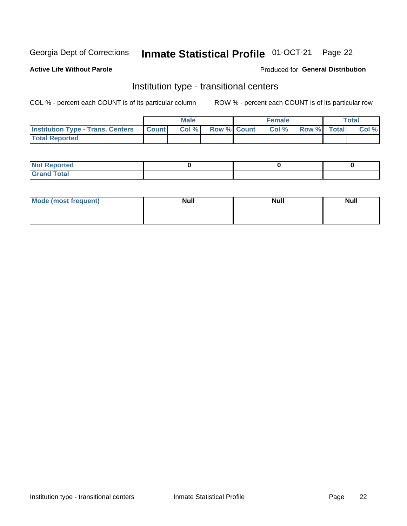#### Inmate Statistical Profile 01-OCT-21 Page 22

## **Active Life Without Parole**

### Produced for General Distribution

# Institution type - transitional centers

COL % - percent each COUNT is of its particular column

|                                                  | <b>Male</b> |                    | <b>Female</b> |             | Total |
|--------------------------------------------------|-------------|--------------------|---------------|-------------|-------|
| <b>Institution Type - Trans. Centers Count  </b> | Col%        | <b>Row % Count</b> | Col %         | Row % Total | Col % |
| <b>Total Reported</b>                            |             |                    |               |             |       |

| <b>Reported</b><br><b>NOT</b><br>$\sim$            |  |  |
|----------------------------------------------------|--|--|
| $f$ $f \circ f \circ f$<br>$C = 1$<br><b>TULAI</b> |  |  |

| Mode (most frequent) | <b>Null</b> | <b>Null</b> | <b>Null</b> |
|----------------------|-------------|-------------|-------------|
|                      |             |             |             |
|                      |             |             |             |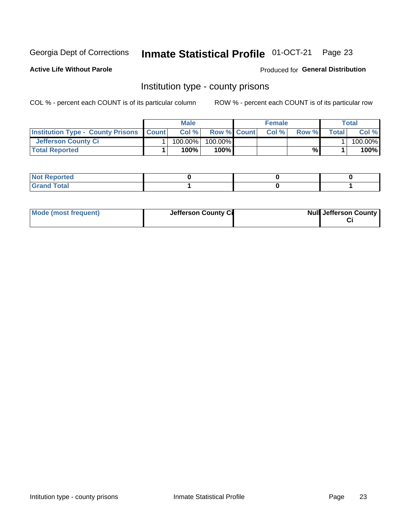# Inmate Statistical Profile 01-OCT-21 Page 23

**Active Life Without Parole** 

Produced for General Distribution

# Institution type - county prisons

COL % - percent each COUNT is of its particular column

|                                                    | <b>Male</b> |                    | <b>Female</b> |       |       | Total    |
|----------------------------------------------------|-------------|--------------------|---------------|-------|-------|----------|
| <b>Institution Type - County Prisons   Count  </b> | Col %       | <b>Row % Count</b> | Col%          | Row % | Total | Col %    |
| <b>Jefferson County Ci</b>                         | $100.00\%$  | 100.00%            |               |       |       | 100.00%l |
| <b>Total Reported</b>                              | 100%        | $100\%$            |               | ℅     |       | 100%     |

| <b>Not Reported</b> |  |  |
|---------------------|--|--|
| nd Total<br>Grand   |  |  |

| Mode (most frequent) | Jefferson County Ci | <b>Null Jefferson County</b> |
|----------------------|---------------------|------------------------------|
|                      |                     |                              |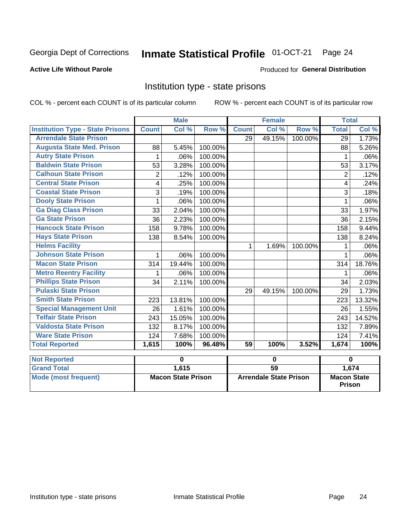#### Inmate Statistical Profile 01-OCT-21 Page 24

## **Active Life Without Parole**

### Produced for General Distribution

# Institution type - state prisons

COL % - percent each COUNT is of its particular column

|                                         |                | <b>Male</b> |         |                 | <b>Female</b> |         | <b>Total</b>   |        |
|-----------------------------------------|----------------|-------------|---------|-----------------|---------------|---------|----------------|--------|
| <b>Institution Type - State Prisons</b> | <b>Count</b>   | Col %       | Row %   | <b>Count</b>    | Col %         | Row %   | <b>Total</b>   | Col %  |
| <b>Arrendale State Prison</b>           |                |             |         | 29              | 49.15%        | 100.00% | 29             | 1.73%  |
| <b>Augusta State Med. Prison</b>        | 88             | 5.45%       | 100.00% |                 |               |         | 88             | 5.26%  |
| <b>Autry State Prison</b>               | 1              | .06%        | 100.00% |                 |               |         | 1              | .06%   |
| <b>Baldwin State Prison</b>             | 53             | 3.28%       | 100.00% |                 |               |         | 53             | 3.17%  |
| <b>Calhoun State Prison</b>             | $\overline{2}$ | .12%        | 100.00% |                 |               |         | $\overline{2}$ | .12%   |
| <b>Central State Prison</b>             | 4              | .25%        | 100.00% |                 |               |         | 4              | .24%   |
| <b>Coastal State Prison</b>             | 3              | .19%        | 100.00% |                 |               |         | 3              | .18%   |
| <b>Dooly State Prison</b>               | 1              | .06%        | 100.00% |                 |               |         | 1              | .06%   |
| <b>Ga Diag Class Prison</b>             | 33             | 2.04%       | 100.00% |                 |               |         | 33             | 1.97%  |
| <b>Ga State Prison</b>                  | 36             | 2.23%       | 100.00% |                 |               |         | 36             | 2.15%  |
| <b>Hancock State Prison</b>             | 158            | 9.78%       | 100.00% |                 |               |         | 158            | 9.44%  |
| <b>Hays State Prison</b>                | 138            | 8.54%       | 100.00% |                 |               |         | 138            | 8.24%  |
| <b>Helms Facility</b>                   |                |             |         | 1               | 1.69%         | 100.00% | 1              | .06%   |
| <b>Johnson State Prison</b>             | 1              | .06%        | 100.00% |                 |               |         |                | .06%   |
| <b>Macon State Prison</b>               | 314            | 19.44%      | 100.00% |                 |               |         | 314            | 18.76% |
| <b>Metro Reentry Facility</b>           | 1              | .06%        | 100.00% |                 |               |         | 1              | .06%   |
| <b>Phillips State Prison</b>            | 34             | 2.11%       | 100.00% |                 |               |         | 34             | 2.03%  |
| <b>Pulaski State Prison</b>             |                |             |         | 29              | 49.15%        | 100.00% | 29             | 1.73%  |
| <b>Smith State Prison</b>               | 223            | 13.81%      | 100.00% |                 |               |         | 223            | 13.32% |
| <b>Special Management Unit</b>          | 26             | 1.61%       | 100.00% |                 |               |         | 26             | 1.55%  |
| <b>Telfair State Prison</b>             | 243            | 15.05%      | 100.00% |                 |               |         | 243            | 14.52% |
| <b>Valdosta State Prison</b>            | 132            | 8.17%       | 100.00% |                 |               |         | 132            | 7.89%  |
| <b>Ware State Prison</b>                | 124            | 7.68%       | 100.00% |                 |               |         | 124            | 7.41%  |
| <b>Total Reported</b>                   | 1,615          | 100%        | 96.48%  | $\overline{59}$ | 100%          | 3.52%   | 1,674          | 100%   |
| <b>Not Reported</b>                     |                | 0           |         |                 | 0             |         | $\bf{0}$       |        |

| <b>Not Reported</b>  |                           |                               |                                     |
|----------------------|---------------------------|-------------------------------|-------------------------------------|
| <b>Grand Total</b>   | 1.615                     | 59                            | 1.674                               |
| Mode (most frequent) | <b>Macon State Prison</b> | <b>Arrendale State Prison</b> | <b>Macon State</b><br><b>Prison</b> |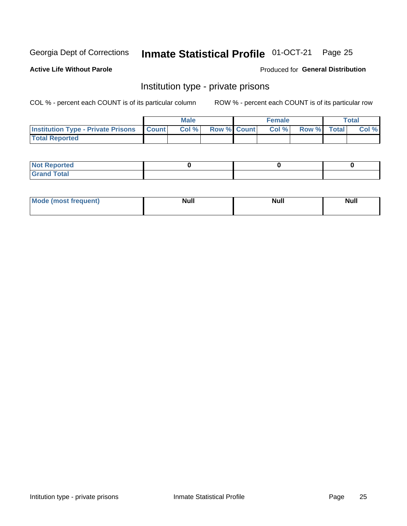# Inmate Statistical Profile 01-OCT-21 Page 25

# **Active Life Without Parole**

### Produced for General Distribution

# Institution type - private prisons

COL % - percent each COUNT is of its particular column

|                                                     | <b>Male</b> |                    | <b>Female</b> |             | <b>Total</b> |
|-----------------------------------------------------|-------------|--------------------|---------------|-------------|--------------|
| <b>Institution Type - Private Prisons   Count  </b> | Col%        | <b>Row % Count</b> | Col %         | Row % Total | Col %        |
| <b>Total Reported</b>                               |             |                    |               |             |              |

| Not Reported           |  |  |
|------------------------|--|--|
| <b>Cotal</b><br>______ |  |  |

| <b>Mo</b><br>frequent) | <b>Null</b> | <b>Null</b> | . . I *<br><b>IVUII</b> |
|------------------------|-------------|-------------|-------------------------|
|                        |             |             |                         |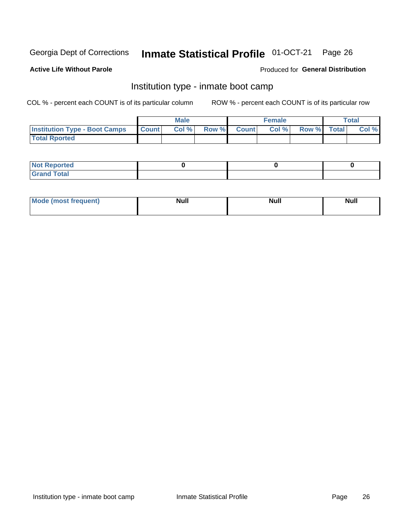#### Inmate Statistical Profile 01-OCT-21 Page 26

### **Active Life Without Parole**

### Produced for General Distribution

# Institution type - inmate boot camp

COL % - percent each COUNT is of its particular column

|                                      |              | <b>Male</b> |               |              | <b>Female</b> |             | <b>Total</b> |
|--------------------------------------|--------------|-------------|---------------|--------------|---------------|-------------|--------------|
| <b>Institution Type - Boot Camps</b> | <b>Count</b> | Col %       | <b>Row %I</b> | <b>Count</b> | Col %         | Row % Total | Col %        |
| <b>Total Rported</b>                 |              |             |               |              |               |             |              |

| <b>Not Reported</b>            |  |  |
|--------------------------------|--|--|
| <b>Total</b><br>C <sub>r</sub> |  |  |

| Mod<br>uamo | Nul.<br>$- - - - - -$ | <b>Null</b> | . .<br>uu.<br>------ |
|-------------|-----------------------|-------------|----------------------|
|             |                       |             |                      |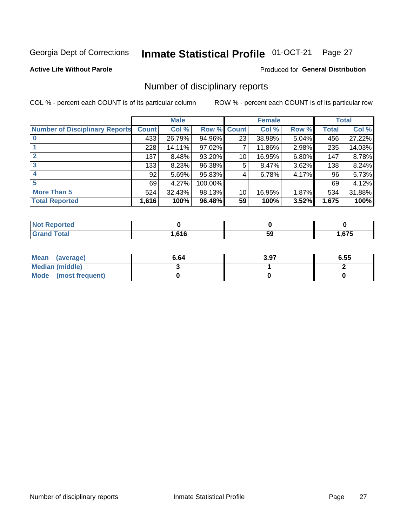#### Inmate Statistical Profile 01-OCT-21 Page 27

**Active Life Without Parole** 

### Produced for General Distribution

# Number of disciplinary reports

COL % - percent each COUNT is of its particular column

|                                       |              | <b>Male</b> |         |              | <b>Female</b> |       |              | <b>Total</b> |
|---------------------------------------|--------------|-------------|---------|--------------|---------------|-------|--------------|--------------|
| <b>Number of Disciplinary Reports</b> | <b>Count</b> | Col %       | Row %   | <b>Count</b> | Col %         | Row % | <b>Total</b> | Col %        |
|                                       | 433          | 26.79%      | 94.96%  | 23           | 38.98%        | 5.04% | 456          | 27.22%       |
|                                       | 228          | 14.11%      | 97.02%  | 7            | 11.86%        | 2.98% | 235          | 14.03%       |
| $\mathbf{2}$                          | 137          | 8.48%       | 93.20%  | 10           | 16.95%        | 6.80% | 147          | 8.78%        |
| 3                                     | 133          | 8.23%       | 96.38%  | 5            | 8.47%         | 3.62% | 138          | 8.24%        |
|                                       | 92           | 5.69%       | 95.83%  | 4            | 6.78%         | 4.17% | 96           | 5.73%        |
| 5                                     | 69           | 4.27%       | 100.00% |              |               |       | 69           | 4.12%        |
| <b>More Than 5</b>                    | 524          | 32.43%      | 98.13%  | 10           | 16.95%        | 1.87% | 534          | 31.88%       |
| <b>Total Reported</b>                 | 1,616        | 100%        | 96.48%  | 59           | 100%          | 3.52% | 1,675        | 100%         |

| <b>orted</b><br>NOT |      |    |      |
|---------------------|------|----|------|
| <sup>-</sup> otal   | .616 | 59 | .675 |

| Mean (average)       | 6.64 | 3.97 | 6.55 |
|----------------------|------|------|------|
| Median (middle)      |      |      |      |
| Mode (most frequent) |      |      |      |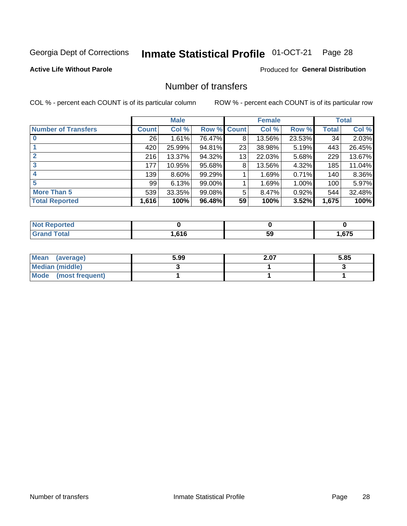# Inmate Statistical Profile 01-OCT-21 Page 28

## **Active Life Without Parole**

# **Produced for General Distribution**

# Number of transfers

COL % - percent each COUNT is of its particular column

|                            |         | <b>Male</b> |             |    | <b>Female</b> |        |       | <b>Total</b> |
|----------------------------|---------|-------------|-------------|----|---------------|--------|-------|--------------|
| <b>Number of Transfers</b> | Count l | Col %       | Row % Count |    | Col %         | Row %  | Total | Col %        |
|                            | 26      | 1.61%       | 76.47%      | 8  | 13.56%        | 23.53% | 34    | 2.03%        |
|                            | 420     | 25.99%      | 94.81%      | 23 | 38.98%        | 5.19%  | 443   | 26.45%       |
| 2                          | 216     | 13.37%      | 94.32%      | 13 | 22.03%        | 5.68%  | 229   | 13.67%       |
| 3                          | 177     | 10.95%      | 95.68%      | 8  | 13.56%        | 4.32%  | 185   | 11.04%       |
|                            | 139     | $8.60\%$    | 99.29%      |    | 1.69%         | 0.71%  | 140   | 8.36%        |
| 5                          | 99      | 6.13%       | 99.00%      |    | 1.69%         | 1.00%  | 100   | 5.97%        |
| <b>More Than 5</b>         | 539     | 33.35%      | 99.08%      | 5  | 8.47%         | 0.92%  | 544   | 32.48%       |
| <b>Total Reported</b>      | 1,616   | 100%        | 96.48%      | 59 | 100%          | 3.52%  | 1,675 | 100%         |

| <b>orted</b><br>NOT |      |    |      |
|---------------------|------|----|------|
| <sup>-</sup> otal   | .616 | 59 | .675 |

| Mean (average)       | 5.99 | 2.07 | 5.85 |
|----------------------|------|------|------|
| Median (middle)      |      |      |      |
| Mode (most frequent) |      |      |      |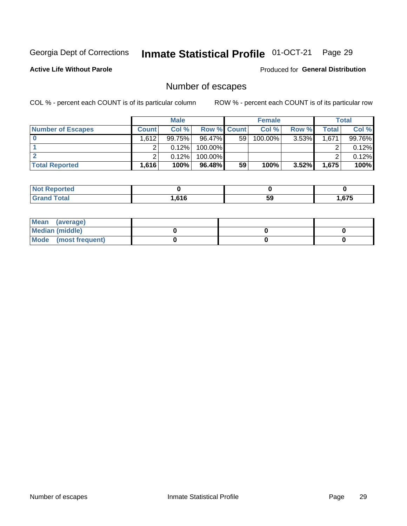# Inmate Statistical Profile 01-OCT-21 Page 29

**Active Life Without Parole** 

Produced for General Distribution

# Number of escapes

COL % - percent each COUNT is of its particular column

|                          |              | <b>Male</b> |                    |    | <b>Female</b> |          |       | Total  |
|--------------------------|--------------|-------------|--------------------|----|---------------|----------|-------|--------|
| <b>Number of Escapes</b> | <b>Count</b> | Col %       | <b>Row % Count</b> |    | Col %         | Row %    | Total | Col %  |
|                          | 1,612        | 99.75%      | $96.47\%$          | 59 | 100.00%       | $3.53\%$ | 1,671 | 99.76% |
|                          |              | 0.12%       | $100.00\%$         |    |               |          |       | 0.12%  |
|                          |              | 0.12%       | $100.00\%$         |    |               |          |       | 0.12%  |
| <b>Total Reported</b>    | 1.616        | 100%        | $96.48\%$          | 59 | 100%          | $3.52\%$ | 1.675 | 100%   |

| <b>nted</b><br><b>NOT</b>    |      |    |      |
|------------------------------|------|----|------|
| <b>fotal</b><br><b>Grand</b> | .616 | 59 | .675 |

| Mean (average)       |  |  |
|----------------------|--|--|
| Median (middle)      |  |  |
| Mode (most frequent) |  |  |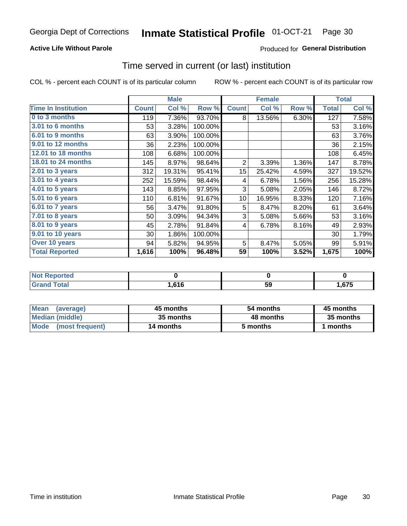# **Active Life Without Parole**

# Produced for General Distribution

# Time served in current (or last) institution

COL % - percent each COUNT is of its particular column

|                            |              | <b>Male</b> |         |                | <b>Female</b> |       |              | <b>Total</b> |
|----------------------------|--------------|-------------|---------|----------------|---------------|-------|--------------|--------------|
| <b>Time In Institution</b> | <b>Count</b> | Col %       | Row %   | <b>Count</b>   | Col %         | Row % | <b>Total</b> | Col %        |
| 0 to 3 months              | 119          | 7.36%       | 93.70%  | 8              | 13.56%        | 6.30% | 127          | 7.58%        |
| 3.01 to 6 months           | 53           | 3.28%       | 100.00% |                |               |       | 53           | 3.16%        |
| 6.01 to 9 months           | 63           | 3.90%       | 100.00% |                |               |       | 63           | 3.76%        |
| 9.01 to 12 months          | 36           | 2.23%       | 100.00% |                |               |       | 36           | 2.15%        |
| 12.01 to 18 months         | 108          | 6.68%       | 100.00% |                |               |       | 108          | 6.45%        |
| <b>18.01 to 24 months</b>  | 145          | 8.97%       | 98.64%  | $\overline{2}$ | 3.39%         | 1.36% | 147          | 8.78%        |
| 2.01 to 3 years            | 312          | 19.31%      | 95.41%  | 15             | 25.42%        | 4.59% | 327          | 19.52%       |
| 3.01 to 4 years            | 252          | 15.59%      | 98.44%  | 4              | 6.78%         | 1.56% | 256          | 15.28%       |
| 4.01 to 5 years            | 143          | 8.85%       | 97.95%  | 3              | 5.08%         | 2.05% | 146          | 8.72%        |
| 5.01 to 6 years            | 110          | 6.81%       | 91.67%  | 10             | 16.95%        | 8.33% | 120          | 7.16%        |
| 6.01 to 7 years            | 56           | 3.47%       | 91.80%  | 5              | 8.47%         | 8.20% | 61           | 3.64%        |
| $7.01$ to 8 years          | 50           | 3.09%       | 94.34%  | 3              | 5.08%         | 5.66% | 53           | 3.16%        |
| $8.01$ to $9$ years        | 45           | 2.78%       | 91.84%  | 4              | 6.78%         | 8.16% | 49           | 2.93%        |
| 9.01 to 10 years           | 30           | 1.86%       | 100.00% |                |               |       | 30           | 1.79%        |
| Over 10 years              | 94           | 5.82%       | 94.95%  | 5              | 8.47%         | 5.05% | 99           | 5.91%        |
| <b>Total Reported</b>      | 1,616        | 100%        | 96.48%  | 59             | 100%          | 3.52% | 1,675        | 100%         |

| <b>Not Reported</b> |      |    |      |
|---------------------|------|----|------|
| Total               | .616 | ჯყ | ,675 |

| <b>Mean</b><br>(average) | 45 months | 54 months | 45 months |
|--------------------------|-----------|-----------|-----------|
| Median (middle)          | 35 months | 48 months | 35 months |
| Mode (most frequent)     | 14 months | 5 months  | 1 months  |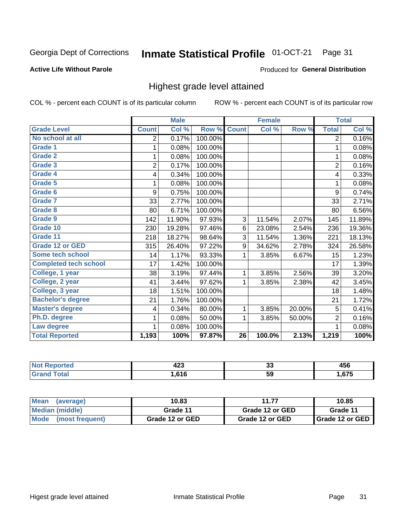#### Inmate Statistical Profile 01-OCT-21 Page 31

### **Active Life Without Parole**

### Produced for General Distribution

# Highest grade level attained

COL % - percent each COUNT is of its particular column

|                              |                | <b>Male</b> |         |                 | <b>Female</b> |        |                | <b>Total</b> |
|------------------------------|----------------|-------------|---------|-----------------|---------------|--------|----------------|--------------|
| <b>Grade Level</b>           | <b>Count</b>   | Col %       | Row %   | <b>Count</b>    | Col %         | Row %  | <b>Total</b>   | Col %        |
| No school at all             | 2              | 0.17%       | 100.00% |                 |               |        | $\overline{2}$ | 0.16%        |
| <b>Grade 1</b>               | 1              | 0.08%       | 100.00% |                 |               |        | 1              | 0.08%        |
| <b>Grade 2</b>               | 1              | 0.08%       | 100.00% |                 |               |        | 1              | 0.08%        |
| <b>Grade 3</b>               | $\overline{2}$ | 0.17%       | 100.00% |                 |               |        | $\overline{2}$ | 0.16%        |
| Grade 4                      | 4              | 0.34%       | 100.00% |                 |               |        | 4              | 0.33%        |
| Grade 5                      | 1              | 0.08%       | 100.00% |                 |               |        | 1              | 0.08%        |
| Grade 6                      | 9              | 0.75%       | 100.00% |                 |               |        | 9              | 0.74%        |
| Grade 7                      | 33             | 2.77%       | 100.00% |                 |               |        | 33             | 2.71%        |
| <b>Grade 8</b>               | 80             | 6.71%       | 100.00% |                 |               |        | 80             | 6.56%        |
| Grade 9                      | 142            | 11.90%      | 97.93%  | 3               | 11.54%        | 2.07%  | 145            | 11.89%       |
| Grade 10                     | 230            | 19.28%      | 97.46%  | 6               | 23.08%        | 2.54%  | 236            | 19.36%       |
| Grade 11                     | 218            | 18.27%      | 98.64%  | 3               | 11.54%        | 1.36%  | 221            | 18.13%       |
| <b>Grade 12 or GED</b>       | 315            | 26.40%      | 97.22%  | 9               | 34.62%        | 2.78%  | 324            | 26.58%       |
| Some tech school             | 14             | 1.17%       | 93.33%  | 1               | 3.85%         | 6.67%  | 15             | 1.23%        |
| <b>Completed tech school</b> | 17             | 1.42%       | 100.00% |                 |               |        | 17             | 1.39%        |
| College, 1 year              | 38             | 3.19%       | 97.44%  | 1               | 3.85%         | 2.56%  | 39             | 3.20%        |
| College, 2 year              | 41             | 3.44%       | 97.62%  | 1               | 3.85%         | 2.38%  | 42             | 3.45%        |
| College, 3 year              | 18             | 1.51%       | 100.00% |                 |               |        | 18             | 1.48%        |
| <b>Bachelor's degree</b>     | 21             | 1.76%       | 100.00% |                 |               |        | 21             | 1.72%        |
| <b>Master's degree</b>       | 4              | 0.34%       | 80.00%  | 1               | 3.85%         | 20.00% | 5              | 0.41%        |
| Ph.D. degree                 | 1              | 0.08%       | 50.00%  | 1               | 3.85%         | 50.00% | $\overline{2}$ | 0.16%        |
| Law degree                   | 1              | 0.08%       | 100.00% |                 |               |        | 1              | 0.08%        |
| <b>Total Reported</b>        | 1,193          | 100%        | 97.87%  | $\overline{26}$ | 100.0%        | 2.13%  | 1,219          | 100%         |

| N | ,,,<br>∪⊾י | ~<br>ູບ | 1 P A<br>マソし<br>__ |
|---|------------|---------|--------------------|
|   | .616       | 59      | 675<br>ں ،         |

| <b>Mean</b><br>(average) | 10.83           | 11.77           | 10.85             |
|--------------------------|-----------------|-----------------|-------------------|
| Median (middle)          | Grade 11        | Grade 12 or GED | Grade 11          |
| Mode (most frequent)     | Grade 12 or GED | Grade 12 or GED | I Grade 12 or GED |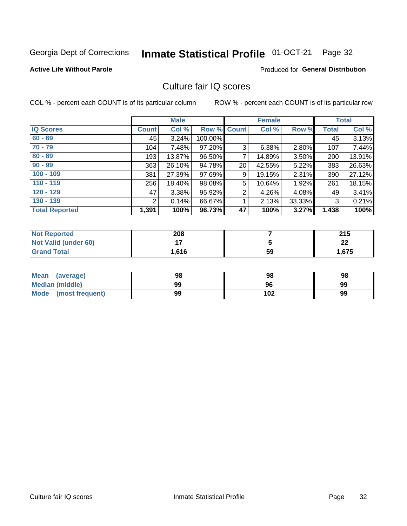#### Inmate Statistical Profile 01-OCT-21 Page 32

### **Active Life Without Parole**

## Produced for General Distribution

# Culture fair IQ scores

COL % - percent each COUNT is of its particular column

|                       |              | <b>Male</b> |                    |                | <b>Female</b> |          |              | <b>Total</b> |
|-----------------------|--------------|-------------|--------------------|----------------|---------------|----------|--------------|--------------|
| <b>IQ Scores</b>      | <b>Count</b> | Col %       | <b>Row % Count</b> |                | Col %         | Row %    | <b>Total</b> | Col %        |
| $60 - 69$             | 45           | 3.24%       | 100.00%            |                |               |          | 45           | 3.13%        |
| $70 - 79$             | 104          | 7.48%       | 97.20%             | 3              | 6.38%         | 2.80%    | 107          | 7.44%        |
| $80 - 89$             | 193          | 13.87%      | 96.50%             | 7              | 14.89%        | 3.50%    | 200          | 13.91%       |
| $90 - 99$             | 363          | 26.10%      | 94.78%             | 20             | 42.55%        | 5.22%    | 383          | 26.63%       |
| $100 - 109$           | 381          | 27.39%      | 97.69%             | 9              | 19.15%        | $2.31\%$ | 390          | 27.12%       |
| $110 - 119$           | 256          | 18.40%      | 98.08%             | 5              | 10.64%        | 1.92%    | 261          | 18.15%       |
| $120 - 129$           | 47           | 3.38%       | 95.92%             | $\overline{2}$ | 4.26%         | $4.08\%$ | 49           | 3.41%        |
| $130 - 139$           | 2            | 0.14%       | 66.67%             | 1              | 2.13%         | 33.33%   | 3            | 0.21%        |
| <b>Total Reported</b> | 1,391        | 100%        | 96.73%             | 47             | 100%          | 3.27%    | 1,438        | 100%         |

| <b>Not Reported</b>  | 208   |    | つイド<br>2 I J |
|----------------------|-------|----|--------------|
| Not Valid (under 60) |       |    | ົ<br>LL      |
| <b>Grand Total</b>   | 1,616 | 59 | 1,675        |

| <b>Mean</b><br>(average) | 98 | 98  | 98 |
|--------------------------|----|-----|----|
| Median (middle)          | 99 | 96  | 99 |
| Mode (most frequent)     | 99 | 102 | 99 |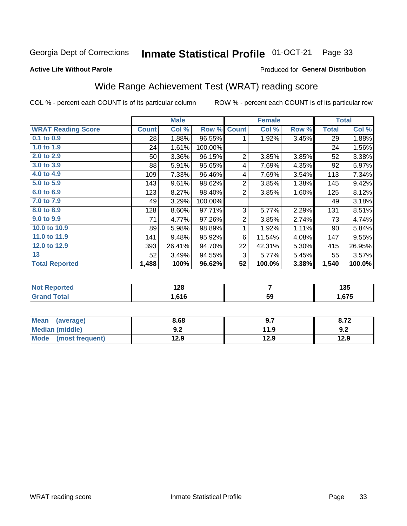#### Inmate Statistical Profile 01-OCT-21 Page 33

### **Active Life Without Parole**

### Produced for General Distribution

# Wide Range Achievement Test (WRAT) reading score

COL % - percent each COUNT is of its particular column

|                           |                 | <b>Male</b> |         |                | <b>Female</b> |       |              | <b>Total</b> |
|---------------------------|-----------------|-------------|---------|----------------|---------------|-------|--------------|--------------|
| <b>WRAT Reading Score</b> | <b>Count</b>    | Col %       | Row %   | <b>Count</b>   | Col %         | Row % | <b>Total</b> | Col %        |
| 0.1 to 0.9                | 28              | 1.88%       | 96.55%  | 1              | 1.92%         | 3.45% | 29           | 1.88%        |
| 1.0 to 1.9                | 24              | 1.61%       | 100.00% |                |               |       | 24           | 1.56%        |
| 2.0 to 2.9                | 50 <sup>°</sup> | 3.36%       | 96.15%  | $\overline{2}$ | 3.85%         | 3.85% | 52           | 3.38%        |
| 3.0 to 3.9                | 88              | 5.91%       | 95.65%  | 4              | 7.69%         | 4.35% | 92           | 5.97%        |
| 4.0 to 4.9                | 109             | 7.33%       | 96.46%  | 4              | 7.69%         | 3.54% | 113          | 7.34%        |
| 5.0 to 5.9                | 143             | 9.61%       | 98.62%  | $\overline{2}$ | 3.85%         | 1.38% | 145          | 9.42%        |
| 6.0 to 6.9                | 123             | 8.27%       | 98.40%  | $\overline{2}$ | 3.85%         | 1.60% | 125          | 8.12%        |
| 7.0 to 7.9                | 49              | 3.29%       | 100.00% |                |               |       | 49           | 3.18%        |
| 8.0 to 8.9                | 128             | 8.60%       | 97.71%  | 3              | 5.77%         | 2.29% | 131          | 8.51%        |
| 9.0 to 9.9                | 71              | 4.77%       | 97.26%  | $\overline{2}$ | 3.85%         | 2.74% | 73           | 4.74%        |
| 10.0 to 10.9              | 89              | 5.98%       | 98.89%  | 1              | 1.92%         | 1.11% | 90           | 5.84%        |
| 11.0 to 11.9              | 141             | 9.48%       | 95.92%  | 6              | 11.54%        | 4.08% | 147          | 9.55%        |
| 12.0 to 12.9              | 393             | 26.41%      | 94.70%  | 22             | 42.31%        | 5.30% | 415          | 26.95%       |
| 13                        | 52              | 3.49%       | 94.55%  | 3              | 5.77%         | 5.45% | 55           | 3.57%        |
| <b>Total Reported</b>     | 1,488           | 100%        | 96.62%  | 52             | 100.0%        | 3.38% | 1,540        | 100.0%       |
|                           |                 |             |         |                |               |       |              |              |

| <b>Not Reported</b>   | 0 הו<br>14O |    | 10F<br>ייי |
|-----------------------|-------------|----|------------|
| <b>Total</b><br>Grand | .616.       | 59 | .,675      |

| <b>Mean</b><br>(average) | 8.68       | 9.7  | 0.14 |
|--------------------------|------------|------|------|
| Median (middle)          | י ה<br>J.Z | 11.9 | 9.2  |
| Mode<br>(most frequent)  | 12.9       | 12.9 | 12.9 |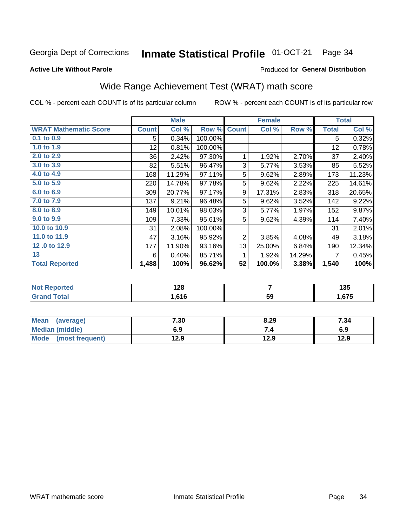#### Inmate Statistical Profile 01-OCT-21 Page 34

### **Active Life Without Parole**

# Produced for General Distribution

# Wide Range Achievement Test (WRAT) math score

COL % - percent each COUNT is of its particular column

|                              |              | <b>Male</b> |         |              | <b>Female</b> |        |              | <b>Total</b> |
|------------------------------|--------------|-------------|---------|--------------|---------------|--------|--------------|--------------|
| <b>WRAT Mathematic Score</b> | <b>Count</b> | Col %       | Row %   | <b>Count</b> | Col %         | Row %  | <b>Total</b> | Col %        |
| 0.1 to 0.9                   | 5            | 0.34%       | 100.00% |              |               |        | 5            | 0.32%        |
| 1.0 to 1.9                   | 12           | 0.81%       | 100.00% |              |               |        | 12           | 0.78%        |
| 2.0 to 2.9                   | 36           | 2.42%       | 97.30%  | 1            | 1.92%         | 2.70%  | 37           | 2.40%        |
| 3.0 to 3.9                   | 82           | 5.51%       | 96.47%  | 3            | 5.77%         | 3.53%  | 85           | 5.52%        |
| 4.0 to 4.9                   | 168          | 11.29%      | 97.11%  | 5            | 9.62%         | 2.89%  | 173          | 11.23%       |
| 5.0 to 5.9                   | 220          | 14.78%      | 97.78%  | 5            | 9.62%         | 2.22%  | 225          | 14.61%       |
| 6.0 to 6.9                   | 309          | 20.77%      | 97.17%  | 9            | 17.31%        | 2.83%  | 318          | 20.65%       |
| 7.0 to 7.9                   | 137          | 9.21%       | 96.48%  | 5            | 9.62%         | 3.52%  | 142          | 9.22%        |
| 8.0 to 8.9                   | 149          | 10.01%      | 98.03%  | 3            | 5.77%         | 1.97%  | 152          | 9.87%        |
| 9.0 to 9.9                   | 109          | 7.33%       | 95.61%  | 5            | 9.62%         | 4.39%  | 114          | 7.40%        |
| 10.0 to 10.9                 | 31           | 2.08%       | 100.00% |              |               |        | 31           | 2.01%        |
| 11.0 to 11.9                 | 47           | 3.16%       | 95.92%  | 2            | 3.85%         | 4.08%  | 49           | 3.18%        |
| 12.0 to 12.9                 | 177          | 11.90%      | 93.16%  | 13           | 25.00%        | 6.84%  | 190          | 12.34%       |
| 13                           | 6            | 0.40%       | 85.71%  | 1            | 1.92%         | 14.29% |              | 0.45%        |
| <b>Total Reported</b>        | 1,488        | 100%        | 96.62%  | 52           | 100.0%        | 3.38%  | 1,540        | 100%         |

| Reported<br><b>NOT</b><br>$\sim$ | ס פ<br>1 ZO |    | .<br>טטו |
|----------------------------------|-------------|----|----------|
| <b>otal</b><br>$\mathbf{v}$      | .616        | 59 | .675     |

| <b>Mean</b><br>(average) | 7.30 | 8.29 | 7.34 |
|--------------------------|------|------|------|
| Median (middle)          | 6.9  | ۰.,  | 6.9  |
| Mode<br>(most frequent)  | 12.9 | 12.9 | 12.9 |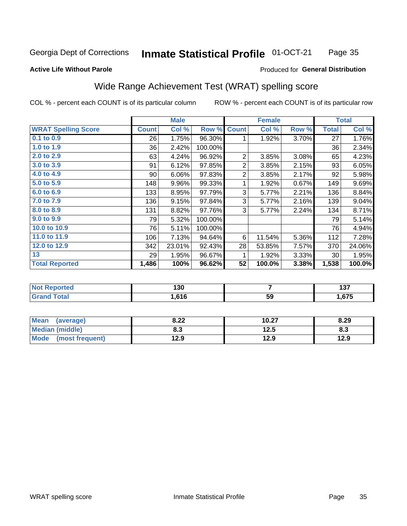#### Inmate Statistical Profile 01-OCT-21 Page 35

### **Active Life Without Parole**

# Produced for General Distribution

# Wide Range Achievement Test (WRAT) spelling score

COL % - percent each COUNT is of its particular column

|                            |              | <b>Male</b>      |         |                | <b>Female</b> |       |              | <b>Total</b> |
|----------------------------|--------------|------------------|---------|----------------|---------------|-------|--------------|--------------|
| <b>WRAT Spelling Score</b> | <b>Count</b> | Col %            | Row %   | <b>Count</b>   | Col %         | Row % | <b>Total</b> | Col %        |
| 0.1 to 0.9                 | 26           | 1.75%            | 96.30%  | 1              | 1.92%         | 3.70% | 27           | 1.76%        |
| 1.0 to 1.9                 | 36           | 2.42%            | 100.00% |                |               |       | 36           | 2.34%        |
| 2.0 to 2.9                 | 63           | 4.24%            | 96.92%  | $\overline{2}$ | 3.85%         | 3.08% | 65           | 4.23%        |
| 3.0 to 3.9                 | 91           | 6.12%            | 97.85%  | $\overline{c}$ | 3.85%         | 2.15% | 93           | 6.05%        |
| 4.0 to 4.9                 | 90           | 6.06%            | 97.83%  | $\overline{2}$ | 3.85%         | 2.17% | 92           | 5.98%        |
| 5.0 to 5.9                 | 148          | 9.96%            | 99.33%  | 1              | 1.92%         | 0.67% | 149          | 9.69%        |
| 6.0 to 6.9                 | 133          | 8.95%            | 97.79%  | 3              | 5.77%         | 2.21% | 136          | 8.84%        |
| 7.0 to 7.9                 | 136          | 9.15%            | 97.84%  | 3              | 5.77%         | 2.16% | 139          | 9.04%        |
| 8.0 to 8.9                 | 131          | 8.82%            | 97.76%  | 3              | 5.77%         | 2.24% | 134          | 8.71%        |
| 9.0 to 9.9                 | 79           | 5.32%            | 100.00% |                |               |       | 79           | 5.14%        |
| 10.0 to 10.9               | 76           | 5.11%            | 100.00% |                |               |       | 76           | 4.94%        |
| 11.0 to 11.9               | 106          | 7.13%            | 94.64%  | 6              | 11.54%        | 5.36% | 112          | 7.28%        |
| 12.0 to 12.9               | 342          | 23.01%           | 92.43%  | 28             | 53.85%        | 7.57% | 370          | 24.06%       |
| 13                         | 29           | 1.95%            | 96.67%  | 1              | 1.92%         | 3.33% | 30           | 1.95%        |
| <b>Total Reported</b>      | 1,486        | 100%             | 96.62%  | 52             | 100.0%        | 3.38% | 1,538        | 100.0%       |
| $\overline{1}$             |              | $\overline{100}$ |         |                | -             |       |              | $\sim$       |

| опео | $\sim$<br>1 3 U |    | ---<br>ישו |
|------|-----------------|----|------------|
|      | .616            | 59 | .675       |

| <b>Mean</b><br>(average) | 8.22 | 10.27 | 8.29 |
|--------------------------|------|-------|------|
| Median (middle)          | 8.3  | 12.5  | ი.ა  |
| Mode<br>(most frequent)  | 12.9 | 12.9  | 12.9 |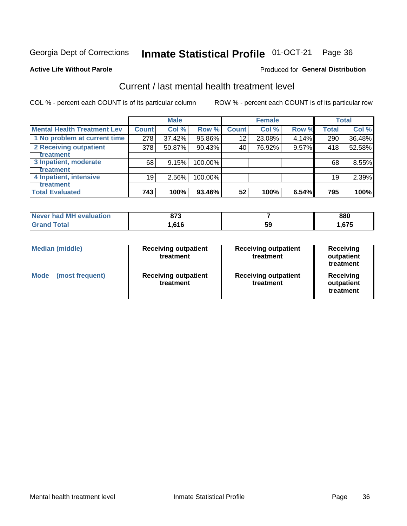#### Inmate Statistical Profile 01-OCT-21 Page 36

### **Active Life Without Parole**

### Produced for General Distribution

# Current / last mental health treatment level

COL % - percent each COUNT is of its particular column

|                                    |              | <b>Male</b> |         |              | <b>Female</b> |       |       | <b>Total</b> |
|------------------------------------|--------------|-------------|---------|--------------|---------------|-------|-------|--------------|
| <b>Mental Health Treatment Lev</b> | <b>Count</b> | Col %       | Row %   | <b>Count</b> | Col %         | Row % | Total | Col %        |
| 1 No problem at current time       | 278          | 37.42%      | 95.86%  | 12           | 23.08%        | 4.14% | 290   | 36.48%       |
| 2 Receiving outpatient             | 378          | 50.87%      | 90.43%  | 40           | 76.92%        | 9.57% | 418   | 52.58%       |
| <b>Treatment</b>                   |              |             |         |              |               |       |       |              |
| 3 Inpatient, moderate              | 68           | 9.15%       | 100.00% |              |               |       | 68    | 8.55%        |
| <b>Treatment</b>                   |              |             |         |              |               |       |       |              |
| 4 Inpatient, intensive             | 19           | 2.56%       | 100.00% |              |               |       | 19    | 2.39%        |
| Treatment                          |              |             |         |              |               |       |       |              |
| <b>Total Evaluated</b>             | 743          | 100%        | 93.46%  | 52           | 100%          | 6.54% | 795   | 100%         |

| Never had MH evaluation | 072<br>o 1 J |    | 880  |
|-------------------------|--------------|----|------|
|                         | .616.        | 59 | ,675 |

| <b>Median (middle)</b>         | <b>Receiving outpatient</b><br>treatment | <b>Receiving outpatient</b><br>treatment | <b>Receiving</b><br>outpatient<br>treatment |  |
|--------------------------------|------------------------------------------|------------------------------------------|---------------------------------------------|--|
| <b>Mode</b><br>(most frequent) | <b>Receiving outpatient</b><br>treatment | <b>Receiving outpatient</b><br>treatment | <b>Receiving</b><br>outpatient<br>treatment |  |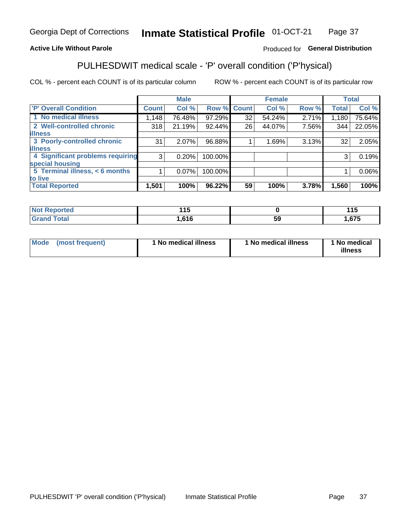#### Inmate Statistical Profile 01-OCT-21 Page 37

# **Active Life Without Parole**

## Produced for General Distribution

# PULHESDWIT medical scale - 'P' overall condition ('P'hysical)

COL % - percent each COUNT is of its particular column

|                                  |         | <b>Male</b> |         |             | <b>Female</b> |       |              | <b>Total</b> |
|----------------------------------|---------|-------------|---------|-------------|---------------|-------|--------------|--------------|
| <b>'P' Overall Condition</b>     | Count l | Col %       |         | Row % Count | Col %         | Row % | <b>Total</b> | Col %        |
| 1 No medical illness             | 1,148   | 76.48%      | 97.29%  | 32          | 54.24%        | 2.71% | 1,180        | 75.64%       |
| 2 Well-controlled chronic        | 318     | 21.19%      | 92.44%  | 26          | 44.07%        | 7.56% | 344          | 22.05%       |
| <b>illness</b>                   |         |             |         |             |               |       |              |              |
| 3 Poorly-controlled chronic      | 31      | $2.07\%$    | 96.88%  |             | 1.69%         | 3.13% | 32           | 2.05%        |
| <b>illness</b>                   |         |             |         |             |               |       |              |              |
| 4 Significant problems requiring | 3       | 0.20%       | 100.00% |             |               |       | 3            | 0.19%        |
| special housing                  |         |             |         |             |               |       |              |              |
| 5 Terminal illness, $<$ 6 months |         | $0.07\%$    | 100.00% |             |               |       |              | 0.06%        |
| to live                          |         |             |         |             |               |       |              |              |
| <b>Total Reported</b>            | 1,501   | 100%        | 96.22%  | 59          | 100%          | 3.78% | 1,560        | 100%         |

| rtea                              | 44 F     |    | 44F  |
|-----------------------------------|----------|----|------|
|                                   | . . J    |    | ∪ו   |
| $f$ $f \circ f \circ f$<br>______ | CAC<br>. | Ja | .675 |

| Mode (most frequent) | 1 No medical illness | 1 No medical illness | 1 No medical<br>illness |
|----------------------|----------------------|----------------------|-------------------------|
|                      |                      |                      |                         |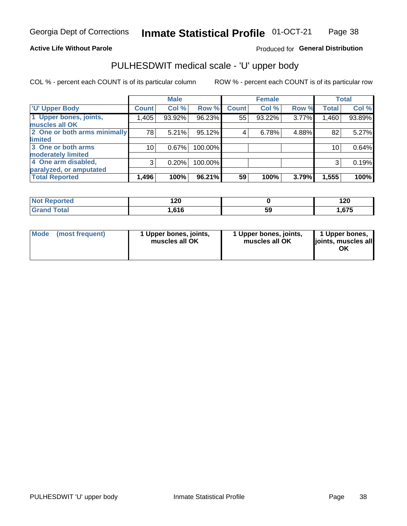### **Active Life Without Parole**

# Produced for General Distribution

# PULHESDWIT medical scale - 'U' upper body

COL % - percent each COUNT is of its particular column

|                              |              | <b>Male</b> |           |              | <b>Female</b> |       |              | <b>Total</b> |
|------------------------------|--------------|-------------|-----------|--------------|---------------|-------|--------------|--------------|
| <b>U' Upper Body</b>         | <b>Count</b> | Col %       | Row %     | <b>Count</b> | Col %         | Row % | <b>Total</b> | Col %        |
| 1 Upper bones, joints,       | 1,405        | 93.92%      | 96.23%    | 55           | 93.22%        | 3.77% | 1,460        | 93.89%       |
| muscles all OK               |              |             |           |              |               |       |              |              |
| 2 One or both arms minimally | 78           | 5.21%       | 95.12%    | 4            | 6.78%         | 4.88% | 82           | 5.27%        |
| limited                      |              |             |           |              |               |       |              |              |
| 3 One or both arms           | 10           | 0.67%       | 100.00%   |              |               |       | 10           | 0.64%        |
| <b>moderately limited</b>    |              |             |           |              |               |       |              |              |
| 4 One arm disabled,          | 3            | 0.20%       | 100.00%   |              |               |       | 3            | 0.19%        |
| paralyzed, or amputated      |              |             |           |              |               |       |              |              |
| <b>Total Reported</b>        | 1,496        | 100%        | $96.21\%$ | 59           | 100%          | 3.79% | 1,555        | 100%         |

| <b>Not Reported</b> | 120   |    | 120            |
|---------------------|-------|----|----------------|
| <b>Total</b>        | .616، | 59 | $\sim$<br>.675 |

| Mode | (most frequent) | 1 Upper bones, joints,<br>muscles all OK | 1 Upper bones, joints,<br>muscles all OK | 1 Upper bones,<br>ljoints, muscles all<br>OK |
|------|-----------------|------------------------------------------|------------------------------------------|----------------------------------------------|
|------|-----------------|------------------------------------------|------------------------------------------|----------------------------------------------|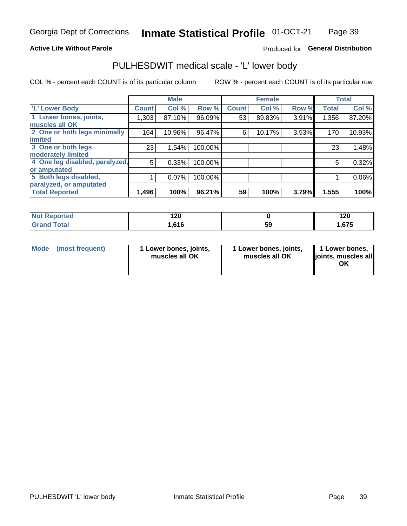### **Active Life Without Parole**

# Produced for General Distribution

# PULHESDWIT medical scale - 'L' lower body

COL % - percent each COUNT is of its particular column

|                                |              | <b>Male</b> |         |              | <b>Female</b> |       |              | <b>Total</b> |
|--------------------------------|--------------|-------------|---------|--------------|---------------|-------|--------------|--------------|
| 'L' Lower Body                 | <b>Count</b> | Col %       | Row %   | <b>Count</b> | Col %         | Row % | <b>Total</b> | Col %        |
| 1 Lower bones, joints,         | 1,303        | 87.10%      | 96.09%  | 53           | 89.83%        | 3.91% | 1,356        | 87.20%       |
| muscles all OK                 |              |             |         |              |               |       |              |              |
| 2 One or both legs minimally   | 164          | 10.96%      | 96.47%  | 6            | 10.17%        | 3.53% | 170          | 10.93%       |
| limited                        |              |             |         |              |               |       |              |              |
| 3 One or both legs             | 23           | 1.54%       | 100.00% |              |               |       | 23           | 1.48%        |
| moderately limited             |              |             |         |              |               |       |              |              |
| 4 One leg disabled, paralyzed, | 5            | 0.33%       | 100.00% |              |               |       | 5            | 0.32%        |
| or amputated                   |              |             |         |              |               |       |              |              |
| 5 Both legs disabled,          |              | 0.07%       | 100.00% |              |               |       |              | 0.06%        |
| paralyzed, or amputated        |              |             |         |              |               |       |              |              |
| <b>Total Reported</b>          | 1,496        | 100%        | 96.21%  | 59           | 100%          | 3.79% | 1,555        | 100%         |

| <b>Not Reported</b> | חה ו<br>14 V |    | ה ה<br>I ZU |
|---------------------|--------------|----|-------------|
| <b>Grand Total</b>  | 1,616        | JJ | .675        |

| Mode (most frequent) | I Lower bones, joints,<br>muscles all OK | 1 Lower bones, joints,<br>muscles all OK | 1 Lower bones,<br>joints, muscles all<br>ΟK |
|----------------------|------------------------------------------|------------------------------------------|---------------------------------------------|
|----------------------|------------------------------------------|------------------------------------------|---------------------------------------------|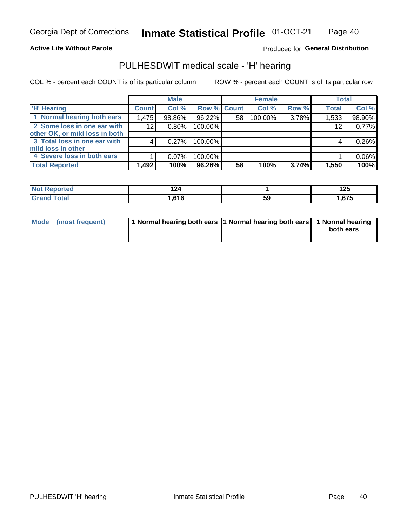### **Active Life Without Parole**

Produced for General Distribution

# PULHESDWIT medical scale - 'H' hearing

COL % - percent each COUNT is of its particular column

|                                |              | <b>Male</b> |                    |    | <b>Female</b> |       | <b>Total</b> |        |
|--------------------------------|--------------|-------------|--------------------|----|---------------|-------|--------------|--------|
| <b>H' Hearing</b>              | <b>Count</b> | Col %       | <b>Row % Count</b> |    | Col %         | Row % | <b>Total</b> | Col %  |
| 1 Normal hearing both ears     | 1,475        | 98.86%      | 96.22%             | 58 | 100.00%       | 3.78% | 1,533        | 98.90% |
| 2 Some loss in one ear with    | 12           | 0.80%       | 100.00%            |    |               |       | 12           | 0.77%  |
| other OK, or mild loss in both |              |             |                    |    |               |       |              |        |
| 3 Total loss in one ear with   | 4            | 0.27%       | 100.00%            |    |               |       | 4            | 0.26%  |
| mild loss in other             |              |             |                    |    |               |       |              |        |
| 4 Severe loss in both ears     |              | $0.07\%$    | 100.00%            |    |               |       |              | 0.06%  |
| <b>Total Reported</b>          | 1,492        | 100%        | 96.26%             | 58 | 100%          | 3.74% | 1,550        | 100%   |

| ported          | I 44                                      |     | 1つに |
|-----------------|-------------------------------------------|-----|-----|
| <b>NOT</b>      |                                           |     | 12J |
| $n+n$<br>______ | <b>616</b><br>$\mathbf{v}$ , $\mathbf{v}$ | -59 | 67F |

| Mode (most frequent) | 1 Normal hearing both ears 1 Normal hearing both ears 1 Normal hearing | both ears |
|----------------------|------------------------------------------------------------------------|-----------|
|                      |                                                                        |           |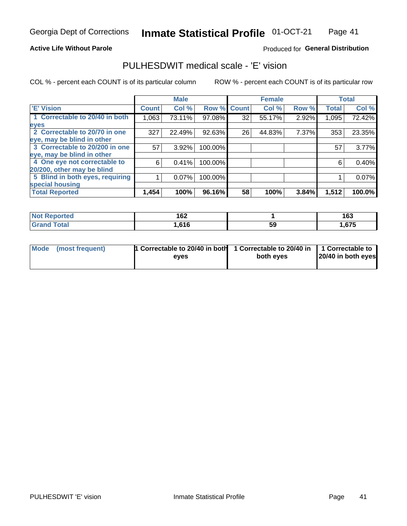### **Active Life Without Parole**

## Produced for General Distribution

# PULHESDWIT medical scale - 'E' vision

COL % - percent each COUNT is of its particular column

|                                 |              | <b>Male</b> |         |             | <b>Female</b> |       |              | <b>Total</b> |
|---------------------------------|--------------|-------------|---------|-------------|---------------|-------|--------------|--------------|
| <b>E' Vision</b>                | <b>Count</b> | Col %       |         | Row % Count | Col %         | Row % | <b>Total</b> | Col %        |
| 1 Correctable to 20/40 in both  | 1,063        | 73.11%      | 97.08%  | 32          | 55.17%        | 2.92% | 1,095        | 72.42%       |
| eyes                            |              |             |         |             |               |       |              |              |
| 2 Correctable to 20/70 in one   | 327          | 22.49%      | 92.63%  | 26          | 44.83%        | 7.37% | 353          | 23.35%       |
| eye, may be blind in other      |              |             |         |             |               |       |              |              |
| 3 Correctable to 20/200 in one  | 57           | $3.92\%$    | 100.00% |             |               |       | 57           | 3.77%        |
| eye, may be blind in other      |              |             |         |             |               |       |              |              |
| 4 One eye not correctable to    | 6            | 0.41%       | 100.00% |             |               |       | 6            | 0.40%        |
| 20/200, other may be blind      |              |             |         |             |               |       |              |              |
| 5 Blind in both eyes, requiring |              | 0.07%       | 100.00% |             |               |       |              | 0.07%        |
| special housing                 |              |             |         |             |               |       |              |              |
| <b>Total Reported</b>           | 1,454        | 100%        | 96.16%  | 58          | 100%          | 3.84% | 1,512        | 100.0%       |

| <b>ported</b><br><b>NOT</b><br>kenor | 162<br>$-$ |    | 163  |
|--------------------------------------|------------|----|------|
| <b>Total</b>                         | ,616       | 59 | .675 |

| Mode (most frequent) | 1 Correctable to 20/40 in both<br>eves | 1 Correctable to 20/40 in   1 Correctable to  <br>both eves | 20/40 in both eyes |
|----------------------|----------------------------------------|-------------------------------------------------------------|--------------------|
|                      |                                        |                                                             |                    |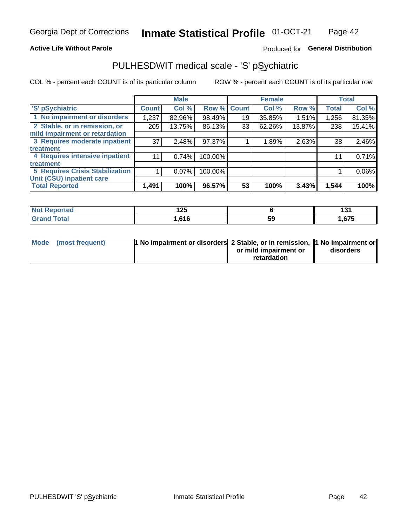## **Active Life Without Parole**

# Produced for General Distribution

# PULHESDWIT medical scale - 'S' pSychiatric

COL % - percent each COUNT is of its particular column

|                                        |              | <b>Male</b> |         |             | <b>Female</b> |        |              | <b>Total</b> |
|----------------------------------------|--------------|-------------|---------|-------------|---------------|--------|--------------|--------------|
| 'S' pSychiatric                        | <b>Count</b> | Col %       |         | Row % Count | Col %         | Row %  | <b>Total</b> | Col %        |
| 1 No impairment or disorders           | 1,237        | 82.96%      | 98.49%  | 19          | 35.85%        | 1.51%  | 1,256        | 81.35%       |
| 2 Stable, or in remission, or          | 205          | 13.75%      | 86.13%  | 33          | 62.26%        | 13.87% | 238          | 15.41%       |
| mild impairment or retardation         |              |             |         |             |               |        |              |              |
| 3 Requires moderate inpatient          | 37           | 2.48%       | 97.37%  |             | 1.89%         | 2.63%  | 38           | 2.46%        |
| treatment                              |              |             |         |             |               |        |              |              |
| 4 Requires intensive inpatient         | 11           | 0.74%       | 100.00% |             |               |        | 11           | 0.71%        |
| treatment                              |              |             |         |             |               |        |              |              |
| <b>5 Requires Crisis Stabilization</b> |              | $0.07\%$    | 100.00% |             |               |        |              | 0.06%        |
| Unit (CSU) inpatient care              |              |             |         |             |               |        |              |              |
| <b>Total Reported</b>                  | 1,491        | 100%        | 96.57%  | 53          | 100%          | 3.43%  | 1,544        | 100%         |

| <b>Not Reported</b> | 1つに<br>14J |    | . n<br>1 J L |
|---------------------|------------|----|--------------|
| <b>Total</b>        | .616       | 59 | ,675         |

| Mode (most frequent) | <b>1 No impairment or disorders</b> 2 Stable, or in remission, 11 No impairment or |                       |           |
|----------------------|------------------------------------------------------------------------------------|-----------------------|-----------|
|                      |                                                                                    | or mild impairment or | disorders |
|                      |                                                                                    | retardation           |           |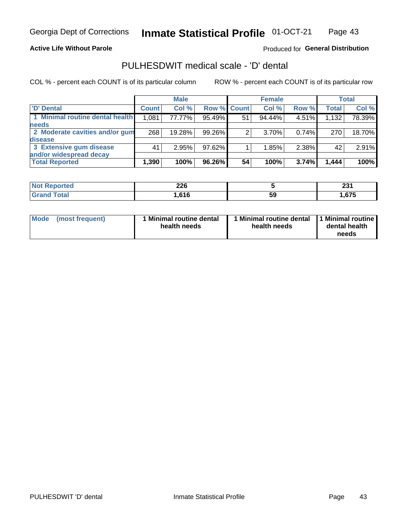### **Active Life Without Parole**

## Produced for General Distribution

# PULHESDWIT medical scale - 'D' dental

COL % - percent each COUNT is of its particular column

|                                 |              | <b>Male</b> |                    |    | <b>Female</b> |       |              | Total  |
|---------------------------------|--------------|-------------|--------------------|----|---------------|-------|--------------|--------|
| 'D' Dental                      | <b>Count</b> | Col %       | <b>Row % Count</b> |    | Col %         | Row % | <b>Total</b> | Col %  |
| 1 Minimal routine dental health | 1,081        | 77.77%      | 95.49%             | 51 | 94.44%        | 4.51% | 1,132        | 78.39% |
| <b>needs</b>                    |              |             |                    |    |               |       |              |        |
| 2 Moderate cavities and/or gum  | 268          | 19.28%      | 99.26%             | 2  | 3.70%         | 0.74% | 270          | 18.70% |
| <b>disease</b>                  |              |             |                    |    |               |       |              |        |
| 3 Extensive gum disease         | 41           | 2.95%       | 97.62%             |    | 1.85%         | 2.38% | 42           | 2.91%  |
| and/or widespread decay         |              |             |                    |    |               |       |              |        |
| <b>Total Reported</b>           | 1,390        | 100%        | 96.26%             | 54 | 100%          | 3.74% | 1,444        | 100%   |

| prtea<br>NOT B<br> | ን ገድ<br>ZZU |    | ົ<br>LJ I |
|--------------------|-------------|----|-----------|
| <b>c</b> otal      | .616        | 59 | .675      |

| <b>Mode</b>     | Minimal routine dental | 1 Minimal routine dental 1 Minimal routine | dental health |
|-----------------|------------------------|--------------------------------------------|---------------|
| (most frequent) | health needs           | health needs                               | needs         |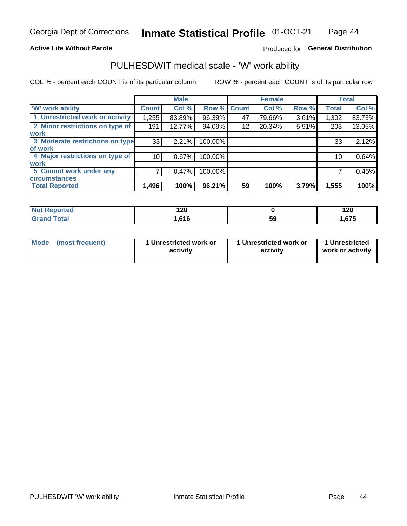### **Active Life Without Parole**

# Produced for General Distribution

# PULHESDWIT medical scale - 'W' work ability

COL % - percent each COUNT is of its particular column

|                                 |                    | <b>Male</b> |         |             | <b>Female</b> |       |              | <b>Total</b> |
|---------------------------------|--------------------|-------------|---------|-------------|---------------|-------|--------------|--------------|
| <b>W' work ability</b>          | Count <sup>'</sup> | Col %       |         | Row % Count | Col %         | Row % | <b>Total</b> | Col %        |
| 1 Unrestricted work or activity | 1,255              | 83.89%      | 96.39%  | 47          | 79.66%        | 3.61% | 1,302        | 83.73%       |
| 2 Minor restrictions on type of | 191                | 12.77%      | 94.09%  | 12          | 20.34%        | 5.91% | 203          | 13.05%       |
| <b>work</b>                     |                    |             |         |             |               |       |              |              |
| 3 Moderate restrictions on type | 33                 | 2.21%       | 100.00% |             |               |       | 33           | 2.12%        |
| lof work                        |                    |             |         |             |               |       |              |              |
| 4 Major restrictions on type of | 10                 | 0.67%       | 100.00% |             |               |       | 10           | 0.64%        |
| <b>work</b>                     |                    |             |         |             |               |       |              |              |
| 5 Cannot work under any         |                    | 0.47%       | 100.00% |             |               |       |              | 0.45%        |
| <b>circumstances</b>            |                    |             |         |             |               |       |              |              |
| <b>Total Reported</b>           | 1,496              | 100%        | 96.21%  | 59          | 100%          | 3.79% | 1,555        | 100%         |

| <b>Not Reported</b>         | חר ו<br>14V |    | ィクパ<br>14V |
|-----------------------------|-------------|----|------------|
| <b>Total</b><br><b>Gron</b> | .616        | 59 | .675       |

| Mode            | 1 Unrestricted work or | 1 Unrestricted work or | 1 Unrestricted   |
|-----------------|------------------------|------------------------|------------------|
| (most frequent) | activity               | activity               | work or activity |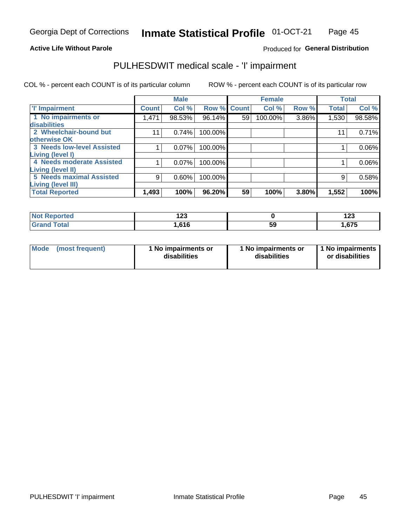## **Active Life Without Parole**

### Produced for General Distribution

# PULHESDWIT medical scale - 'I' impairment

COL % - percent each COUNT is of its particular column ROW % - percent each COUNT is of its particular row

|                                   |              | <b>Male</b> |             |    | <b>Female</b> |       |              | <b>Total</b> |
|-----------------------------------|--------------|-------------|-------------|----|---------------|-------|--------------|--------------|
| <b>T' Impairment</b>              | <b>Count</b> | Col %       | Row % Count |    | Col %         | Row % | <b>Total</b> | Col %        |
| 1 No impairments or               | 1,471        | 98.53%      | 96.14%      | 59 | 100.00%       | 3.86% | 1,530        | 98.58%       |
| <b>disabilities</b>               |              |             |             |    |               |       |              |              |
| 2 Wheelchair-bound but            | 11           | 0.74%       | 100.00%     |    |               |       | 11           | 0.71%        |
| otherwise OK                      |              |             |             |    |               |       |              |              |
| <b>3 Needs low-level Assisted</b> |              | 0.07%       | 100.00%     |    |               |       |              | $0.06\%$     |
| Living (level I)                  |              |             |             |    |               |       |              |              |
| 4 Needs moderate Assisted         |              | 0.07%       | 100.00%     |    |               |       |              | $0.06\%$     |
| Living (level II)                 |              |             |             |    |               |       |              |              |
| <b>5 Needs maximal Assisted</b>   | 9            | 0.60%       | 100.00%     |    |               |       | 9            | 0.58%        |
| <b>Living (level III)</b>         |              |             |             |    |               |       |              |              |
| <b>Total Reported</b>             | 1,493        | 100%        | 96.20%      | 59 | 100%          | 3.80% | 1,552        | 100%         |

| Reported     | ה הו |          | 409   |
|--------------|------|----------|-------|
| NOT          | 14J  |          | 14J   |
| <b>Total</b> | .616 | ςc<br>Jũ | 1,675 |

| Mode | (most frequent) | 1 No impairments or<br>disabilities | 1 No impairments or<br>disabilities | 11 No impairments<br>or disabilities |
|------|-----------------|-------------------------------------|-------------------------------------|--------------------------------------|
|------|-----------------|-------------------------------------|-------------------------------------|--------------------------------------|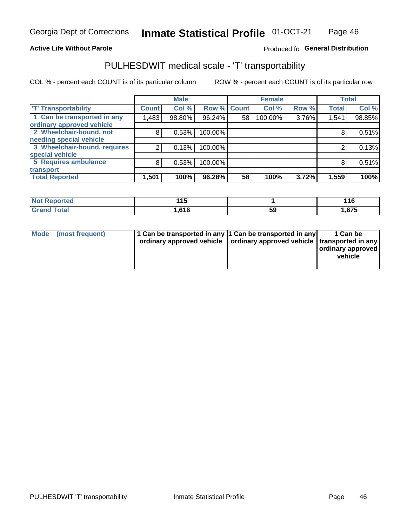### **Active Life Without Parole**

# Produced fo General Distribution

# PULHESDWIT medical scale - 'T' transportability

COL % - percent each COUNT is of its particular column

|                              |              | <b>Male</b> |             |    | <b>Female</b> |       |              | <b>Total</b> |
|------------------------------|--------------|-------------|-------------|----|---------------|-------|--------------|--------------|
| <b>T' Transportability</b>   | <b>Count</b> | Col %       | Row % Count |    | Col %         | Row % | <b>Total</b> | Col %        |
| 1 Can be transported in any  | 1,483        | 98.80%      | 96.24%      | 58 | 100.00%       | 3.76% | 1,541        | 98.85%       |
| ordinary approved vehicle    |              |             |             |    |               |       |              |              |
| 2 Wheelchair-bound, not      | 8            | 0.53%       | 100.00%     |    |               |       |              | 0.51%        |
| needing special vehicle      |              |             |             |    |               |       |              |              |
| 3 Wheelchair-bound, requires | 2            | 0.13%       | 100.00%     |    |               |       |              | 0.13%        |
| special vehicle              |              |             |             |    |               |       |              |              |
| 5 Requires ambulance         | 8            | 0.53%       | 100.00%     |    |               |       |              | 0.51%        |
| transport                    |              |             |             |    |               |       |              |              |
| <b>Total Reported</b>        | 1,501        | 100%        | 96.28%      | 58 | 100%          | 3.72% | 1,559        | 100%         |

| <b>NA</b><br>лтео | 44 F<br>. .       |          | 116   |
|-------------------|-------------------|----------|-------|
|                   | 61F<br>טוי<br>. . | ςс<br>və | .575، |

| <b>Mode</b> | (most frequent) | 1 Can be transported in any 1 Can be transported in any | ordinary approved vehicle   ordinary approved vehicle   transported in any | 1 Can be<br>  ordinary approved  <br>vehicle |
|-------------|-----------------|---------------------------------------------------------|----------------------------------------------------------------------------|----------------------------------------------|
|-------------|-----------------|---------------------------------------------------------|----------------------------------------------------------------------------|----------------------------------------------|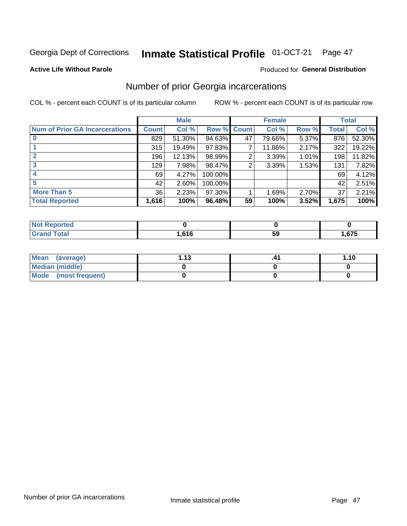#### Inmate Statistical Profile 01-OCT-21 Page 47

### **Active Life Without Parole**

### Produced for General Distribution

# Number of prior Georgia incarcerations

COL % - percent each COUNT is of its particular column

|                                       |       | <b>Male</b> |             |    | <b>Female</b> |       |       | <b>Total</b> |
|---------------------------------------|-------|-------------|-------------|----|---------------|-------|-------|--------------|
| <b>Num of Prior GA Incarcerations</b> | Count | Col %       | Row % Count |    | Col %         | Row % | Total | Col %        |
|                                       | 829   | 51.30%      | 94.63%      | 47 | 79.66%        | 5.37% | 876   | 52.30%       |
|                                       | 315   | 19.49%      | $97.83\%$   |    | 11.86%        | 2.17% | 322   | 19.22%       |
|                                       | 196   | 12.13%      | 98.99%      | 2  | 3.39%         | 1.01% | 198   | 11.82%       |
| 3                                     | 129   | 7.98%       | 98.47%      | 2  | 3.39%         | 1.53% | 131   | 7.82%        |
| 4                                     | 69    | 4.27%       | 100.00%     |    |               |       | 69    | 4.12%        |
| 5                                     | 42    | 2.60%       | 100.00%     |    |               |       | 42    | 2.51%        |
| <b>More Than 5</b>                    | 36    | 2.23%       | $97.30\%$   |    | 1.69%         | 2.70% | 37    | 2.21%        |
| <b>Total Reported</b>                 | 1,616 | 100%        | 96.48%      | 59 | 100%          | 3.52% | 1,675 | 100%         |

| orted<br>N                      |            |    |      |
|---------------------------------|------------|----|------|
| <b>otal</b><br>$\mathbf{v}$ and | 616<br>. . | 59 | ,675 |

| Mean (average)       | 1 1 2 | 1.10 |
|----------------------|-------|------|
| Median (middle)      |       |      |
| Mode (most frequent) |       |      |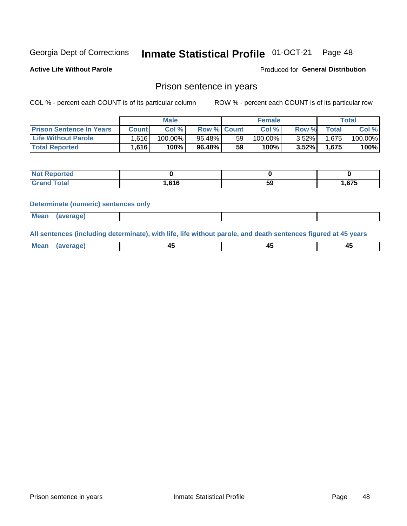#### Inmate Statistical Profile 01-OCT-21 Page 48

**Active Life Without Parole** 

Produced for General Distribution

# Prison sentence in years

COL % - percent each COUNT is of its particular column

ROW % - percent each COUNT is of its particular row

|                                 | <b>Male</b> |            |                    | <b>Female</b> |            |          | Total |         |
|---------------------------------|-------------|------------|--------------------|---------------|------------|----------|-------|---------|
| <b>Prison Sentence In Years</b> | Count l     | Col %      | <b>Row % Count</b> |               | Col %      | Row %    | Total | Col %   |
| <b>Life Without Parole</b>      | .616        | $100.00\%$ | 96.48%             | 59            | $100.00\%$ | $3.52\%$ | 1.675 | 100.00% |
| <b>Total Reported</b>           | 1,616       | 100%       | 96.48%             | 59            | 100%       | $3.52\%$ | 1,675 | 100%    |

| Reported |       |    |       |
|----------|-------|----|-------|
| Total    | .616، | 59 | . 675 |

### **Determinate (numeric) sentences only**

| <b>Mean</b><br>(average) |  |  |
|--------------------------|--|--|
|--------------------------|--|--|

All sentences (including determinate), with life, life without parole, and death sentences figured at 45 years

| l Mea<br>апе<br>. | -⊷ |  |
|-------------------|----|--|
|                   |    |  |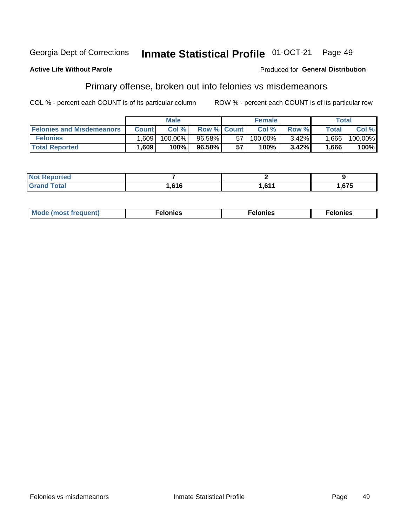#### Georgia Dept of Corrections Inmate Statistical Profile 01-OCT-21 Page 49

### **Active Life Without Parole**

# Produced for General Distribution

# Primary offense, broken out into felonies vs misdemeanors

COL % - percent each COUNT is of its particular column

|                                  |              | <b>Male</b> |                    |    | <b>Female</b> |       |       | Total   |
|----------------------------------|--------------|-------------|--------------------|----|---------------|-------|-------|---------|
| <b>Felonies and Misdemeanors</b> | <b>Count</b> | Col%        | <b>Row % Count</b> |    | Col%          | Row % | Total | Col %   |
| <b>Felonies</b>                  | .609         | 100.00%     | $96.58\%$          | 57 | 100.00%       | 3.42% | 1,666 | 100.00% |
| <b>Total Reported</b>            | .609         | $100\%$     | 96.58%             | 57 | 100%          | 3.42% | .666  | 100%    |

| <b>Not Reported</b>          |       |       |                      |
|------------------------------|-------|-------|----------------------|
| <b>Total</b><br><b>Grand</b> | .,616 | . CA/ | 67F<br>כ <i>ו</i> ס. |

| <b>Mode</b><br>frequent)<br>nies<br>≧ (most tr.<br>. | onies<br>. | lonies<br>ею<br>____ |
|------------------------------------------------------|------------|----------------------|
|------------------------------------------------------|------------|----------------------|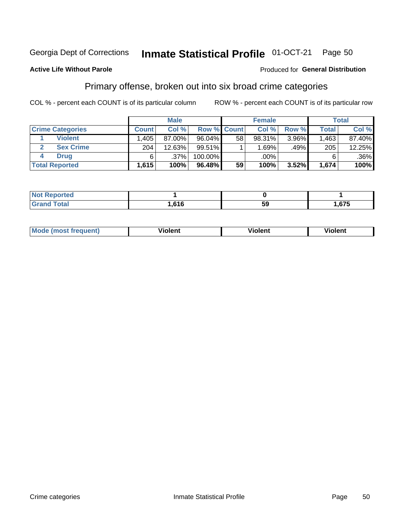#### Inmate Statistical Profile 01-OCT-21 Page 50

## **Active Life Without Parole**

### Produced for General Distribution

# Primary offense, broken out into six broad crime categories

COL % - percent each COUNT is of its particular column

|                         |              | <b>Male</b> |                    |    | <b>Female</b> |       |              | <b>Total</b> |
|-------------------------|--------------|-------------|--------------------|----|---------------|-------|--------------|--------------|
| <b>Crime Categories</b> | <b>Count</b> | Col%        | <b>Row % Count</b> |    | Col%          | Row % | <b>Total</b> | Col %        |
| <b>Violent</b>          | .405         | 87.00%      | $96.04\%$          | 58 | 98.31%        | 3.96% | 1,463        | 87.40%       |
| <b>Sex Crime</b>        | 204          | 12.63%      | $99.51\%$          |    | 1.69%         | .49%  | 205          | 12.25%       |
| Drua                    | 6            | .37%        | 100.00%            |    | .00%          |       | 6            | $.36\%$      |
| <b>Total Reported</b>   | 1,615        | 100%        | 96.48%             | 59 | 100%          | 3.52% | 1,674        | 100%         |

| .      |        |     |        |
|--------|--------|-----|--------|
| -      | $\sim$ | c c | $\sim$ |
| ______ |        | აყ  | .      |

| Mo<br>quenti | .<br>iolent<br>ΊΙ. | --<br>olent | .<br>'ent |
|--------------|--------------------|-------------|-----------|
|              |                    |             |           |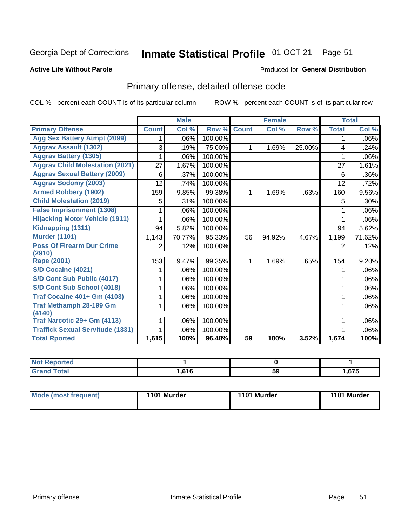#### Inmate Statistical Profile 01-OCT-21 Page 51

### **Active Life Without Parole**

### Produced for General Distribution

# Primary offense, detailed offense code

COL % - percent each COUNT is of its particular column

|                                         |              | <b>Male</b>                |         |              | <b>Female</b> |        |              | <b>Total</b> |
|-----------------------------------------|--------------|----------------------------|---------|--------------|---------------|--------|--------------|--------------|
| <b>Primary Offense</b>                  | <b>Count</b> | $\overline{\text{Col }^9}$ | Row %   | <b>Count</b> | Col %         | Row %  | <b>Total</b> | Col %        |
| <b>Agg Sex Battery Atmpt (2099)</b>     |              | .06%                       | 100.00% |              |               |        | 1            | .06%         |
| <b>Aggrav Assault (1302)</b>            | 3            | .19%                       | 75.00%  | 1            | 1.69%         | 25.00% | 4            | .24%         |
| <b>Aggrav Battery (1305)</b>            |              | .06%                       | 100.00% |              |               |        |              | .06%         |
| <b>Aggrav Child Molestation (2021)</b>  | 27           | 1.67%                      | 100.00% |              |               |        | 27           | 1.61%        |
| <b>Aggrav Sexual Battery (2009)</b>     | 6            | .37%                       | 100.00% |              |               |        | 6            | .36%         |
| <b>Aggrav Sodomy (2003)</b>             | 12           | .74%                       | 100.00% |              |               |        | 12           | .72%         |
| <b>Armed Robbery (1902)</b>             | 159          | 9.85%                      | 99.38%  | 1            | 1.69%         | .63%   | 160          | 9.56%        |
| <b>Child Molestation (2019)</b>         | 5            | .31%                       | 100.00% |              |               |        | 5            | .30%         |
| <b>False Imprisonment (1308)</b>        |              | .06%                       | 100.00% |              |               |        |              | .06%         |
| <b>Hijacking Motor Vehicle (1911)</b>   |              | .06%                       | 100.00% |              |               |        |              | .06%         |
| Kidnapping (1311)                       | 94           | 5.82%                      | 100.00% |              |               |        | 94           | 5.62%        |
| <b>Murder (1101)</b>                    | 1,143        | 70.77%                     | 95.33%  | 56           | 94.92%        | 4.67%  | 1,199        | 71.62%       |
| <b>Poss Of Firearm Dur Crime</b>        | 2            | .12%                       | 100.00% |              |               |        | 2            | .12%         |
| (2910)                                  |              |                            |         |              |               |        |              |              |
| Rape (2001)                             | 153          | 9.47%                      | 99.35%  |              | 1.69%         | .65%   | 154          | 9.20%        |
| S/D Cocaine (4021)                      |              | .06%                       | 100.00% |              |               |        |              | .06%         |
| S/D Cont Sub Public (4017)              |              | .06%                       | 100.00% |              |               |        |              | .06%         |
| S/D Cont Sub School (4018)              |              | .06%                       | 100.00% |              |               |        | 1            | .06%         |
| <b>Traf Cocaine 401+ Gm (4103)</b>      |              | .06%                       | 100.00% |              |               |        | 1            | .06%         |
| <b>Traf Methamph 28-199 Gm</b>          |              | .06%                       | 100.00% |              |               |        | 1            | .06%         |
| (4140)                                  |              |                            |         |              |               |        |              |              |
| Traf Narcotic 29+ Gm (4113)             |              | .06%                       | 100.00% |              |               |        |              | .06%         |
| <b>Traffick Sexual Servitude (1331)</b> |              | .06%                       | 100.00% |              |               |        |              | .06%         |
| <b>Total Rported</b>                    | 1,615        | 100%                       | 96.48%  | 59           | 100%          | 3.52%  | 1,674        | 100%         |

| <b>Not</b><br><b>orted</b><br>₹еос |                  |    |      |
|------------------------------------|------------------|----|------|
| <b>Total</b>                       | C <sub>4</sub> C | -- | ,675 |
| C <sub>ro</sub>                    | U I U            | 59 |      |

| Mode (most frequent) | 1101 Murder | 1101 Murder | 1101 Murder |
|----------------------|-------------|-------------|-------------|
|----------------------|-------------|-------------|-------------|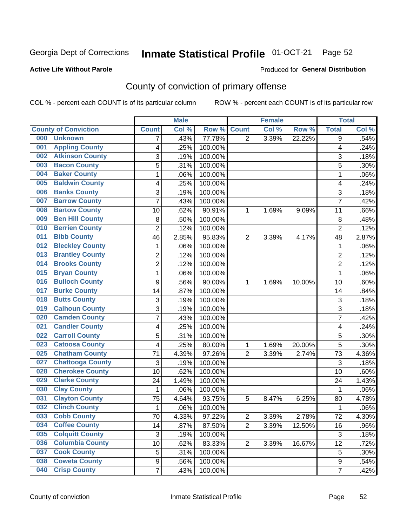# Inmate Statistical Profile 01-OCT-21 Page 52

### **Active Life Without Parole**

### Produced for General Distribution

# County of conviction of primary offense

COL % - percent each COUNT is of its particular column

|                             |                         |                | <b>Male</b> |         |                | <b>Female</b> |        |                | <b>Total</b> |
|-----------------------------|-------------------------|----------------|-------------|---------|----------------|---------------|--------|----------------|--------------|
| <b>County of Conviction</b> |                         | <b>Count</b>   | Col %       | Row %   | <b>Count</b>   | Col %         | Row %  | <b>Total</b>   | Col %        |
| 000                         | <b>Unknown</b>          | 7              | .43%        | 77.78%  | $\overline{2}$ | 3.39%         | 22.22% | 9              | .54%         |
| 001                         | <b>Appling County</b>   | 4              | .25%        | 100.00% |                |               |        | 4              | .24%         |
| 002                         | <b>Atkinson County</b>  | 3              | .19%        | 100.00% |                |               |        | 3              | .18%         |
| 003                         | <b>Bacon County</b>     | 5              | .31%        | 100.00% |                |               |        | 5              | .30%         |
| 004                         | <b>Baker County</b>     | $\mathbf{1}$   | .06%        | 100.00% |                |               |        | $\mathbf{1}$   | .06%         |
| 005                         | <b>Baldwin County</b>   | 4              | .25%        | 100.00% |                |               |        | 4              | .24%         |
| 006                         | <b>Banks County</b>     | 3              | .19%        | 100.00% |                |               |        | 3              | .18%         |
| 007                         | <b>Barrow County</b>    | $\overline{7}$ | .43%        | 100.00% |                |               |        | $\overline{7}$ | .42%         |
| 008                         | <b>Bartow County</b>    | 10             | .62%        | 90.91%  | 1              | 1.69%         | 9.09%  | 11             | .66%         |
| 009                         | <b>Ben Hill County</b>  | 8              | .50%        | 100.00% |                |               |        | 8              | .48%         |
| 010                         | <b>Berrien County</b>   | $\overline{2}$ | .12%        | 100.00% |                |               |        | $\overline{2}$ | .12%         |
| 011                         | <b>Bibb County</b>      | 46             | 2.85%       | 95.83%  | $\overline{2}$ | 3.39%         | 4.17%  | 48             | 2.87%        |
| 012                         | <b>Bleckley County</b>  | $\mathbf{1}$   | .06%        | 100.00% |                |               |        | $\mathbf{1}$   | .06%         |
| 013                         | <b>Brantley County</b>  | $\overline{2}$ | .12%        | 100.00% |                |               |        | $\overline{2}$ | .12%         |
| 014                         | <b>Brooks County</b>    | $\overline{c}$ | .12%        | 100.00% |                |               |        | $\overline{2}$ | .12%         |
| 015                         | <b>Bryan County</b>     | $\mathbf{1}$   | .06%        | 100.00% |                |               |        | $\mathbf{1}$   | .06%         |
| 016                         | <b>Bulloch County</b>   | 9              | .56%        | 90.00%  | 1              | 1.69%         | 10.00% | 10             | .60%         |
| 017                         | <b>Burke County</b>     | 14             | .87%        | 100.00% |                |               |        | 14             | .84%         |
| 018                         | <b>Butts County</b>     | 3              | .19%        | 100.00% |                |               |        | 3              | .18%         |
| 019                         | <b>Calhoun County</b>   | 3              | .19%        | 100.00% |                |               |        | $\overline{3}$ | .18%         |
| 020                         | <b>Camden County</b>    | $\overline{7}$ | .43%        | 100.00% |                |               |        | $\overline{7}$ | .42%         |
| 021                         | <b>Candler County</b>   | 4              | .25%        | 100.00% |                |               |        | 4              | .24%         |
| 022                         | <b>Carroll County</b>   | 5              | .31%        | 100.00% |                |               |        | 5              | .30%         |
| 023                         | <b>Catoosa County</b>   | 4              | .25%        | 80.00%  | 1              | 1.69%         | 20.00% | 5              | .30%         |
| 025                         | <b>Chatham County</b>   | 71             | 4.39%       | 97.26%  | $\overline{2}$ | 3.39%         | 2.74%  | 73             | 4.36%        |
| 027                         | <b>Chattooga County</b> | 3              | .19%        | 100.00% |                |               |        | 3              | .18%         |
| 028                         | <b>Cherokee County</b>  | 10             | .62%        | 100.00% |                |               |        | 10             | .60%         |
| 029                         | <b>Clarke County</b>    | 24             | 1.49%       | 100.00% |                |               |        | 24             | 1.43%        |
| 030                         | <b>Clay County</b>      | $\mathbf{1}$   | .06%        | 100.00% |                |               |        | $\mathbf{1}$   | .06%         |
| 031                         | <b>Clayton County</b>   | 75             | 4.64%       | 93.75%  | 5              | 8.47%         | 6.25%  | 80             | 4.78%        |
| 032                         | <b>Clinch County</b>    | $\mathbf{1}$   | .06%        | 100.00% |                |               |        | 1              | .06%         |
| 033                         | <b>Cobb County</b>      | 70             | 4.33%       | 97.22%  | 2              | 3.39%         | 2.78%  | 72             | 4.30%        |
| 034                         | <b>Coffee County</b>    | 14             | .87%        | 87.50%  | $\overline{2}$ | 3.39%         | 12.50% | 16             | .96%         |
| 035                         | <b>Colquitt County</b>  | $\mathfrak{S}$ | .19%        | 100.00% |                |               |        | 3              | .18%         |
| 036                         | <b>Columbia County</b>  | 10             | .62%        | 83.33%  | $\overline{2}$ | 3.39%         | 16.67% | 12             | .72%         |
| 037                         | <b>Cook County</b>      | 5              | .31%        | 100.00% |                |               |        | 5              | .30%         |
| 038                         | <b>Coweta County</b>    | 9              | .56%        | 100.00% |                |               |        | 9              | .54%         |
| 040                         | <b>Crisp County</b>     | $\overline{7}$ | .43%        | 100.00% |                |               |        | $\overline{7}$ | .42%         |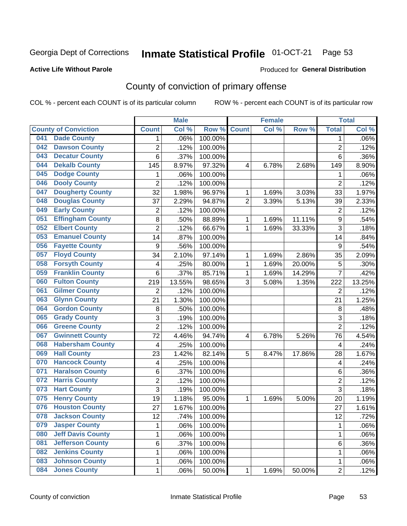# Inmate Statistical Profile 01-OCT-21 Page 53

### **Active Life Without Parole**

### Produced for General Distribution

# County of conviction of primary offense

COL % - percent each COUNT is of its particular column

|     |                             |                  | <b>Male</b> |         |                | <b>Female</b> |        |                | <b>Total</b> |
|-----|-----------------------------|------------------|-------------|---------|----------------|---------------|--------|----------------|--------------|
|     | <b>County of Conviction</b> | <b>Count</b>     | Col %       | Row %   | <b>Count</b>   | Col %         | Row %  | <b>Total</b>   | Col %        |
| 041 | <b>Dade County</b>          | 1                | .06%        | 100.00% |                |               |        | 1              | .06%         |
| 042 | <b>Dawson County</b>        | $\overline{2}$   | .12%        | 100.00% |                |               |        | $\overline{2}$ | .12%         |
| 043 | <b>Decatur County</b>       | 6                | .37%        | 100.00% |                |               |        | 6              | .36%         |
| 044 | <b>Dekalb County</b>        | 145              | 8.97%       | 97.32%  | 4              | 6.78%         | 2.68%  | 149            | 8.90%        |
| 045 | <b>Dodge County</b>         | 1                | .06%        | 100.00% |                |               |        | 1              | .06%         |
| 046 | <b>Dooly County</b>         | $\overline{2}$   | .12%        | 100.00% |                |               |        | $\overline{2}$ | .12%         |
| 047 | <b>Dougherty County</b>     | 32               | 1.98%       | 96.97%  | 1              | 1.69%         | 3.03%  | 33             | 1.97%        |
| 048 | <b>Douglas County</b>       | 37               | 2.29%       | 94.87%  | $\overline{2}$ | 3.39%         | 5.13%  | 39             | 2.33%        |
| 049 | <b>Early County</b>         | $\overline{c}$   | .12%        | 100.00% |                |               |        | $\overline{2}$ | .12%         |
| 051 | <b>Effingham County</b>     | 8                | .50%        | 88.89%  | 1              | 1.69%         | 11.11% | 9              | .54%         |
| 052 | <b>Elbert County</b>        | $\overline{2}$   | .12%        | 66.67%  | 1              | 1.69%         | 33.33% | 3              | .18%         |
| 053 | <b>Emanuel County</b>       | 14               | .87%        | 100.00% |                |               |        | 14             | .84%         |
| 056 | <b>Fayette County</b>       | $\boldsymbol{9}$ | .56%        | 100.00% |                |               |        | 9              | .54%         |
| 057 | <b>Floyd County</b>         | 34               | 2.10%       | 97.14%  | 1              | 1.69%         | 2.86%  | 35             | 2.09%        |
| 058 | <b>Forsyth County</b>       | 4                | .25%        | 80.00%  | 1              | 1.69%         | 20.00% | 5              | .30%         |
| 059 | <b>Franklin County</b>      | 6                | .37%        | 85.71%  | 1              | 1.69%         | 14.29% | 7              | .42%         |
| 060 | <b>Fulton County</b>        | 219              | 13.55%      | 98.65%  | 3              | 5.08%         | 1.35%  | 222            | 13.25%       |
| 061 | <b>Gilmer County</b>        | $\overline{2}$   | .12%        | 100.00% |                |               |        | $\overline{2}$ | .12%         |
| 063 | <b>Glynn County</b>         | 21               | 1.30%       | 100.00% |                |               |        | 21             | 1.25%        |
| 064 | <b>Gordon County</b>        | 8                | .50%        | 100.00% |                |               |        | 8              | .48%         |
| 065 | <b>Grady County</b>         | 3                | .19%        | 100.00% |                |               |        | 3              | .18%         |
| 066 | <b>Greene County</b>        | $\overline{2}$   | .12%        | 100.00% |                |               |        | $\overline{2}$ | .12%         |
| 067 | <b>Gwinnett County</b>      | 72               | 4.46%       | 94.74%  | 4              | 6.78%         | 5.26%  | 76             | 4.54%        |
| 068 | <b>Habersham County</b>     | $\overline{4}$   | .25%        | 100.00% |                |               |        | 4              | .24%         |
| 069 | <b>Hall County</b>          | 23               | 1.42%       | 82.14%  | 5              | 8.47%         | 17.86% | 28             | 1.67%        |
| 070 | <b>Hancock County</b>       | 4                | .25%        | 100.00% |                |               |        | 4              | .24%         |
| 071 | <b>Haralson County</b>      | 6                | .37%        | 100.00% |                |               |        | 6              | .36%         |
| 072 | <b>Harris County</b>        | $\overline{2}$   | .12%        | 100.00% |                |               |        | $\overline{c}$ | .12%         |
| 073 | <b>Hart County</b>          | 3                | .19%        | 100.00% |                |               |        | 3              | .18%         |
| 075 | <b>Henry County</b>         | 19               | 1.18%       | 95.00%  | 1              | 1.69%         | 5.00%  | 20             | 1.19%        |
| 076 | <b>Houston County</b>       | 27               | 1.67%       | 100.00% |                |               |        | 27             | 1.61%        |
| 078 | <b>Jackson County</b>       | 12               | .74%        | 100.00% |                |               |        | 12             | .72%         |
| 079 | <b>Jasper County</b>        | $\mathbf{1}$     | .06%        | 100.00% |                |               |        | $\mathbf{1}$   | .06%         |
| 080 | <b>Jeff Davis County</b>    | 1                | .06%        | 100.00% |                |               |        | $\mathbf{1}$   | .06%         |
| 081 | <b>Jefferson County</b>     | 6                | .37%        | 100.00% |                |               |        | 6              | .36%         |
| 082 | <b>Jenkins County</b>       | 1                | .06%        | 100.00% |                |               |        | 1              | .06%         |
| 083 | <b>Johnson County</b>       | $\mathbf 1$      | .06%        | 100.00% |                |               |        | 1              | .06%         |
| 084 | <b>Jones County</b>         | $\mathbf 1$      | .06%        | 50.00%  | 1              | 1.69%         | 50.00% | $\overline{2}$ | .12%         |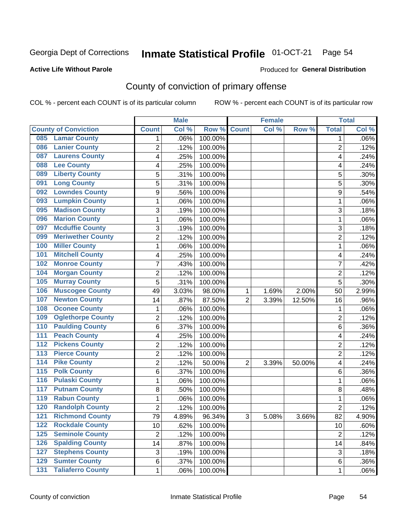#### Inmate Statistical Profile 01-OCT-21 Page 54

### **Active Life Without Parole**

### Produced for General Distribution

# County of conviction of primary offense

COL % - percent each COUNT is of its particular column

|                                              |                | <b>Male</b> |         |                | <b>Female</b> |          |                | <b>Total</b> |
|----------------------------------------------|----------------|-------------|---------|----------------|---------------|----------|----------------|--------------|
| <b>County of Conviction</b>                  | <b>Count</b>   | Col %       | Row %   | <b>Count</b>   | Col %         | Row %    | <b>Total</b>   | Col %        |
| <b>Lamar County</b><br>085                   | 1              | .06%        | 100.00% |                |               |          | 1              | $.06\%$      |
| <b>Lanier County</b><br>086                  | $\overline{2}$ | .12%        | 100.00% |                |               |          | $\overline{2}$ | .12%         |
| <b>Laurens County</b><br>087                 | 4              | .25%        | 100.00% |                |               |          | 4              | .24%         |
| <b>Lee County</b><br>088                     | 4              | .25%        | 100.00% |                |               |          | 4              | .24%         |
| <b>Liberty County</b><br>089                 | 5              | .31%        | 100.00% |                |               |          | 5              | .30%         |
| <b>Long County</b><br>091                    | 5              | .31%        | 100.00% |                |               |          | 5              | .30%         |
| <b>Lowndes County</b><br>092                 | 9              | .56%        | 100.00% |                |               |          | 9              | .54%         |
| <b>Lumpkin County</b><br>093                 | 1              | .06%        | 100.00% |                |               |          | 1              | .06%         |
| <b>Madison County</b><br>095                 | 3              | .19%        | 100.00% |                |               |          | 3              | .18%         |
| <b>Marion County</b><br>096                  | 1              | .06%        | 100.00% |                |               |          | $\mathbf{1}$   | .06%         |
| <b>Mcduffie County</b><br>097                | 3              | .19%        | 100.00% |                |               |          | 3              | .18%         |
| <b>Meriwether County</b><br>099              | $\overline{2}$ | .12%        | 100.00% |                |               |          | $\overline{2}$ | .12%         |
| <b>Miller County</b><br>100                  | 1              | .06%        | 100.00% |                |               |          | $\mathbf{1}$   | .06%         |
| <b>Mitchell County</b><br>101                | 4              | .25%        | 100.00% |                |               |          | 4              | .24%         |
| <b>Monroe County</b><br>102                  | 7              | .43%        | 100.00% |                |               |          | $\overline{7}$ | .42%         |
| <b>Morgan County</b><br>104                  | $\overline{2}$ | .12%        | 100.00% |                |               |          | $\overline{2}$ | .12%         |
| <b>Murray County</b><br>105                  | 5              | .31%        | 100.00% |                |               |          | 5              | .30%         |
| <b>Muscogee County</b><br>106                | 49             | 3.03%       | 98.00%  | 1              | 1.69%         | 2.00%    | 50             | 2.99%        |
| <b>Newton County</b><br>107                  | 14             | .87%        | 87.50%  | $\overline{2}$ | 3.39%         | 12.50%   | 16             | .96%         |
| <b>Oconee County</b><br>108                  | 1              | .06%        | 100.00% |                |               |          | 1              | .06%         |
| <b>Oglethorpe County</b><br>109              | 2              | .12%        | 100.00% |                |               |          | $\overline{2}$ | .12%         |
| <b>Paulding County</b><br>110                | 6              | .37%        | 100.00% |                |               |          | 6              | .36%         |
| <b>Peach County</b><br>111                   | 4              | .25%        | 100.00% |                |               |          | 4              | .24%         |
| <b>Pickens County</b><br>112                 | $\overline{2}$ | .12%        | 100.00% |                |               |          | $\overline{2}$ | .12%         |
| <b>Pierce County</b><br>113                  | 2              | .12%        | 100.00% |                |               |          | $\overline{2}$ | .12%         |
| <b>Pike County</b><br>$\overline{114}$       | $\overline{2}$ | .12%        | 50.00%  | $\overline{2}$ | 3.39%         | 50.00%   | 4              | .24%         |
| <b>Polk County</b><br>$\overline{115}$       | 6              | .37%        | 100.00% |                |               |          | 6              | .36%         |
| <b>Pulaski County</b><br>116                 | 1              | .06%        | 100.00% |                |               |          | $\mathbf{1}$   | .06%         |
| <b>Putnam County</b><br>117                  | 8              | .50%        | 100.00% |                |               |          | 8              | .48%         |
| <b>Rabun County</b><br>119                   | 1              | .06%        | 100.00% |                |               |          | $\mathbf{1}$   | .06%         |
| <b>Randolph County</b><br>120                | $\overline{2}$ | .12%        | 100.00% |                |               |          | $\overline{2}$ | .12%         |
| <b>Richmond County</b><br>121                | 79             | 4.89%       | 96.34%  | 3              | 5.08%         | $3.66\%$ | 82             | 4.90%        |
| <b>Rockdale County</b><br>122                | 10             | .62%        | 100.00% |                |               |          | 10             | .60%         |
| <b>Seminole County</b><br>$125$              | $\overline{2}$ | .12%        | 100.00% |                |               |          | $\overline{2}$ | .12%         |
| <b>Spalding County</b><br>126                | 14             | .87%        | 100.00% |                |               |          | 14             | .84%         |
| <b>Stephens County</b><br>127                | 3              | .19%        | 100.00% |                |               |          | 3              | .18%         |
| <b>Sumter County</b><br>129                  | 6              | .37%        | 100.00% |                |               |          | 6              | .36%         |
| <b>Taliaferro County</b><br>$\overline{131}$ | $\mathbf{1}$   | .06%        | 100.00% |                |               |          | 1              | .06%         |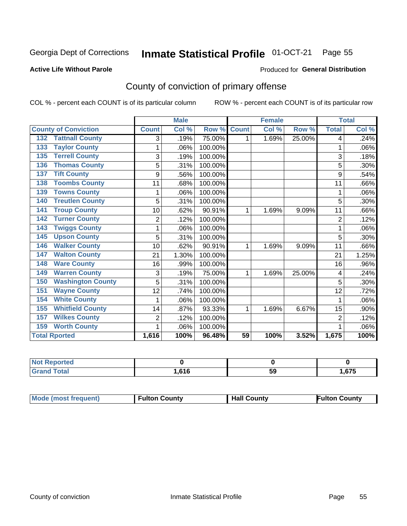# Inmate Statistical Profile 01-OCT-21 Page 55

### **Active Life Without Parole**

## Produced for General Distribution

# County of conviction of primary offense

COL % - percent each COUNT is of its particular column

|                                 |                | <b>Male</b> |         |                 | <b>Female</b>             |        |                | <b>Total</b> |
|---------------------------------|----------------|-------------|---------|-----------------|---------------------------|--------|----------------|--------------|
| <b>County of Conviction</b>     | <b>Count</b>   | Col %       | Row %   | <b>Count</b>    | $\overline{\text{Col 9}}$ | Row %  | <b>Total</b>   | Col %        |
| <b>Tattnall County</b><br>132   | 3              | .19%        | 75.00%  | 1               | 1.69%                     | 25.00% | 4              | .24%         |
| <b>Taylor County</b><br>133     | 1              | .06%        | 100.00% |                 |                           |        | 1              | .06%         |
| <b>Terrell County</b><br>135    | 3              | .19%        | 100.00% |                 |                           |        | 3              | .18%         |
| <b>Thomas County</b><br>136     | 5              | .31%        | 100.00% |                 |                           |        | 5              | .30%         |
| <b>Tift County</b><br>137       | 9              | .56%        | 100.00% |                 |                           |        | 9              | .54%         |
| <b>Toombs County</b><br>138     | 11             | .68%        | 100.00% |                 |                           |        | 11             | .66%         |
| <b>Towns County</b><br>139      |                | .06%        | 100.00% |                 |                           |        | 1              | .06%         |
| <b>Treutlen County</b><br>140   | 5              | .31%        | 100.00% |                 |                           |        | 5              | .30%         |
| <b>Troup County</b><br>141      | 10             | .62%        | 90.91%  | 1               | 1.69%                     | 9.09%  | 11             | .66%         |
| <b>Turner County</b><br>142     | $\overline{2}$ | .12%        | 100.00% |                 |                           |        | $\overline{2}$ | .12%         |
| <b>Twiggs County</b><br>143     |                | .06%        | 100.00% |                 |                           |        | 1              | .06%         |
| <b>Upson County</b><br>145      | 5              | .31%        | 100.00% |                 |                           |        | 5              | .30%         |
| <b>Walker County</b><br>146     | 10             | .62%        | 90.91%  | 1               | 1.69%                     | 9.09%  | 11             | .66%         |
| <b>Walton County</b><br>147     | 21             | 1.30%       | 100.00% |                 |                           |        | 21             | 1.25%        |
| <b>Ware County</b><br>148       | 16             | .99%        | 100.00% |                 |                           |        | 16             | .96%         |
| <b>Warren County</b><br>149     | 3              | .19%        | 75.00%  | 1               | 1.69%                     | 25.00% | 4              | .24%         |
| <b>Washington County</b><br>150 | 5              | .31%        | 100.00% |                 |                           |        | 5              | .30%         |
| <b>Wayne County</b><br>151      | 12             | .74%        | 100.00% |                 |                           |        | 12             | .72%         |
| <b>White County</b><br>154      | 1              | .06%        | 100.00% |                 |                           |        | 1              | .06%         |
| <b>Whitfield County</b><br>155  | 14             | .87%        | 93.33%  | 1               | 1.69%                     | 6.67%  | 15             | .90%         |
| <b>Wilkes County</b><br>157     | $\overline{2}$ | .12%        | 100.00% |                 |                           |        | $\overline{2}$ | .12%         |
| <b>Worth County</b><br>159      | 1              | .06%        | 100.00% |                 |                           |        | 1              | .06%         |
| <b>Total Rported</b>            | 1,616          | 100%        | 96.48%  | $\overline{59}$ | 100%                      | 3.52%  | 1,675          | 100%         |

| Reported<br>NOT<br><u>and</u> |      |           |      |
|-------------------------------|------|-----------|------|
| Utdi                          | .616 | <b>59</b> | .675 |

| <b>Mode (most frequent)</b> | <b>Fulton County</b> | <b>Hall County</b> | <b>Fulton County</b> |
|-----------------------------|----------------------|--------------------|----------------------|
|-----------------------------|----------------------|--------------------|----------------------|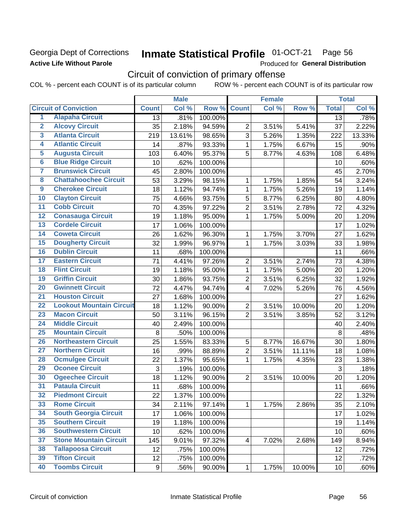# Georgia Dept of Corrections **Active Life Without Parole**

#### Inmate Statistical Profile 01-OCT-21 Page 56

Produced for General Distribution

# Circuit of conviction of primary offense

COL % - percent each COUNT is of its particular column ROW % - percent each COUNT is of its particular row

|                         |                                 |              | <b>Male</b> |         |                | <b>Female</b> |        |                 | <b>Total</b> |
|-------------------------|---------------------------------|--------------|-------------|---------|----------------|---------------|--------|-----------------|--------------|
|                         | <b>Circuit of Conviction</b>    | <b>Count</b> | Col %       | Row %   | <b>Count</b>   | Col %         | Row %  | <b>Total</b>    | Col %        |
| 1                       | <b>Alapaha Circuit</b>          | 13           | .81%        | 100.00% |                |               |        | 13              | .78%         |
| $\overline{2}$          | <b>Alcovy Circuit</b>           | 35           | 2.18%       | 94.59%  | $\overline{2}$ | 3.51%         | 5.41%  | 37              | 2.22%        |
| $\overline{\mathbf{3}}$ | <b>Atlanta Circuit</b>          | 219          | 13.61%      | 98.65%  | 3              | 5.26%         | 1.35%  | 222             | 13.33%       |
| 4                       | <b>Atlantic Circuit</b>         | 14           | .87%        | 93.33%  | $\mathbf{1}$   | 1.75%         | 6.67%  | 15              | .90%         |
| $\overline{\mathbf{5}}$ | <b>Augusta Circuit</b>          | 103          | 6.40%       | 95.37%  | 5              | 8.77%         | 4.63%  | 108             | 6.48%        |
| $\overline{6}$          | <b>Blue Ridge Circuit</b>       | 10           | .62%        | 100.00% |                |               |        | 10              | .60%         |
| 7                       | <b>Brunswick Circuit</b>        | 45           | 2.80%       | 100.00% |                |               |        | 45              | 2.70%        |
| 8                       | <b>Chattahoochee Circuit</b>    | 53           | 3.29%       | 98.15%  | 1              | 1.75%         | 1.85%  | 54              | 3.24%        |
| $\overline{9}$          | <b>Cherokee Circuit</b>         | 18           | 1.12%       | 94.74%  | 1              | 1.75%         | 5.26%  | 19              | 1.14%        |
| 10                      | <b>Clayton Circuit</b>          | 75           | 4.66%       | 93.75%  | 5              | 8.77%         | 6.25%  | 80              | 4.80%        |
| $\overline{11}$         | <b>Cobb Circuit</b>             | 70           | 4.35%       | 97.22%  | $\overline{2}$ | 3.51%         | 2.78%  | 72              | 4.32%        |
| $\overline{12}$         | <b>Conasauga Circuit</b>        | 19           | 1.18%       | 95.00%  | $\mathbf{1}$   | 1.75%         | 5.00%  | 20              | 1.20%        |
| $\overline{13}$         | <b>Cordele Circuit</b>          | 17           | 1.06%       | 100.00% |                |               |        | 17              | 1.02%        |
| $\overline{14}$         | <b>Coweta Circuit</b>           | 26           | 1.62%       | 96.30%  | $\mathbf{1}$   | 1.75%         | 3.70%  | 27              | 1.62%        |
| $\overline{15}$         | <b>Dougherty Circuit</b>        | 32           | 1.99%       | 96.97%  | $\mathbf{1}$   | 1.75%         | 3.03%  | 33              | 1.98%        |
| 16                      | <b>Dublin Circuit</b>           | 11           | .68%        | 100.00% |                |               |        | 11              | .66%         |
| $\overline{17}$         | <b>Eastern Circuit</b>          | 71           | 4.41%       | 97.26%  | $\overline{2}$ | 3.51%         | 2.74%  | 73              | 4.38%        |
| $\overline{18}$         | <b>Flint Circuit</b>            | 19           | 1.18%       | 95.00%  | $\mathbf{1}$   | 1.75%         | 5.00%  | 20              | 1.20%        |
| 19                      | <b>Griffin Circuit</b>          | 30           | 1.86%       | 93.75%  | $\overline{2}$ | 3.51%         | 6.25%  | 32              | 1.92%        |
| 20                      | <b>Gwinnett Circuit</b>         | 72           | 4.47%       | 94.74%  | $\overline{4}$ | 7.02%         | 5.26%  | 76              | 4.56%        |
| $\overline{21}$         | <b>Houston Circuit</b>          | 27           | 1.68%       | 100.00% |                |               |        | 27              | 1.62%        |
| $\overline{22}$         | <b>Lookout Mountain Circuit</b> | 18           | 1.12%       | 90.00%  | $\overline{2}$ | 3.51%         | 10.00% | 20              | 1.20%        |
| 23                      | <b>Macon Circuit</b>            | 50           | 3.11%       | 96.15%  | $\overline{2}$ | 3.51%         | 3.85%  | 52              | 3.12%        |
| 24                      | <b>Middle Circuit</b>           | 40           | 2.49%       | 100.00% |                |               |        | 40              | 2.40%        |
| $\overline{25}$         | <b>Mountain Circuit</b>         | 8            | .50%        | 100.00% |                |               |        | 8               | .48%         |
| 26                      | <b>Northeastern Circuit</b>     | 25           | 1.55%       | 83.33%  | 5              | 8.77%         | 16.67% | 30              | 1.80%        |
| $\overline{27}$         | <b>Northern Circuit</b>         | 16           | .99%        | 88.89%  | $\overline{2}$ | 3.51%         | 11.11% | 18              | 1.08%        |
| 28                      | <b>Ocmulgee Circuit</b>         | 22           | 1.37%       | 95.65%  | $\mathbf{1}$   | 1.75%         | 4.35%  | 23              | 1.38%        |
| 29                      | <b>Oconee Circuit</b>           | 3            | .19%        | 100.00% |                |               |        | $\mathfrak{S}$  | .18%         |
| 30                      | <b>Ogeechee Circuit</b>         | 18           | 1.12%       | 90.00%  | $\overline{2}$ | 3.51%         | 10.00% | 20              | 1.20%        |
| $\overline{31}$         | <b>Pataula Circuit</b>          | 11           | .68%        | 100.00% |                |               |        | 11              | .66%         |
| 32                      | <b>Piedmont Circuit</b>         | 22           | 1.37%       | 100.00% |                |               |        | 22              | 1.32%        |
| 33                      | <b>Rome Circuit</b>             | 34           | 2.11%       | 97.14%  | $\mathbf 1$    | 1.75%         | 2.86%  | 35              | 2.10%        |
| 34                      | <b>South Georgia Circuit</b>    | 17           | 1.06%       | 100.00% |                |               |        | 17              | 1.02%        |
| 35                      | <b>Southern Circuit</b>         | 19           | 1.18%       | 100.00% |                |               |        | 19              | 1.14%        |
| 36                      | <b>Southwestern Circuit</b>     | 10           | .62%        | 100.00% |                |               |        | 10              | .60%         |
| 37                      | <b>Stone Mountain Circuit</b>   | 145          | 9.01%       | 97.32%  | 4              | 7.02%         | 2.68%  | 149             | 8.94%        |
| 38                      | <b>Tallapoosa Circuit</b>       | 12           | .75%        | 100.00% |                |               |        | 12              | .72%         |
| 39                      | <b>Tifton Circuit</b>           | 12           | .75%        | 100.00% |                |               |        | 12              | .72%         |
| 40                      | <b>Toombs Circuit</b>           | 9            | .56%        | 90.00%  | $\mathbf{1}$   | 1.75%         | 10.00% | 10 <sub>1</sub> | .60%         |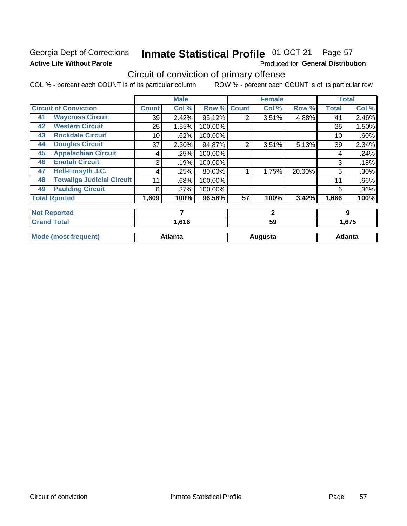# Georgia Dept of Corrections **Active Life Without Parole**

#### Inmate Statistical Profile 01-OCT-21 Page 57

Produced for General Distribution

# Circuit of conviction of primary offense

COL % - percent each COUNT is of its particular column ROW % - percent each COUNT is of its particular row

|    |                                  |              | <b>Male</b>    |         |              | <b>Female</b>  |        |              | <b>Total</b>   |
|----|----------------------------------|--------------|----------------|---------|--------------|----------------|--------|--------------|----------------|
|    | <b>Circuit of Conviction</b>     | <b>Count</b> | Col %          | Row %   | <b>Count</b> | Col %          | Row %  | <b>Total</b> | Col %          |
| 41 | <b>Waycross Circuit</b>          | 39           | 2.42%          | 95.12%  | 2            | 3.51%          | 4.88%  | 41           | 2.46%          |
| 42 | <b>Western Circuit</b>           | 25           | 1.55%          | 100.00% |              |                |        | 25           | 1.50%          |
| 43 | <b>Rockdale Circuit</b>          | 10           | .62%           | 100.00% |              |                |        | 10           | .60%           |
| 44 | <b>Douglas Circuit</b>           | 37           | 2.30%          | 94.87%  | 2            | 3.51%          | 5.13%  | 39           | 2.34%          |
| 45 | <b>Appalachian Circuit</b>       | 4            | .25%           | 100.00% |              |                |        | 4            | .24%           |
| 46 | <b>Enotah Circuit</b>            | 3            | .19%           | 100.00% |              |                |        | 3            | .18%           |
| 47 | <b>Bell-Forsyth J.C.</b>         | 4            | .25%           | 80.00%  |              | 1.75%          | 20.00% | 5            | .30%           |
| 48 | <b>Towaliga Judicial Circuit</b> | 11           | .68%           | 100.00% |              |                |        | 11           | .66%           |
| 49 | <b>Paulding Circuit</b>          | 6            | .37%           | 100.00% |              |                |        | 6            | $.36\%$        |
|    | <b>Total Rported</b>             | 1,609        | 100%           | 96.58%  | 57           | 100%           | 3.42%  | 1,666        | 100%           |
|    | <b>Not Reported</b>              |              | 7              |         |              | $\overline{2}$ |        |              | 9              |
|    | <b>Grand Total</b>               | 1,616<br>59  |                | 1,675   |              |                |        |              |                |
|    | <b>Mode (most frequent)</b>      |              | <b>Atlanta</b> |         |              | Augusta        |        |              | <b>Atlanta</b> |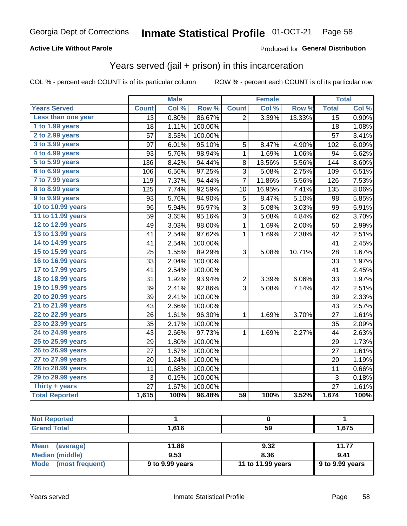# **Active Life Without Parole**

## Produced for General Distribution

# Years served (jail + prison) in this incarceration

COL % - percent each COUNT is of its particular column

|                       |                 | <b>Male</b> |                  |                 | <b>Female</b> |        |                 | <b>Total</b> |
|-----------------------|-----------------|-------------|------------------|-----------------|---------------|--------|-----------------|--------------|
| <b>Years Served</b>   | <b>Count</b>    | Col %       | Row <sup>%</sup> | <b>Count</b>    | Col %         | Row %  | <b>Total</b>    | Col %        |
| Less than one year    | $\overline{13}$ | 0.80%       | 86.67%           | $\overline{2}$  | 3.39%         | 13.33% | $\overline{15}$ | 0.90%        |
| 1 to 1.99 years       | 18              | 1.11%       | 100.00%          |                 |               |        | 18              | 1.08%        |
| 2 to 2.99 years       | 57              | 3.53%       | 100.00%          |                 |               |        | 57              | 3.41%        |
| 3 to 3.99 years       | 97              | 6.01%       | 95.10%           | 5               | 8.47%         | 4.90%  | 102             | 6.09%        |
| 4 to 4.99 years       | 93              | 5.76%       | 98.94%           | $\mathbf{1}$    | 1.69%         | 1.06%  | 94              | 5.62%        |
| 5 to 5.99 years       | 136             | 8.42%       | 94.44%           | 8               | 13.56%        | 5.56%  | 144             | 8.60%        |
| 6 to 6.99 years       | 106             | 6.56%       | 97.25%           | 3               | 5.08%         | 2.75%  | 109             | 6.51%        |
| 7 to 7.99 years       | 119             | 7.37%       | 94.44%           | $\overline{7}$  | 11.86%        | 5.56%  | 126             | 7.53%        |
| 8 to 8.99 years       | 125             | 7.74%       | 92.59%           | 10              | 16.95%        | 7.41%  | 135             | 8.06%        |
| 9 to 9.99 years       | 93              | 5.76%       | 94.90%           | 5               | 8.47%         | 5.10%  | 98              | 5.85%        |
| 10 to 10.99 years     | 96              | 5.94%       | 96.97%           | 3               | 5.08%         | 3.03%  | 99              | 5.91%        |
| 11 to 11.99 years     | 59              | 3.65%       | 95.16%           | $\overline{3}$  | 5.08%         | 4.84%  | 62              | 3.70%        |
| 12 to 12.99 years     | 49              | 3.03%       | 98.00%           | $\mathbf{1}$    | 1.69%         | 2.00%  | 50              | 2.99%        |
| 13 to 13.99 years     | 41              | 2.54%       | 97.62%           | $\mathbf{1}$    | 1.69%         | 2.38%  | 42              | 2.51%        |
| 14 to 14.99 years     | 41              | 2.54%       | 100.00%          |                 |               |        | 41              | 2.45%        |
| 15 to 15.99 years     | 25              | 1.55%       | 89.29%           | 3               | 5.08%         | 10.71% | 28              | 1.67%        |
| 16 to 16.99 years     | 33              | 2.04%       | 100.00%          |                 |               |        | 33              | 1.97%        |
| 17 to 17.99 years     | 41              | 2.54%       | 100.00%          |                 |               |        | 41              | 2.45%        |
| 18 to 18.99 years     | 31              | 1.92%       | 93.94%           | $\overline{c}$  | 3.39%         | 6.06%  | 33              | 1.97%        |
| 19 to 19.99 years     | 39              | 2.41%       | 92.86%           | 3               | 5.08%         | 7.14%  | 42              | 2.51%        |
| 20 to 20.99 years     | 39              | 2.41%       | 100.00%          |                 |               |        | 39              | 2.33%        |
| 21 to 21.99 years     | 43              | 2.66%       | 100.00%          |                 |               |        | 43              | 2.57%        |
| 22 to 22.99 years     | 26              | 1.61%       | 96.30%           | $\mathbf{1}$    | 1.69%         | 3.70%  | 27              | 1.61%        |
| 23 to 23.99 years     | 35              | 2.17%       | 100.00%          |                 |               |        | 35              | 2.09%        |
| 24 to 24.99 years     | 43              | 2.66%       | 97.73%           | $\mathbf{1}$    | 1.69%         | 2.27%  | 44              | 2.63%        |
| 25 to 25.99 years     | 29              | 1.80%       | 100.00%          |                 |               |        | 29              | 1.73%        |
| 26 to 26.99 years     | 27              | 1.67%       | 100.00%          |                 |               |        | 27              | 1.61%        |
| 27 to 27.99 years     | 20              | 1.24%       | 100.00%          |                 |               |        | 20              | 1.19%        |
| 28 to 28.99 years     | 11              | 0.68%       | 100.00%          |                 |               |        | 11              | 0.66%        |
| 29 to 29.99 years     | 3               | 0.19%       | 100.00%          |                 |               |        | 3               | 0.18%        |
| Thirty + years        | 27              | 1.67%       | 100.00%          |                 |               |        | 27              | 1.61%        |
| <b>Total Reported</b> | 1,615           | 100%        | 96.48%           | $\overline{59}$ | 100%          | 3.52%  | 1,674           | 100%         |

| <b>Not Reported</b>      |                 |                   |                 |
|--------------------------|-----------------|-------------------|-----------------|
| <b>Grand Total</b>       | 1.616           | 59                | 1,675           |
|                          |                 |                   |                 |
| <b>Mean</b><br>(average) | 11.86           | 9.32              | 11.77           |
| Median (middle)          | 9.53            | 8.36              | 9.41            |
| Mode<br>(most frequent)  | 9 to 9.99 years | 11 to 11.99 years | 9 to 9.99 years |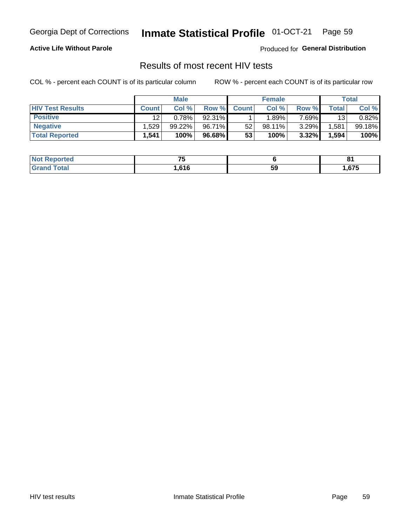#### Inmate Statistical Profile 01-OCT-21 Page 59

## **Active Life Without Parole**

Produced for General Distribution

# Results of most recent HIV tests

COL % - percent each COUNT is of its particular column

|                         | <b>Male</b>  |           |        | <b>Female</b> |           |          | Total   |        |
|-------------------------|--------------|-----------|--------|---------------|-----------|----------|---------|--------|
| <b>HIV Test Results</b> | <b>Count</b> | Col%      | Row %I | <b>Count</b>  | Col %     | Row %    | Total . | Col %  |
| <b>Positive</b>         | 12           | 0.78%     | 92.31% |               | .89%      | 7.69%    | 13      | 0.82%  |
| <b>Negative</b>         | .529         | $99.22\%$ | 96.71% | 52            | $98.11\%$ | $3.29\%$ | .581    | 99.18% |
| <b>Total Reported</b>   | .541         | 100%      | 96.68% | 53            | 100%      | 3.32%    | 1,594   | 100%   |

| <b>Not Reported</b>              | --<br>. |    | o.   |
|----------------------------------|---------|----|------|
| <b>Total</b><br>Gra <sub>r</sub> | .616    | 59 | ,675 |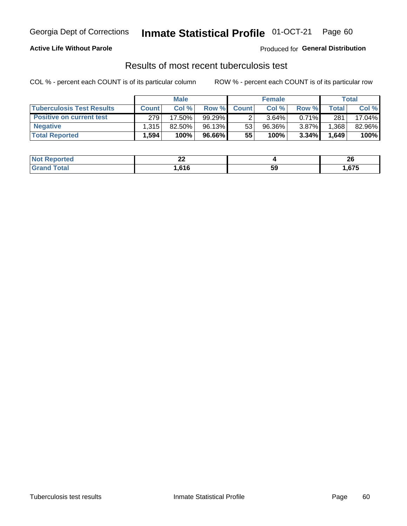# Georgia Dept of Corrections **Inmate Statistical Profile** 01-OCT-21 Page 60

# **Active Life Without Parole**

Produced for **General Distribution**

# Results of most recent tuberculosis test

COL % - percent each COUNT is of its particular column ROW % - percent each COUNT is of its particular row

|                                  | <b>Male</b>  |        |        | <b>Female</b> |         |          | Total |        |
|----------------------------------|--------------|--------|--------|---------------|---------|----------|-------|--------|
| <b>Tuberculosis Test Results</b> | <b>Count</b> | Col%   | Row %  | <b>Count</b>  | Col%    | Row %    | Total | Col %  |
| <b>Positive on current test</b>  | 279          | 17.50% | 99.29% |               | 3.64%   | $0.71\%$ | 281   | 17.04% |
| <b>Negative</b>                  | 1,315        | 82.50% | 96.13% | 53            | 96.36%  | $3.87\%$ | .368  | 82.96% |
| <b>Total Reported</b>            | .,594        | 100%   | 96.66% | 55            | $100\%$ | 3.34%    | 1,649 | 100%   |

| <b>Not Reported</b> | n,<br>-- |    | n,<br>ZU |
|---------------------|----------|----|----------|
| Total               | .616     | 59 | .675     |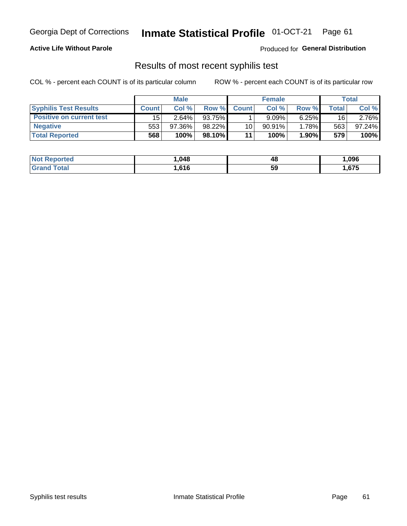# Georgia Dept of Corrections **Inmate Statistical Profile** 01-OCT-21 Page 61

# **Active Life Without Parole**

Produced for **General Distribution**

# Results of most recent syphilis test

COL % - percent each COUNT is of its particular column ROW % - percent each COUNT is of its particular row

|                                 | <b>Male</b>  |          |         | <b>Female</b>   |           |              | Total         |        |
|---------------------------------|--------------|----------|---------|-----------------|-----------|--------------|---------------|--------|
| <b>Syphilis Test Results</b>    | <b>Count</b> | Col%     | Row %   | <b>Count</b>    | Col %     | <b>Row %</b> | $\tau$ otal i | Col %  |
| <b>Positive on current test</b> | 15           | $2.64\%$ | 93.75%  |                 | 9.09%     | $6.25\%$     | 16            | 2.76%  |
| <b>Negative</b>                 | 553          | 97.36%   | 98.22%  | 10 <sup>1</sup> | $90.91\%$ | 1.78%        | 563           | 97.24% |
| <b>Total Reported</b>           | 568          | 100%     | 98.10%I | 11              | 100%      | 1.90%        | 579           | 100%   |

| <b>Not Reported</b> | .048 | 48 | ,096  |
|---------------------|------|----|-------|
| <b>Grand Total</b>  | .616 | 59 | .,675 |